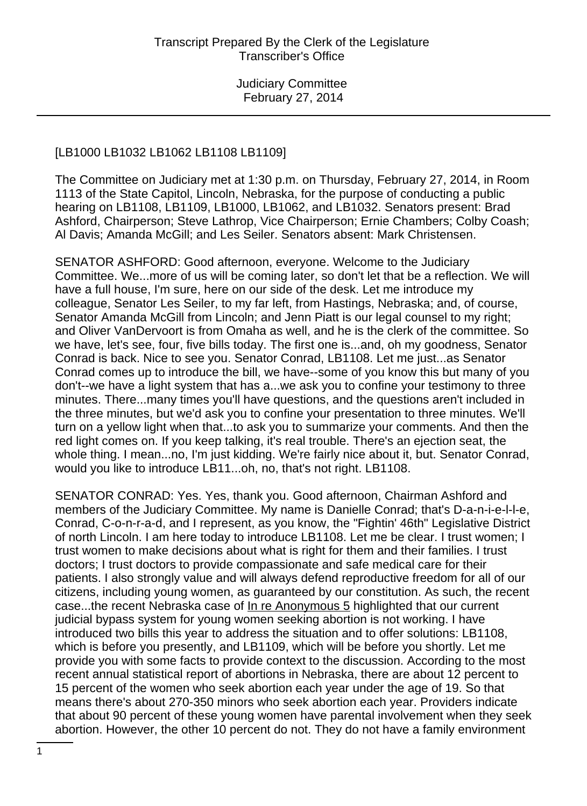### [LB1000 LB1032 LB1062 LB1108 LB1109]

The Committee on Judiciary met at 1:30 p.m. on Thursday, February 27, 2014, in Room 1113 of the State Capitol, Lincoln, Nebraska, for the purpose of conducting a public hearing on LB1108, LB1109, LB1000, LB1062, and LB1032. Senators present: Brad Ashford, Chairperson; Steve Lathrop, Vice Chairperson; Ernie Chambers; Colby Coash; Al Davis; Amanda McGill; and Les Seiler. Senators absent: Mark Christensen.

SENATOR ASHFORD: Good afternoon, everyone. Welcome to the Judiciary Committee. We...more of us will be coming later, so don't let that be a reflection. We will have a full house, I'm sure, here on our side of the desk. Let me introduce my colleague, Senator Les Seiler, to my far left, from Hastings, Nebraska; and, of course, Senator Amanda McGill from Lincoln; and Jenn Piatt is our legal counsel to my right; and Oliver VanDervoort is from Omaha as well, and he is the clerk of the committee. So we have, let's see, four, five bills today. The first one is...and, oh my goodness, Senator Conrad is back. Nice to see you. Senator Conrad, LB1108. Let me just...as Senator Conrad comes up to introduce the bill, we have--some of you know this but many of you don't--we have a light system that has a...we ask you to confine your testimony to three minutes. There...many times you'll have questions, and the questions aren't included in the three minutes, but we'd ask you to confine your presentation to three minutes. We'll turn on a yellow light when that...to ask you to summarize your comments. And then the red light comes on. If you keep talking, it's real trouble. There's an ejection seat, the whole thing. I mean...no, I'm just kidding. We're fairly nice about it, but. Senator Conrad, would you like to introduce LB11...oh, no, that's not right. LB1108.

SENATOR CONRAD: Yes. Yes, thank you. Good afternoon, Chairman Ashford and members of the Judiciary Committee. My name is Danielle Conrad; that's D-a-n-i-e-l-l-e, Conrad, C-o-n-r-a-d, and I represent, as you know, the "Fightin' 46th" Legislative District of north Lincoln. I am here today to introduce LB1108. Let me be clear. I trust women; I trust women to make decisions about what is right for them and their families. I trust doctors; I trust doctors to provide compassionate and safe medical care for their patients. I also strongly value and will always defend reproductive freedom for all of our citizens, including young women, as guaranteed by our constitution. As such, the recent case...the recent Nebraska case of In re Anonymous 5 highlighted that our current judicial bypass system for young women seeking abortion is not working. I have introduced two bills this year to address the situation and to offer solutions: LB1108, which is before you presently, and LB1109, which will be before you shortly. Let me provide you with some facts to provide context to the discussion. According to the most recent annual statistical report of abortions in Nebraska, there are about 12 percent to 15 percent of the women who seek abortion each year under the age of 19. So that means there's about 270-350 minors who seek abortion each year. Providers indicate that about 90 percent of these young women have parental involvement when they seek abortion. However, the other 10 percent do not. They do not have a family environment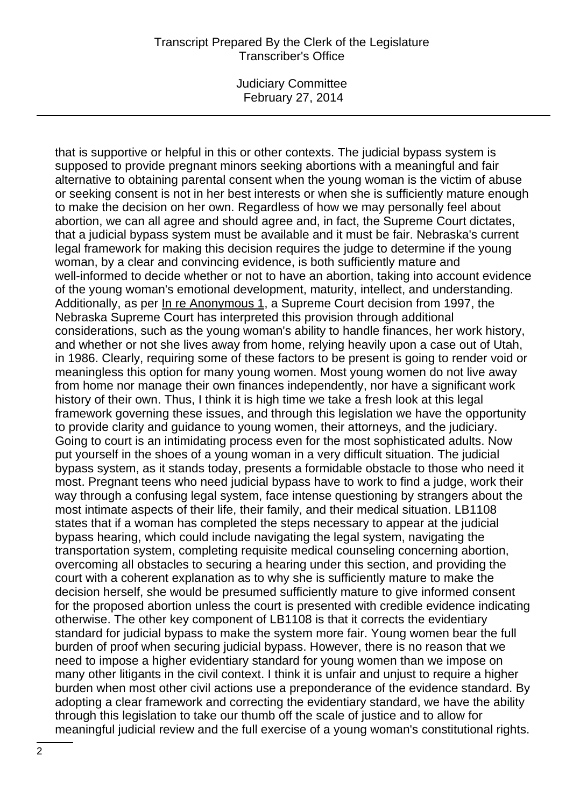Judiciary Committee February 27, 2014

that is supportive or helpful in this or other contexts. The judicial bypass system is supposed to provide pregnant minors seeking abortions with a meaningful and fair alternative to obtaining parental consent when the young woman is the victim of abuse or seeking consent is not in her best interests or when she is sufficiently mature enough to make the decision on her own. Regardless of how we may personally feel about abortion, we can all agree and should agree and, in fact, the Supreme Court dictates, that a judicial bypass system must be available and it must be fair. Nebraska's current legal framework for making this decision requires the judge to determine if the young woman, by a clear and convincing evidence, is both sufficiently mature and well-informed to decide whether or not to have an abortion, taking into account evidence of the young woman's emotional development, maturity, intellect, and understanding. Additionally, as per In re Anonymous 1, a Supreme Court decision from 1997, the Nebraska Supreme Court has interpreted this provision through additional considerations, such as the young woman's ability to handle finances, her work history, and whether or not she lives away from home, relying heavily upon a case out of Utah, in 1986. Clearly, requiring some of these factors to be present is going to render void or meaningless this option for many young women. Most young women do not live away from home nor manage their own finances independently, nor have a significant work history of their own. Thus, I think it is high time we take a fresh look at this legal framework governing these issues, and through this legislation we have the opportunity to provide clarity and guidance to young women, their attorneys, and the judiciary. Going to court is an intimidating process even for the most sophisticated adults. Now put yourself in the shoes of a young woman in a very difficult situation. The judicial bypass system, as it stands today, presents a formidable obstacle to those who need it most. Pregnant teens who need judicial bypass have to work to find a judge, work their way through a confusing legal system, face intense questioning by strangers about the most intimate aspects of their life, their family, and their medical situation. LB1108 states that if a woman has completed the steps necessary to appear at the judicial bypass hearing, which could include navigating the legal system, navigating the transportation system, completing requisite medical counseling concerning abortion, overcoming all obstacles to securing a hearing under this section, and providing the court with a coherent explanation as to why she is sufficiently mature to make the decision herself, she would be presumed sufficiently mature to give informed consent for the proposed abortion unless the court is presented with credible evidence indicating otherwise. The other key component of LB1108 is that it corrects the evidentiary standard for judicial bypass to make the system more fair. Young women bear the full burden of proof when securing judicial bypass. However, there is no reason that we need to impose a higher evidentiary standard for young women than we impose on many other litigants in the civil context. I think it is unfair and unjust to require a higher burden when most other civil actions use a preponderance of the evidence standard. By adopting a clear framework and correcting the evidentiary standard, we have the ability through this legislation to take our thumb off the scale of justice and to allow for meaningful judicial review and the full exercise of a young woman's constitutional rights.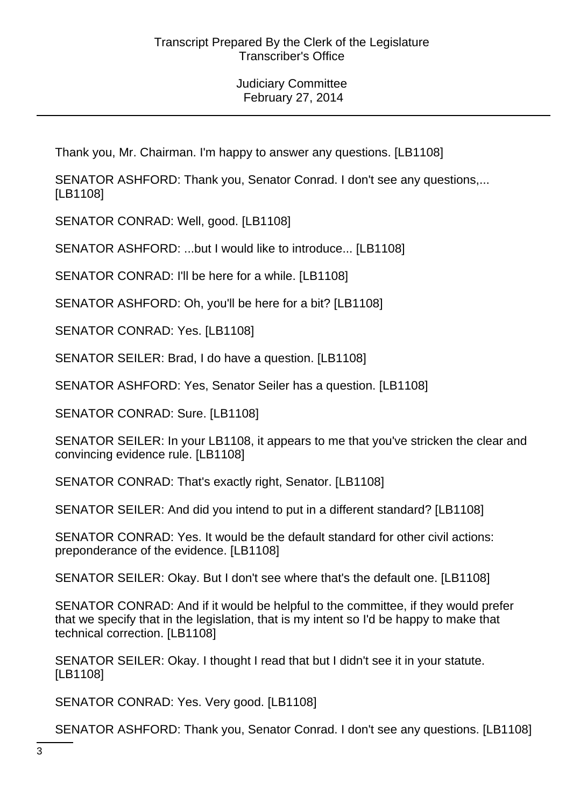Thank you, Mr. Chairman. I'm happy to answer any questions. [LB1108]

SENATOR ASHFORD: Thank you, Senator Conrad. I don't see any questions,... [LB1108]

SENATOR CONRAD: Well, good. [LB1108]

SENATOR ASHFORD: ...but I would like to introduce... [LB1108]

SENATOR CONRAD: I'll be here for a while. [LB1108]

SENATOR ASHFORD: Oh, you'll be here for a bit? [LB1108]

SENATOR CONRAD: Yes. [LB1108]

SENATOR SEILER: Brad, I do have a question. [LB1108]

SENATOR ASHFORD: Yes, Senator Seiler has a question. [LB1108]

SENATOR CONRAD: Sure. [LB1108]

SENATOR SEILER: In your LB1108, it appears to me that you've stricken the clear and convincing evidence rule. [LB1108]

SENATOR CONRAD: That's exactly right, Senator. [LB1108]

SENATOR SEILER: And did you intend to put in a different standard? [LB1108]

SENATOR CONRAD: Yes. It would be the default standard for other civil actions: preponderance of the evidence. [LB1108]

SENATOR SEILER: Okay. But I don't see where that's the default one. [LB1108]

SENATOR CONRAD: And if it would be helpful to the committee, if they would prefer that we specify that in the legislation, that is my intent so I'd be happy to make that technical correction. [LB1108]

SENATOR SEILER: Okay. I thought I read that but I didn't see it in your statute. [LB1108]

SENATOR CONRAD: Yes. Very good. [LB1108]

SENATOR ASHFORD: Thank you, Senator Conrad. I don't see any questions. [LB1108]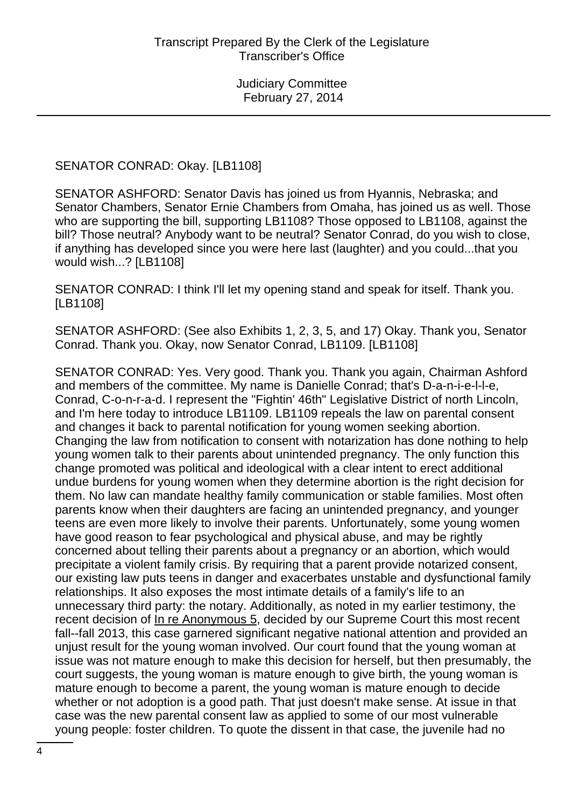SENATOR CONRAD: Okay. [LB1108]

SENATOR ASHFORD: Senator Davis has joined us from Hyannis, Nebraska; and Senator Chambers, Senator Ernie Chambers from Omaha, has joined us as well. Those who are supporting the bill, supporting LB1108? Those opposed to LB1108, against the bill? Those neutral? Anybody want to be neutral? Senator Conrad, do you wish to close, if anything has developed since you were here last (laughter) and you could...that you would wish...? [LB1108]

SENATOR CONRAD: I think I'll let my opening stand and speak for itself. Thank you. [LB1108]

SENATOR ASHFORD: (See also Exhibits 1, 2, 3, 5, and 17) Okay. Thank you, Senator Conrad. Thank you. Okay, now Senator Conrad, LB1109. [LB1108]

SENATOR CONRAD: Yes. Very good. Thank you. Thank you again, Chairman Ashford and members of the committee. My name is Danielle Conrad; that's D-a-n-i-e-l-l-e, Conrad, C-o-n-r-a-d. I represent the "Fightin' 46th" Legislative District of north Lincoln, and I'm here today to introduce LB1109. LB1109 repeals the law on parental consent and changes it back to parental notification for young women seeking abortion. Changing the law from notification to consent with notarization has done nothing to help young women talk to their parents about unintended pregnancy. The only function this change promoted was political and ideological with a clear intent to erect additional undue burdens for young women when they determine abortion is the right decision for them. No law can mandate healthy family communication or stable families. Most often parents know when their daughters are facing an unintended pregnancy, and younger teens are even more likely to involve their parents. Unfortunately, some young women have good reason to fear psychological and physical abuse, and may be rightly concerned about telling their parents about a pregnancy or an abortion, which would precipitate a violent family crisis. By requiring that a parent provide notarized consent, our existing law puts teens in danger and exacerbates unstable and dysfunctional family relationships. It also exposes the most intimate details of a family's life to an unnecessary third party: the notary. Additionally, as noted in my earlier testimony, the recent decision of In re Anonymous 5, decided by our Supreme Court this most recent fall--fall 2013, this case garnered significant negative national attention and provided an unjust result for the young woman involved. Our court found that the young woman at issue was not mature enough to make this decision for herself, but then presumably, the court suggests, the young woman is mature enough to give birth, the young woman is mature enough to become a parent, the young woman is mature enough to decide whether or not adoption is a good path. That just doesn't make sense. At issue in that case was the new parental consent law as applied to some of our most vulnerable young people: foster children. To quote the dissent in that case, the juvenile had no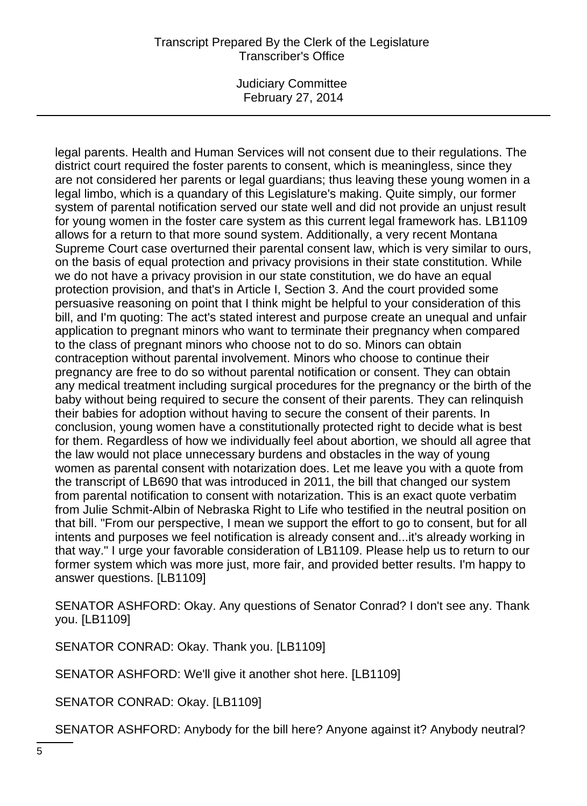Judiciary Committee February 27, 2014

legal parents. Health and Human Services will not consent due to their regulations. The district court required the foster parents to consent, which is meaningless, since they are not considered her parents or legal guardians; thus leaving these young women in a legal limbo, which is a quandary of this Legislature's making. Quite simply, our former system of parental notification served our state well and did not provide an unjust result for young women in the foster care system as this current legal framework has. LB1109 allows for a return to that more sound system. Additionally, a very recent Montana Supreme Court case overturned their parental consent law, which is very similar to ours, on the basis of equal protection and privacy provisions in their state constitution. While we do not have a privacy provision in our state constitution, we do have an equal protection provision, and that's in Article I, Section 3. And the court provided some persuasive reasoning on point that I think might be helpful to your consideration of this bill, and I'm quoting: The act's stated interest and purpose create an unequal and unfair application to pregnant minors who want to terminate their pregnancy when compared to the class of pregnant minors who choose not to do so. Minors can obtain contraception without parental involvement. Minors who choose to continue their pregnancy are free to do so without parental notification or consent. They can obtain any medical treatment including surgical procedures for the pregnancy or the birth of the baby without being required to secure the consent of their parents. They can relinquish their babies for adoption without having to secure the consent of their parents. In conclusion, young women have a constitutionally protected right to decide what is best for them. Regardless of how we individually feel about abortion, we should all agree that the law would not place unnecessary burdens and obstacles in the way of young women as parental consent with notarization does. Let me leave you with a quote from the transcript of LB690 that was introduced in 2011, the bill that changed our system from parental notification to consent with notarization. This is an exact quote verbatim from Julie Schmit-Albin of Nebraska Right to Life who testified in the neutral position on that bill. "From our perspective, I mean we support the effort to go to consent, but for all intents and purposes we feel notification is already consent and...it's already working in that way." I urge your favorable consideration of LB1109. Please help us to return to our former system which was more just, more fair, and provided better results. I'm happy to answer questions. [LB1109]

SENATOR ASHFORD: Okay. Any questions of Senator Conrad? I don't see any. Thank you. [LB1109]

SENATOR CONRAD: Okay. Thank you. [LB1109]

SENATOR ASHFORD: We'll give it another shot here. [LB1109]

SENATOR CONRAD: Okay. [LB1109]

SENATOR ASHFORD: Anybody for the bill here? Anyone against it? Anybody neutral?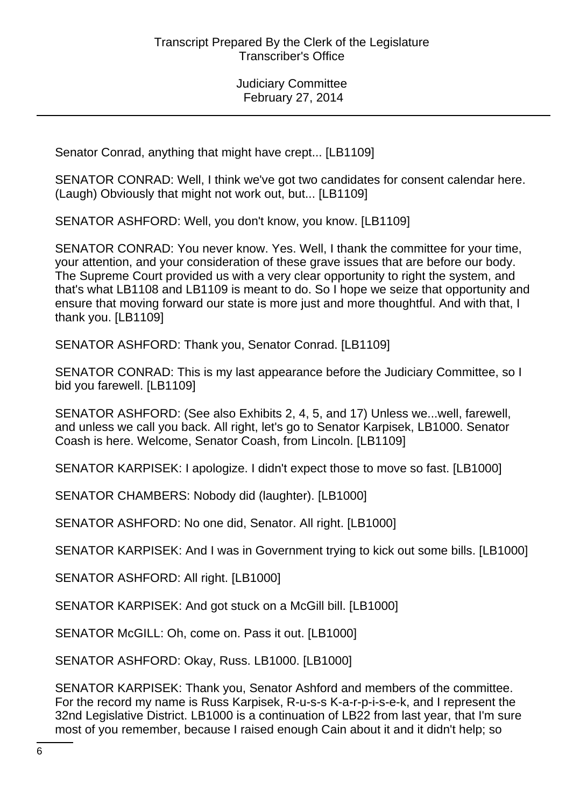Senator Conrad, anything that might have crept... [LB1109]

SENATOR CONRAD: Well, I think we've got two candidates for consent calendar here. (Laugh) Obviously that might not work out, but... [LB1109]

SENATOR ASHFORD: Well, you don't know, you know. [LB1109]

SENATOR CONRAD: You never know. Yes. Well, I thank the committee for your time, your attention, and your consideration of these grave issues that are before our body. The Supreme Court provided us with a very clear opportunity to right the system, and that's what LB1108 and LB1109 is meant to do. So I hope we seize that opportunity and ensure that moving forward our state is more just and more thoughtful. And with that, I thank you. [LB1109]

SENATOR ASHFORD: Thank you, Senator Conrad. [LB1109]

SENATOR CONRAD: This is my last appearance before the Judiciary Committee, so I bid you farewell. [LB1109]

SENATOR ASHFORD: (See also Exhibits 2, 4, 5, and 17) Unless we...well, farewell, and unless we call you back. All right, let's go to Senator Karpisek, LB1000. Senator Coash is here. Welcome, Senator Coash, from Lincoln. [LB1109]

SENATOR KARPISEK: I apologize. I didn't expect those to move so fast. [LB1000]

SENATOR CHAMBERS: Nobody did (laughter). [LB1000]

SENATOR ASHFORD: No one did, Senator. All right. [LB1000]

SENATOR KARPISEK: And I was in Government trying to kick out some bills. [LB1000]

SENATOR ASHFORD: All right. [LB1000]

SENATOR KARPISEK: And got stuck on a McGill bill. [LB1000]

SENATOR McGILL: Oh, come on. Pass it out. [LB1000]

SENATOR ASHFORD: Okay, Russ. LB1000. [LB1000]

SENATOR KARPISEK: Thank you, Senator Ashford and members of the committee. For the record my name is Russ Karpisek, R-u-s-s K-a-r-p-i-s-e-k, and I represent the 32nd Legislative District. LB1000 is a continuation of LB22 from last year, that I'm sure most of you remember, because I raised enough Cain about it and it didn't help; so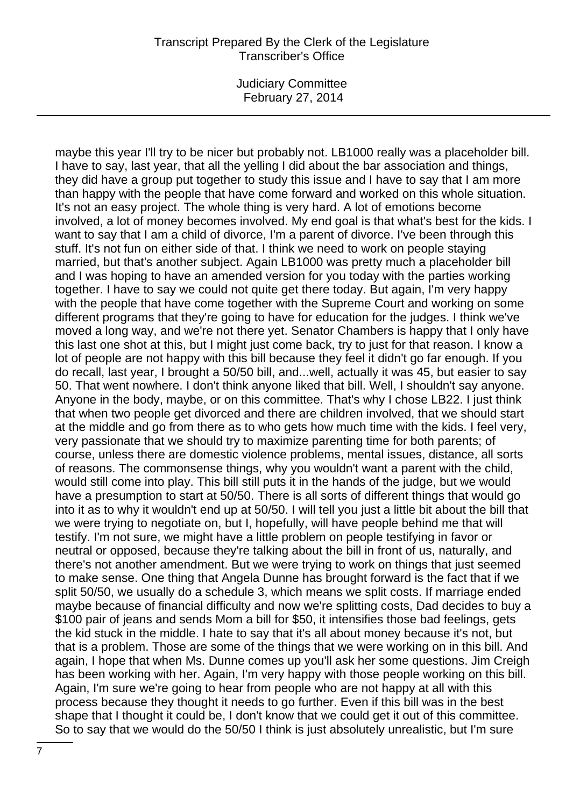Judiciary Committee February 27, 2014

maybe this year I'll try to be nicer but probably not. LB1000 really was a placeholder bill. I have to say, last year, that all the yelling I did about the bar association and things, they did have a group put together to study this issue and I have to say that I am more than happy with the people that have come forward and worked on this whole situation. It's not an easy project. The whole thing is very hard. A lot of emotions become involved, a lot of money becomes involved. My end goal is that what's best for the kids. I want to say that I am a child of divorce, I'm a parent of divorce. I've been through this stuff. It's not fun on either side of that. I think we need to work on people staying married, but that's another subject. Again LB1000 was pretty much a placeholder bill and I was hoping to have an amended version for you today with the parties working together. I have to say we could not quite get there today. But again, I'm very happy with the people that have come together with the Supreme Court and working on some different programs that they're going to have for education for the judges. I think we've moved a long way, and we're not there yet. Senator Chambers is happy that I only have this last one shot at this, but I might just come back, try to just for that reason. I know a lot of people are not happy with this bill because they feel it didn't go far enough. If you do recall, last year, I brought a 50/50 bill, and...well, actually it was 45, but easier to say 50. That went nowhere. I don't think anyone liked that bill. Well, I shouldn't say anyone. Anyone in the body, maybe, or on this committee. That's why I chose LB22. I just think that when two people get divorced and there are children involved, that we should start at the middle and go from there as to who gets how much time with the kids. I feel very, very passionate that we should try to maximize parenting time for both parents; of course, unless there are domestic violence problems, mental issues, distance, all sorts of reasons. The commonsense things, why you wouldn't want a parent with the child, would still come into play. This bill still puts it in the hands of the judge, but we would have a presumption to start at 50/50. There is all sorts of different things that would go into it as to why it wouldn't end up at 50/50. I will tell you just a little bit about the bill that we were trying to negotiate on, but I, hopefully, will have people behind me that will testify. I'm not sure, we might have a little problem on people testifying in favor or neutral or opposed, because they're talking about the bill in front of us, naturally, and there's not another amendment. But we were trying to work on things that just seemed to make sense. One thing that Angela Dunne has brought forward is the fact that if we split 50/50, we usually do a schedule 3, which means we split costs. If marriage ended maybe because of financial difficulty and now we're splitting costs, Dad decides to buy a \$100 pair of jeans and sends Mom a bill for \$50, it intensifies those bad feelings, gets the kid stuck in the middle. I hate to say that it's all about money because it's not, but that is a problem. Those are some of the things that we were working on in this bill. And again, I hope that when Ms. Dunne comes up you'll ask her some questions. Jim Creigh has been working with her. Again, I'm very happy with those people working on this bill. Again, I'm sure we're going to hear from people who are not happy at all with this process because they thought it needs to go further. Even if this bill was in the best shape that I thought it could be, I don't know that we could get it out of this committee. So to say that we would do the 50/50 I think is just absolutely unrealistic, but I'm sure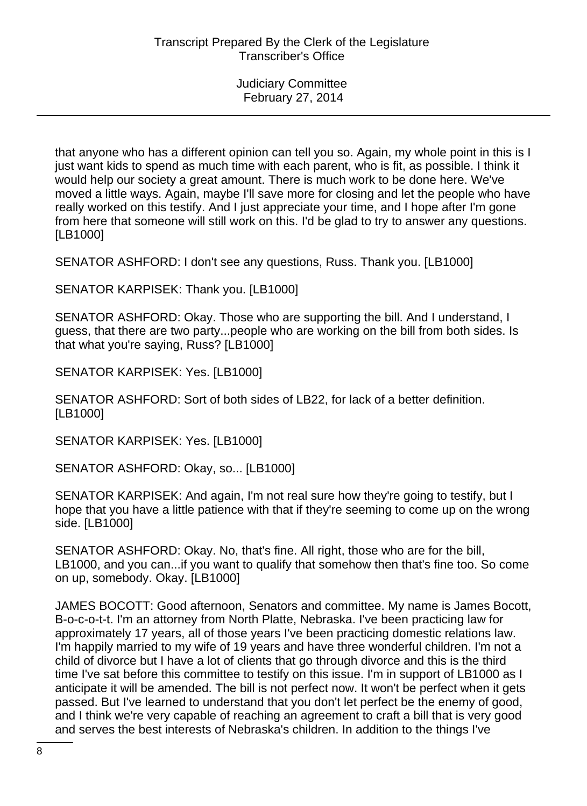that anyone who has a different opinion can tell you so. Again, my whole point in this is I just want kids to spend as much time with each parent, who is fit, as possible. I think it would help our society a great amount. There is much work to be done here. We've moved a little ways. Again, maybe I'll save more for closing and let the people who have really worked on this testify. And I just appreciate your time, and I hope after I'm gone from here that someone will still work on this. I'd be glad to try to answer any questions. [LB1000]

SENATOR ASHFORD: I don't see any questions, Russ. Thank you. [LB1000]

SENATOR KARPISEK: Thank you. [LB1000]

SENATOR ASHFORD: Okay. Those who are supporting the bill. And I understand, I guess, that there are two party...people who are working on the bill from both sides. Is that what you're saying, Russ? [LB1000]

SENATOR KARPISEK: Yes. [LB1000]

SENATOR ASHFORD: Sort of both sides of LB22, for lack of a better definition. [LB1000]

SENATOR KARPISEK: Yes. [LB1000]

SENATOR ASHFORD: Okay, so... [LB1000]

SENATOR KARPISEK: And again, I'm not real sure how they're going to testify, but I hope that you have a little patience with that if they're seeming to come up on the wrong side. [LB1000]

SENATOR ASHFORD: Okay. No, that's fine. All right, those who are for the bill, LB1000, and you can...if you want to qualify that somehow then that's fine too. So come on up, somebody. Okay. [LB1000]

JAMES BOCOTT: Good afternoon, Senators and committee. My name is James Bocott, B-o-c-o-t-t. I'm an attorney from North Platte, Nebraska. I've been practicing law for approximately 17 years, all of those years I've been practicing domestic relations law. I'm happily married to my wife of 19 years and have three wonderful children. I'm not a child of divorce but I have a lot of clients that go through divorce and this is the third time I've sat before this committee to testify on this issue. I'm in support of LB1000 as I anticipate it will be amended. The bill is not perfect now. It won't be perfect when it gets passed. But I've learned to understand that you don't let perfect be the enemy of good, and I think we're very capable of reaching an agreement to craft a bill that is very good and serves the best interests of Nebraska's children. In addition to the things I've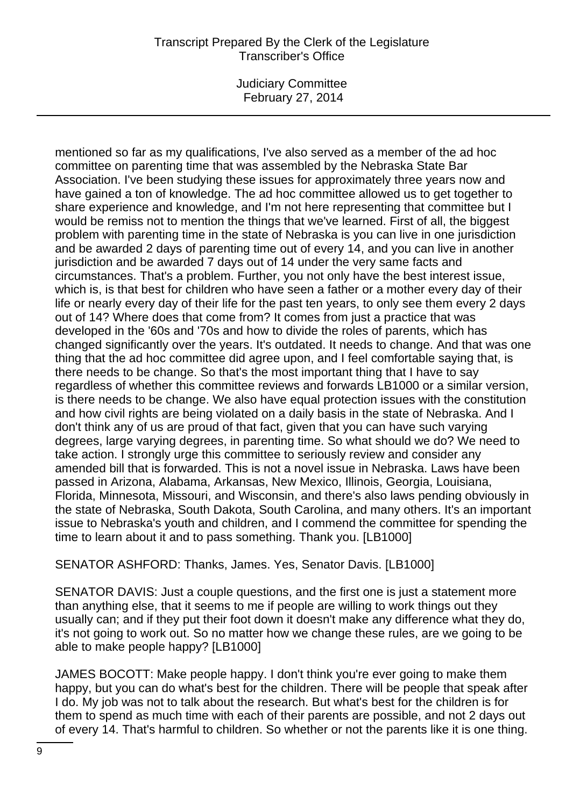Judiciary Committee February 27, 2014

mentioned so far as my qualifications, I've also served as a member of the ad hoc committee on parenting time that was assembled by the Nebraska State Bar Association. I've been studying these issues for approximately three years now and have gained a ton of knowledge. The ad hoc committee allowed us to get together to share experience and knowledge, and I'm not here representing that committee but I would be remiss not to mention the things that we've learned. First of all, the biggest problem with parenting time in the state of Nebraska is you can live in one jurisdiction and be awarded 2 days of parenting time out of every 14, and you can live in another jurisdiction and be awarded 7 days out of 14 under the very same facts and circumstances. That's a problem. Further, you not only have the best interest issue, which is, is that best for children who have seen a father or a mother every day of their life or nearly every day of their life for the past ten years, to only see them every 2 days out of 14? Where does that come from? It comes from just a practice that was developed in the '60s and '70s and how to divide the roles of parents, which has changed significantly over the years. It's outdated. It needs to change. And that was one thing that the ad hoc committee did agree upon, and I feel comfortable saying that, is there needs to be change. So that's the most important thing that I have to say regardless of whether this committee reviews and forwards LB1000 or a similar version, is there needs to be change. We also have equal protection issues with the constitution and how civil rights are being violated on a daily basis in the state of Nebraska. And I don't think any of us are proud of that fact, given that you can have such varying degrees, large varying degrees, in parenting time. So what should we do? We need to take action. I strongly urge this committee to seriously review and consider any amended bill that is forwarded. This is not a novel issue in Nebraska. Laws have been passed in Arizona, Alabama, Arkansas, New Mexico, Illinois, Georgia, Louisiana, Florida, Minnesota, Missouri, and Wisconsin, and there's also laws pending obviously in the state of Nebraska, South Dakota, South Carolina, and many others. It's an important issue to Nebraska's youth and children, and I commend the committee for spending the time to learn about it and to pass something. Thank you. [LB1000]

SENATOR ASHFORD: Thanks, James. Yes, Senator Davis. [LB1000]

SENATOR DAVIS: Just a couple questions, and the first one is just a statement more than anything else, that it seems to me if people are willing to work things out they usually can; and if they put their foot down it doesn't make any difference what they do, it's not going to work out. So no matter how we change these rules, are we going to be able to make people happy? [LB1000]

JAMES BOCOTT: Make people happy. I don't think you're ever going to make them happy, but you can do what's best for the children. There will be people that speak after I do. My job was not to talk about the research. But what's best for the children is for them to spend as much time with each of their parents are possible, and not 2 days out of every 14. That's harmful to children. So whether or not the parents like it is one thing.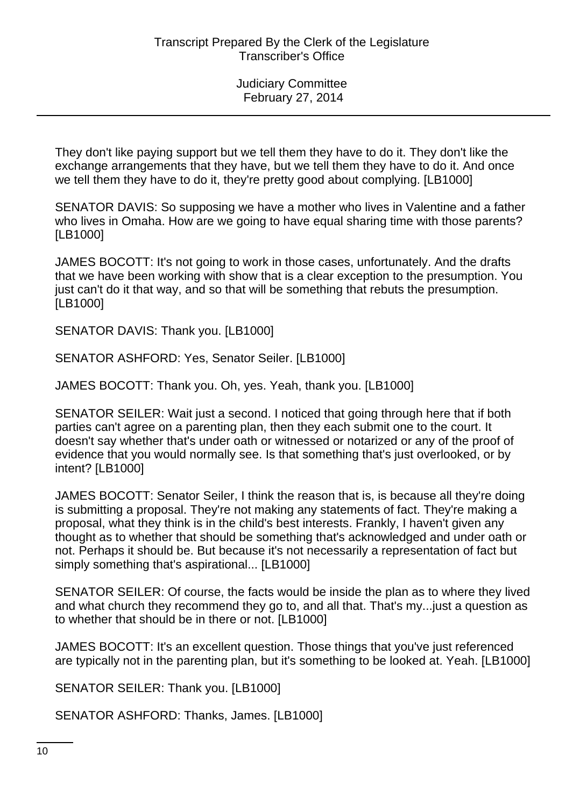They don't like paying support but we tell them they have to do it. They don't like the exchange arrangements that they have, but we tell them they have to do it. And once we tell them they have to do it, they're pretty good about complying. [LB1000]

SENATOR DAVIS: So supposing we have a mother who lives in Valentine and a father who lives in Omaha. How are we going to have equal sharing time with those parents? [LB1000]

JAMES BOCOTT: It's not going to work in those cases, unfortunately. And the drafts that we have been working with show that is a clear exception to the presumption. You just can't do it that way, and so that will be something that rebuts the presumption. [LB1000]

SENATOR DAVIS: Thank you. [LB1000]

SENATOR ASHFORD: Yes, Senator Seiler. [LB1000]

JAMES BOCOTT: Thank you. Oh, yes. Yeah, thank you. [LB1000]

SENATOR SEILER: Wait just a second. I noticed that going through here that if both parties can't agree on a parenting plan, then they each submit one to the court. It doesn't say whether that's under oath or witnessed or notarized or any of the proof of evidence that you would normally see. Is that something that's just overlooked, or by intent? [LB1000]

JAMES BOCOTT: Senator Seiler, I think the reason that is, is because all they're doing is submitting a proposal. They're not making any statements of fact. They're making a proposal, what they think is in the child's best interests. Frankly, I haven't given any thought as to whether that should be something that's acknowledged and under oath or not. Perhaps it should be. But because it's not necessarily a representation of fact but simply something that's aspirational... [LB1000]

SENATOR SEILER: Of course, the facts would be inside the plan as to where they lived and what church they recommend they go to, and all that. That's my...just a question as to whether that should be in there or not. [LB1000]

JAMES BOCOTT: It's an excellent question. Those things that you've just referenced are typically not in the parenting plan, but it's something to be looked at. Yeah. [LB1000]

SENATOR SEILER: Thank you. [LB1000]

SENATOR ASHFORD: Thanks, James. [LB1000]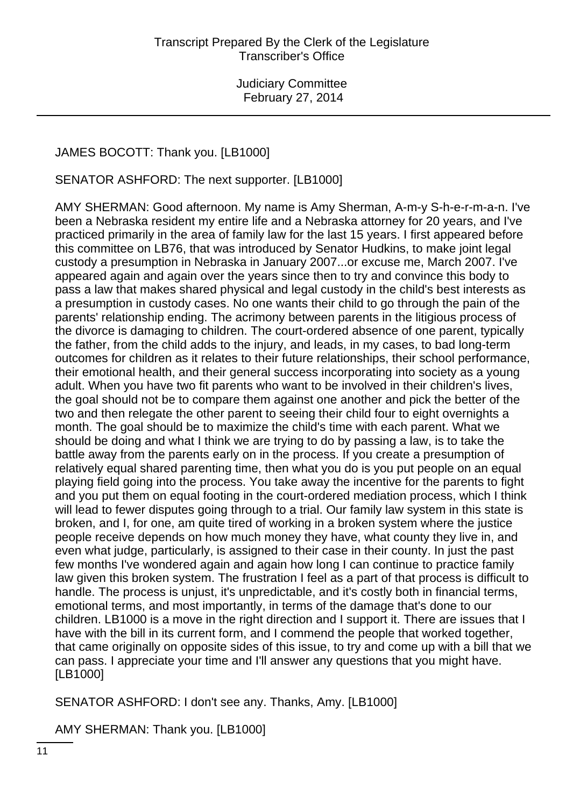# JAMES BOCOTT: Thank you. [LB1000]

SENATOR ASHFORD: The next supporter. [LB1000]

AMY SHERMAN: Good afternoon. My name is Amy Sherman, A-m-y S-h-e-r-m-a-n. I've been a Nebraska resident my entire life and a Nebraska attorney for 20 years, and I've practiced primarily in the area of family law for the last 15 years. I first appeared before this committee on LB76, that was introduced by Senator Hudkins, to make joint legal custody a presumption in Nebraska in January 2007...or excuse me, March 2007. I've appeared again and again over the years since then to try and convince this body to pass a law that makes shared physical and legal custody in the child's best interests as a presumption in custody cases. No one wants their child to go through the pain of the parents' relationship ending. The acrimony between parents in the litigious process of the divorce is damaging to children. The court-ordered absence of one parent, typically the father, from the child adds to the injury, and leads, in my cases, to bad long-term outcomes for children as it relates to their future relationships, their school performance, their emotional health, and their general success incorporating into society as a young adult. When you have two fit parents who want to be involved in their children's lives, the goal should not be to compare them against one another and pick the better of the two and then relegate the other parent to seeing their child four to eight overnights a month. The goal should be to maximize the child's time with each parent. What we should be doing and what I think we are trying to do by passing a law, is to take the battle away from the parents early on in the process. If you create a presumption of relatively equal shared parenting time, then what you do is you put people on an equal playing field going into the process. You take away the incentive for the parents to fight and you put them on equal footing in the court-ordered mediation process, which I think will lead to fewer disputes going through to a trial. Our family law system in this state is broken, and I, for one, am quite tired of working in a broken system where the justice people receive depends on how much money they have, what county they live in, and even what judge, particularly, is assigned to their case in their county. In just the past few months I've wondered again and again how long I can continue to practice family law given this broken system. The frustration I feel as a part of that process is difficult to handle. The process is unjust, it's unpredictable, and it's costly both in financial terms, emotional terms, and most importantly, in terms of the damage that's done to our children. LB1000 is a move in the right direction and I support it. There are issues that I have with the bill in its current form, and I commend the people that worked together, that came originally on opposite sides of this issue, to try and come up with a bill that we can pass. I appreciate your time and I'll answer any questions that you might have. [LB1000]

SENATOR ASHFORD: I don't see any. Thanks, Amy. [LB1000]

AMY SHERMAN: Thank you. [LB1000]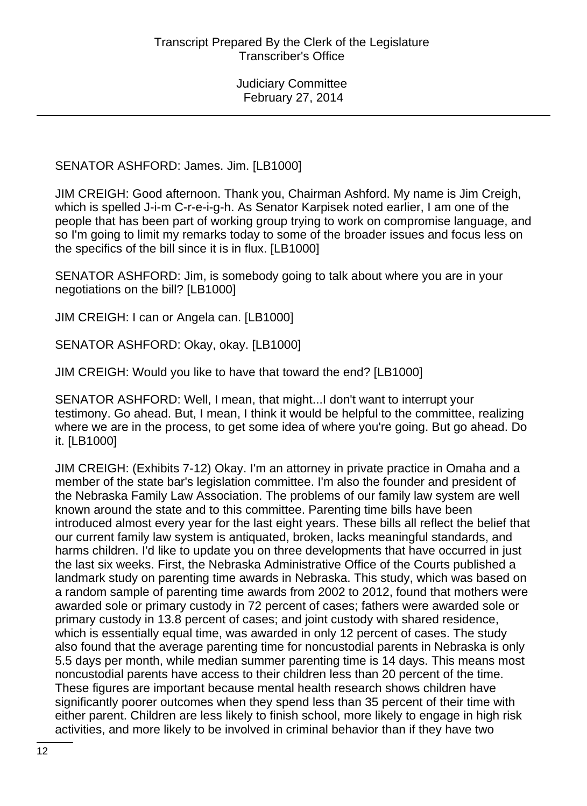SENATOR ASHFORD: James. Jim. [LB1000]

JIM CREIGH: Good afternoon. Thank you, Chairman Ashford. My name is Jim Creigh, which is spelled J-i-m C-r-e-i-g-h. As Senator Karpisek noted earlier, I am one of the people that has been part of working group trying to work on compromise language, and so I'm going to limit my remarks today to some of the broader issues and focus less on the specifics of the bill since it is in flux. [LB1000]

SENATOR ASHFORD: Jim, is somebody going to talk about where you are in your negotiations on the bill? [LB1000]

JIM CREIGH: I can or Angela can. [LB1000]

SENATOR ASHFORD: Okay, okay. [LB1000]

JIM CREIGH: Would you like to have that toward the end? [LB1000]

SENATOR ASHFORD: Well, I mean, that might...I don't want to interrupt your testimony. Go ahead. But, I mean, I think it would be helpful to the committee, realizing where we are in the process, to get some idea of where you're going. But go ahead. Do it. [LB1000]

JIM CREIGH: (Exhibits 7-12) Okay. I'm an attorney in private practice in Omaha and a member of the state bar's legislation committee. I'm also the founder and president of the Nebraska Family Law Association. The problems of our family law system are well known around the state and to this committee. Parenting time bills have been introduced almost every year for the last eight years. These bills all reflect the belief that our current family law system is antiquated, broken, lacks meaningful standards, and harms children. I'd like to update you on three developments that have occurred in just the last six weeks. First, the Nebraska Administrative Office of the Courts published a landmark study on parenting time awards in Nebraska. This study, which was based on a random sample of parenting time awards from 2002 to 2012, found that mothers were awarded sole or primary custody in 72 percent of cases; fathers were awarded sole or primary custody in 13.8 percent of cases; and joint custody with shared residence, which is essentially equal time, was awarded in only 12 percent of cases. The study also found that the average parenting time for noncustodial parents in Nebraska is only 5.5 days per month, while median summer parenting time is 14 days. This means most noncustodial parents have access to their children less than 20 percent of the time. These figures are important because mental health research shows children have significantly poorer outcomes when they spend less than 35 percent of their time with either parent. Children are less likely to finish school, more likely to engage in high risk activities, and more likely to be involved in criminal behavior than if they have two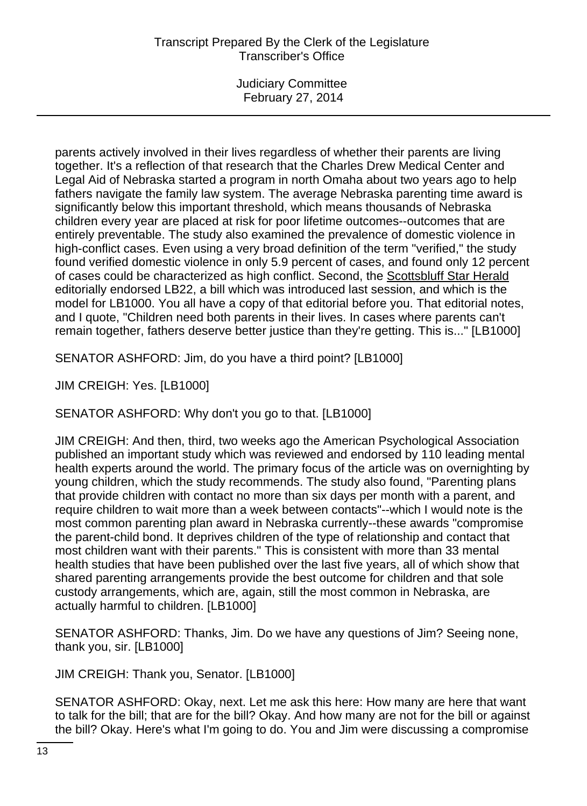Judiciary Committee February 27, 2014

parents actively involved in their lives regardless of whether their parents are living together. It's a reflection of that research that the Charles Drew Medical Center and Legal Aid of Nebraska started a program in north Omaha about two years ago to help fathers navigate the family law system. The average Nebraska parenting time award is significantly below this important threshold, which means thousands of Nebraska children every year are placed at risk for poor lifetime outcomes--outcomes that are entirely preventable. The study also examined the prevalence of domestic violence in high-conflict cases. Even using a very broad definition of the term "verified," the study found verified domestic violence in only 5.9 percent of cases, and found only 12 percent of cases could be characterized as high conflict. Second, the Scottsbluff Star Herald editorially endorsed LB22, a bill which was introduced last session, and which is the model for LB1000. You all have a copy of that editorial before you. That editorial notes, and I quote, "Children need both parents in their lives. In cases where parents can't remain together, fathers deserve better justice than they're getting. This is..." [LB1000]

SENATOR ASHFORD: Jim, do you have a third point? [LB1000]

JIM CREIGH: Yes. [LB1000]

SENATOR ASHFORD: Why don't you go to that. [LB1000]

JIM CREIGH: And then, third, two weeks ago the American Psychological Association published an important study which was reviewed and endorsed by 110 leading mental health experts around the world. The primary focus of the article was on overnighting by young children, which the study recommends. The study also found, "Parenting plans that provide children with contact no more than six days per month with a parent, and require children to wait more than a week between contacts"--which I would note is the most common parenting plan award in Nebraska currently--these awards "compromise the parent-child bond. It deprives children of the type of relationship and contact that most children want with their parents." This is consistent with more than 33 mental health studies that have been published over the last five years, all of which show that shared parenting arrangements provide the best outcome for children and that sole custody arrangements, which are, again, still the most common in Nebraska, are actually harmful to children. [LB1000]

SENATOR ASHFORD: Thanks, Jim. Do we have any questions of Jim? Seeing none, thank you, sir. [LB1000]

JIM CREIGH: Thank you, Senator. [LB1000]

SENATOR ASHFORD: Okay, next. Let me ask this here: How many are here that want to talk for the bill; that are for the bill? Okay. And how many are not for the bill or against the bill? Okay. Here's what I'm going to do. You and Jim were discussing a compromise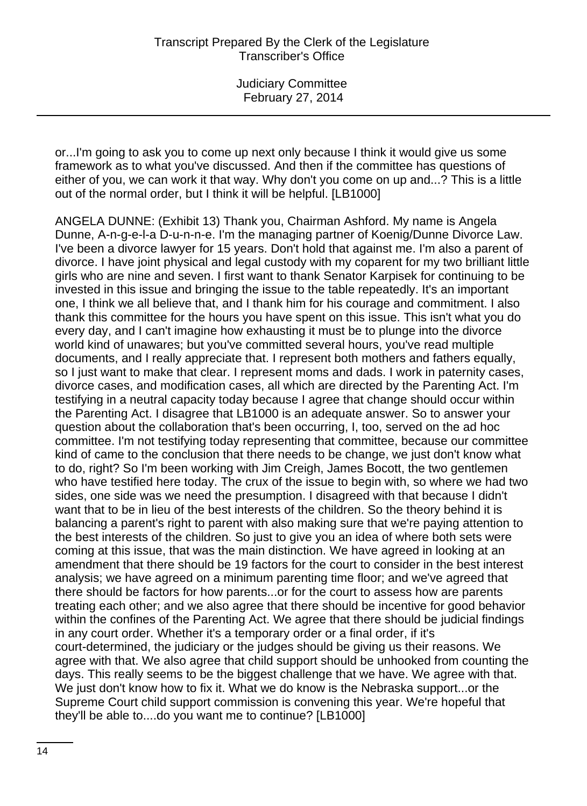or...I'm going to ask you to come up next only because I think it would give us some framework as to what you've discussed. And then if the committee has questions of either of you, we can work it that way. Why don't you come on up and...? This is a little out of the normal order, but I think it will be helpful. [LB1000]

ANGELA DUNNE: (Exhibit 13) Thank you, Chairman Ashford. My name is Angela Dunne, A-n-g-e-l-a D-u-n-n-e. I'm the managing partner of Koenig/Dunne Divorce Law. I've been a divorce lawyer for 15 years. Don't hold that against me. I'm also a parent of divorce. I have joint physical and legal custody with my coparent for my two brilliant little girls who are nine and seven. I first want to thank Senator Karpisek for continuing to be invested in this issue and bringing the issue to the table repeatedly. It's an important one, I think we all believe that, and I thank him for his courage and commitment. I also thank this committee for the hours you have spent on this issue. This isn't what you do every day, and I can't imagine how exhausting it must be to plunge into the divorce world kind of unawares; but you've committed several hours, you've read multiple documents, and I really appreciate that. I represent both mothers and fathers equally, so I just want to make that clear. I represent moms and dads. I work in paternity cases, divorce cases, and modification cases, all which are directed by the Parenting Act. I'm testifying in a neutral capacity today because I agree that change should occur within the Parenting Act. I disagree that LB1000 is an adequate answer. So to answer your question about the collaboration that's been occurring, I, too, served on the ad hoc committee. I'm not testifying today representing that committee, because our committee kind of came to the conclusion that there needs to be change, we just don't know what to do, right? So I'm been working with Jim Creigh, James Bocott, the two gentlemen who have testified here today. The crux of the issue to begin with, so where we had two sides, one side was we need the presumption. I disagreed with that because I didn't want that to be in lieu of the best interests of the children. So the theory behind it is balancing a parent's right to parent with also making sure that we're paying attention to the best interests of the children. So just to give you an idea of where both sets were coming at this issue, that was the main distinction. We have agreed in looking at an amendment that there should be 19 factors for the court to consider in the best interest analysis; we have agreed on a minimum parenting time floor; and we've agreed that there should be factors for how parents...or for the court to assess how are parents treating each other; and we also agree that there should be incentive for good behavior within the confines of the Parenting Act. We agree that there should be judicial findings in any court order. Whether it's a temporary order or a final order, if it's court-determined, the judiciary or the judges should be giving us their reasons. We agree with that. We also agree that child support should be unhooked from counting the days. This really seems to be the biggest challenge that we have. We agree with that. We just don't know how to fix it. What we do know is the Nebraska support...or the Supreme Court child support commission is convening this year. We're hopeful that they'll be able to....do you want me to continue? [LB1000]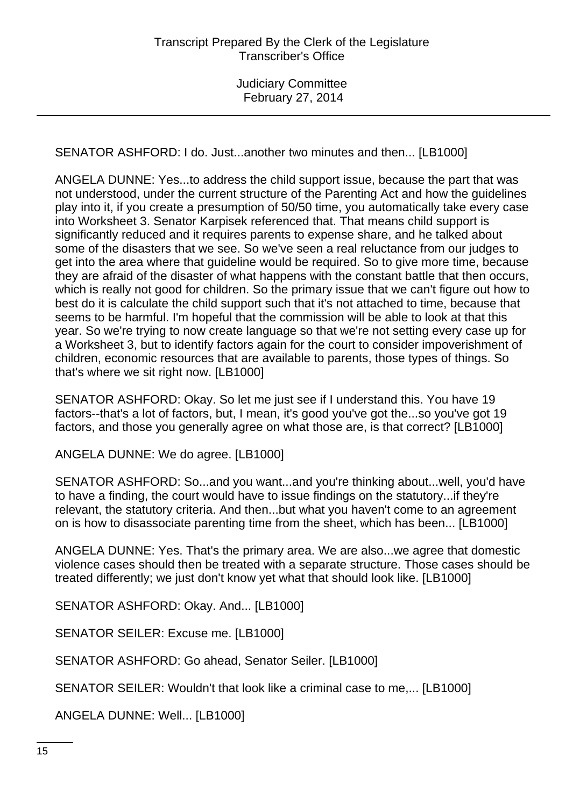SENATOR ASHFORD: I do. Just...another two minutes and then... [LB1000]

ANGELA DUNNE: Yes...to address the child support issue, because the part that was not understood, under the current structure of the Parenting Act and how the guidelines play into it, if you create a presumption of 50/50 time, you automatically take every case into Worksheet 3. Senator Karpisek referenced that. That means child support is significantly reduced and it requires parents to expense share, and he talked about some of the disasters that we see. So we've seen a real reluctance from our judges to get into the area where that guideline would be required. So to give more time, because they are afraid of the disaster of what happens with the constant battle that then occurs, which is really not good for children. So the primary issue that we can't figure out how to best do it is calculate the child support such that it's not attached to time, because that seems to be harmful. I'm hopeful that the commission will be able to look at that this year. So we're trying to now create language so that we're not setting every case up for a Worksheet 3, but to identify factors again for the court to consider impoverishment of children, economic resources that are available to parents, those types of things. So that's where we sit right now. [LB1000]

SENATOR ASHFORD: Okay. So let me just see if I understand this. You have 19 factors--that's a lot of factors, but, I mean, it's good you've got the...so you've got 19 factors, and those you generally agree on what those are, is that correct? [LB1000]

ANGELA DUNNE: We do agree. [LB1000]

SENATOR ASHFORD: So...and you want...and you're thinking about...well, you'd have to have a finding, the court would have to issue findings on the statutory...if they're relevant, the statutory criteria. And then...but what you haven't come to an agreement on is how to disassociate parenting time from the sheet, which has been... [LB1000]

ANGELA DUNNE: Yes. That's the primary area. We are also...we agree that domestic violence cases should then be treated with a separate structure. Those cases should be treated differently; we just don't know yet what that should look like. [LB1000]

SENATOR ASHFORD: Okay. And... [LB1000]

SENATOR SEILER: Excuse me. [LB1000]

SENATOR ASHFORD: Go ahead, Senator Seiler. [LB1000]

SENATOR SEILER: Wouldn't that look like a criminal case to me,... [LB1000]

ANGELA DUNNE: Well... [LB1000]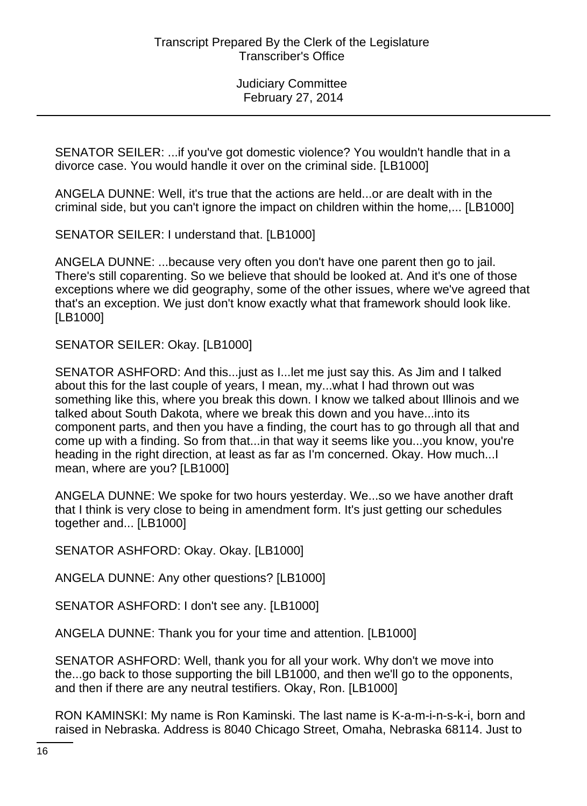SENATOR SEILER: ...if you've got domestic violence? You wouldn't handle that in a divorce case. You would handle it over on the criminal side. [LB1000]

ANGELA DUNNE: Well, it's true that the actions are held...or are dealt with in the criminal side, but you can't ignore the impact on children within the home,... [LB1000]

SENATOR SEILER: I understand that. [LB1000]

ANGELA DUNNE: ...because very often you don't have one parent then go to jail. There's still coparenting. So we believe that should be looked at. And it's one of those exceptions where we did geography, some of the other issues, where we've agreed that that's an exception. We just don't know exactly what that framework should look like. [LB1000]

SENATOR SEILER: Okay. [LB1000]

SENATOR ASHFORD: And this...just as I...let me just say this. As Jim and I talked about this for the last couple of years, I mean, my...what I had thrown out was something like this, where you break this down. I know we talked about Illinois and we talked about South Dakota, where we break this down and you have...into its component parts, and then you have a finding, the court has to go through all that and come up with a finding. So from that...in that way it seems like you...you know, you're heading in the right direction, at least as far as I'm concerned. Okay. How much...I mean, where are you? [LB1000]

ANGELA DUNNE: We spoke for two hours yesterday. We...so we have another draft that I think is very close to being in amendment form. It's just getting our schedules together and... [LB1000]

SENATOR ASHFORD: Okay. Okay. [LB1000]

ANGELA DUNNE: Any other questions? [LB1000]

SENATOR ASHFORD: I don't see any. [LB1000]

ANGELA DUNNE: Thank you for your time and attention. [LB1000]

SENATOR ASHFORD: Well, thank you for all your work. Why don't we move into the...go back to those supporting the bill LB1000, and then we'll go to the opponents, and then if there are any neutral testifiers. Okay, Ron. [LB1000]

RON KAMINSKI: My name is Ron Kaminski. The last name is K-a-m-i-n-s-k-i, born and raised in Nebraska. Address is 8040 Chicago Street, Omaha, Nebraska 68114. Just to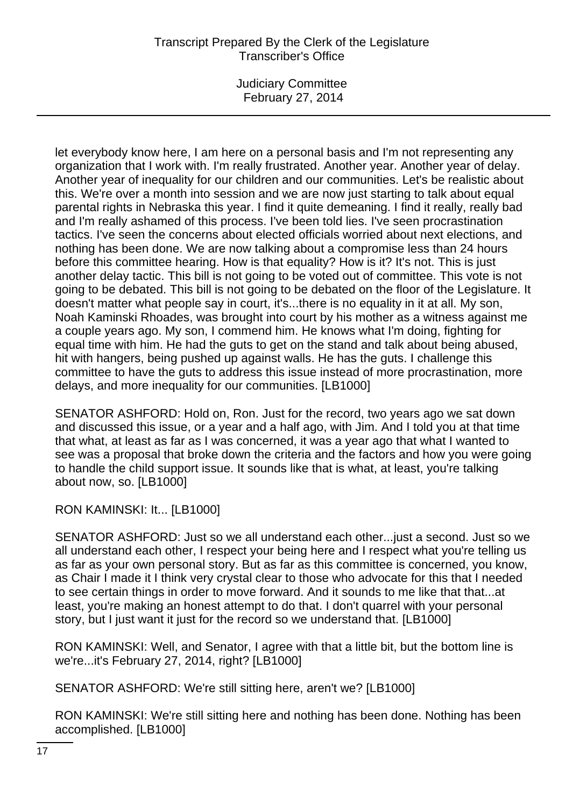Judiciary Committee February 27, 2014

let everybody know here, I am here on a personal basis and I'm not representing any organization that I work with. I'm really frustrated. Another year. Another year of delay. Another year of inequality for our children and our communities. Let's be realistic about this. We're over a month into session and we are now just starting to talk about equal parental rights in Nebraska this year. I find it quite demeaning. I find it really, really bad and I'm really ashamed of this process. I've been told lies. I've seen procrastination tactics. I've seen the concerns about elected officials worried about next elections, and nothing has been done. We are now talking about a compromise less than 24 hours before this committee hearing. How is that equality? How is it? It's not. This is just another delay tactic. This bill is not going to be voted out of committee. This vote is not going to be debated. This bill is not going to be debated on the floor of the Legislature. It doesn't matter what people say in court, it's...there is no equality in it at all. My son, Noah Kaminski Rhoades, was brought into court by his mother as a witness against me a couple years ago. My son, I commend him. He knows what I'm doing, fighting for equal time with him. He had the guts to get on the stand and talk about being abused, hit with hangers, being pushed up against walls. He has the guts. I challenge this committee to have the guts to address this issue instead of more procrastination, more delays, and more inequality for our communities. [LB1000]

SENATOR ASHFORD: Hold on, Ron. Just for the record, two years ago we sat down and discussed this issue, or a year and a half ago, with Jim. And I told you at that time that what, at least as far as I was concerned, it was a year ago that what I wanted to see was a proposal that broke down the criteria and the factors and how you were going to handle the child support issue. It sounds like that is what, at least, you're talking about now, so. [LB1000]

RON KAMINSKI: It... [LB1000]

SENATOR ASHFORD: Just so we all understand each other...just a second. Just so we all understand each other, I respect your being here and I respect what you're telling us as far as your own personal story. But as far as this committee is concerned, you know, as Chair I made it I think very crystal clear to those who advocate for this that I needed to see certain things in order to move forward. And it sounds to me like that that...at least, you're making an honest attempt to do that. I don't quarrel with your personal story, but I just want it just for the record so we understand that. [LB1000]

RON KAMINSKI: Well, and Senator, I agree with that a little bit, but the bottom line is we're...it's February 27, 2014, right? [LB1000]

SENATOR ASHFORD: We're still sitting here, aren't we? [LB1000]

RON KAMINSKI: We're still sitting here and nothing has been done. Nothing has been accomplished. [LB1000]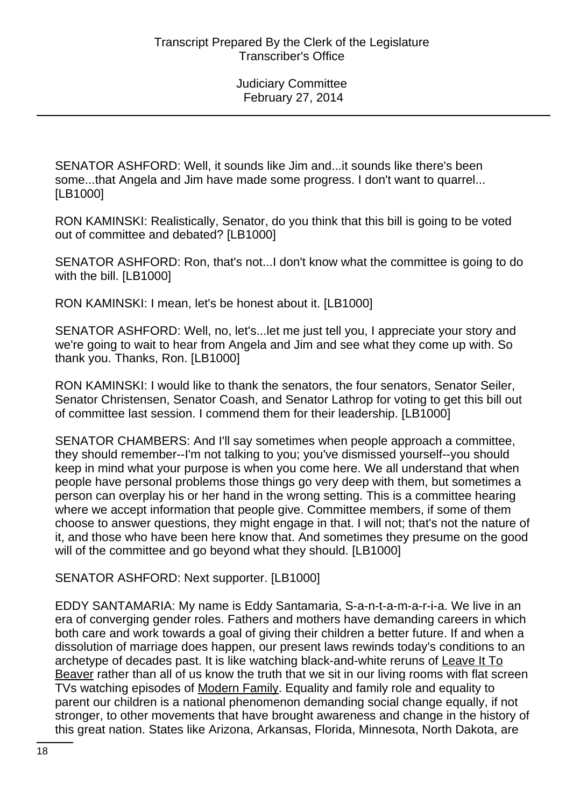SENATOR ASHFORD: Well, it sounds like Jim and...it sounds like there's been some...that Angela and Jim have made some progress. I don't want to quarrel... [LB1000]

RON KAMINSKI: Realistically, Senator, do you think that this bill is going to be voted out of committee and debated? [LB1000]

SENATOR ASHFORD: Ron, that's not...I don't know what the committee is going to do with the bill. [LB1000]

RON KAMINSKI: I mean, let's be honest about it. [LB1000]

SENATOR ASHFORD: Well, no, let's...let me just tell you, I appreciate your story and we're going to wait to hear from Angela and Jim and see what they come up with. So thank you. Thanks, Ron. [LB1000]

RON KAMINSKI: I would like to thank the senators, the four senators, Senator Seiler, Senator Christensen, Senator Coash, and Senator Lathrop for voting to get this bill out of committee last session. I commend them for their leadership. [LB1000]

SENATOR CHAMBERS: And I'll say sometimes when people approach a committee, they should remember--I'm not talking to you; you've dismissed yourself--you should keep in mind what your purpose is when you come here. We all understand that when people have personal problems those things go very deep with them, but sometimes a person can overplay his or her hand in the wrong setting. This is a committee hearing where we accept information that people give. Committee members, if some of them choose to answer questions, they might engage in that. I will not; that's not the nature of it, and those who have been here know that. And sometimes they presume on the good will of the committee and go beyond what they should. [LB1000]

SENATOR ASHFORD: Next supporter. [LB1000]

EDDY SANTAMARIA: My name is Eddy Santamaria, S-a-n-t-a-m-a-r-i-a. We live in an era of converging gender roles. Fathers and mothers have demanding careers in which both care and work towards a goal of giving their children a better future. If and when a dissolution of marriage does happen, our present laws rewinds today's conditions to an archetype of decades past. It is like watching black-and-white reruns of Leave It To Beaver rather than all of us know the truth that we sit in our living rooms with flat screen TVs watching episodes of Modern Family. Equality and family role and equality to parent our children is a national phenomenon demanding social change equally, if not stronger, to other movements that have brought awareness and change in the history of this great nation. States like Arizona, Arkansas, Florida, Minnesota, North Dakota, are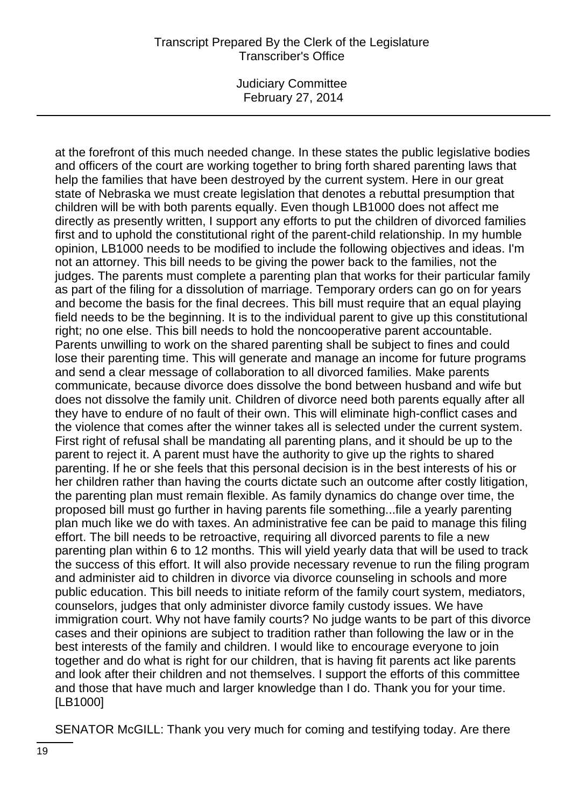Judiciary Committee February 27, 2014

at the forefront of this much needed change. In these states the public legislative bodies and officers of the court are working together to bring forth shared parenting laws that help the families that have been destroyed by the current system. Here in our great state of Nebraska we must create legislation that denotes a rebuttal presumption that children will be with both parents equally. Even though LB1000 does not affect me directly as presently written, I support any efforts to put the children of divorced families first and to uphold the constitutional right of the parent-child relationship. In my humble opinion, LB1000 needs to be modified to include the following objectives and ideas. I'm not an attorney. This bill needs to be giving the power back to the families, not the judges. The parents must complete a parenting plan that works for their particular family as part of the filing for a dissolution of marriage. Temporary orders can go on for years and become the basis for the final decrees. This bill must require that an equal playing field needs to be the beginning. It is to the individual parent to give up this constitutional right; no one else. This bill needs to hold the noncooperative parent accountable. Parents unwilling to work on the shared parenting shall be subject to fines and could lose their parenting time. This will generate and manage an income for future programs and send a clear message of collaboration to all divorced families. Make parents communicate, because divorce does dissolve the bond between husband and wife but does not dissolve the family unit. Children of divorce need both parents equally after all they have to endure of no fault of their own. This will eliminate high-conflict cases and the violence that comes after the winner takes all is selected under the current system. First right of refusal shall be mandating all parenting plans, and it should be up to the parent to reject it. A parent must have the authority to give up the rights to shared parenting. If he or she feels that this personal decision is in the best interests of his or her children rather than having the courts dictate such an outcome after costly litigation, the parenting plan must remain flexible. As family dynamics do change over time, the proposed bill must go further in having parents file something...file a yearly parenting plan much like we do with taxes. An administrative fee can be paid to manage this filing effort. The bill needs to be retroactive, requiring all divorced parents to file a new parenting plan within 6 to 12 months. This will yield yearly data that will be used to track the success of this effort. It will also provide necessary revenue to run the filing program and administer aid to children in divorce via divorce counseling in schools and more public education. This bill needs to initiate reform of the family court system, mediators, counselors, judges that only administer divorce family custody issues. We have immigration court. Why not have family courts? No judge wants to be part of this divorce cases and their opinions are subject to tradition rather than following the law or in the best interests of the family and children. I would like to encourage everyone to join together and do what is right for our children, that is having fit parents act like parents and look after their children and not themselves. I support the efforts of this committee and those that have much and larger knowledge than I do. Thank you for your time. [LB1000]

SENATOR McGILL: Thank you very much for coming and testifying today. Are there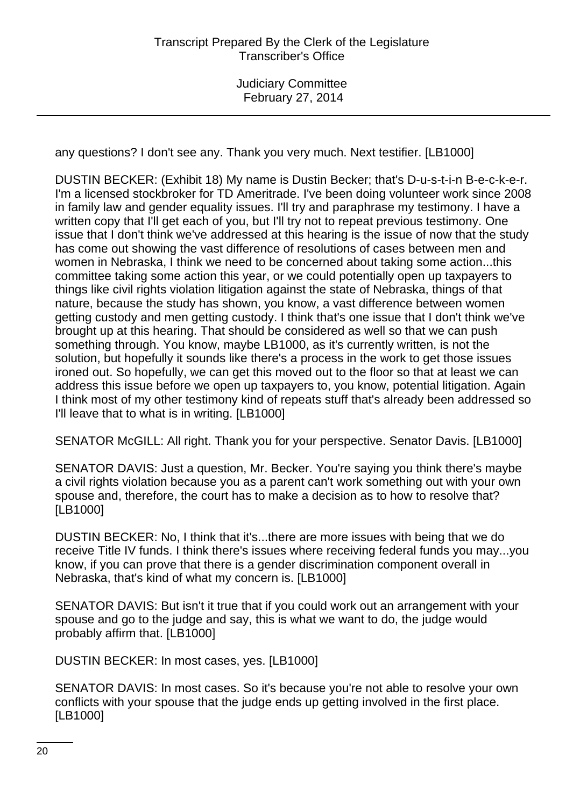any questions? I don't see any. Thank you very much. Next testifier. [LB1000]

DUSTIN BECKER: (Exhibit 18) My name is Dustin Becker; that's D-u-s-t-i-n B-e-c-k-e-r. I'm a licensed stockbroker for TD Ameritrade. I've been doing volunteer work since 2008 in family law and gender equality issues. I'll try and paraphrase my testimony. I have a written copy that I'll get each of you, but I'll try not to repeat previous testimony. One issue that I don't think we've addressed at this hearing is the issue of now that the study has come out showing the vast difference of resolutions of cases between men and women in Nebraska, I think we need to be concerned about taking some action...this committee taking some action this year, or we could potentially open up taxpayers to things like civil rights violation litigation against the state of Nebraska, things of that nature, because the study has shown, you know, a vast difference between women getting custody and men getting custody. I think that's one issue that I don't think we've brought up at this hearing. That should be considered as well so that we can push something through. You know, maybe LB1000, as it's currently written, is not the solution, but hopefully it sounds like there's a process in the work to get those issues ironed out. So hopefully, we can get this moved out to the floor so that at least we can address this issue before we open up taxpayers to, you know, potential litigation. Again I think most of my other testimony kind of repeats stuff that's already been addressed so I'll leave that to what is in writing. [LB1000]

SENATOR McGILL: All right. Thank you for your perspective. Senator Davis. [LB1000]

SENATOR DAVIS: Just a question, Mr. Becker. You're saying you think there's maybe a civil rights violation because you as a parent can't work something out with your own spouse and, therefore, the court has to make a decision as to how to resolve that? [LB1000]

DUSTIN BECKER: No, I think that it's...there are more issues with being that we do receive Title IV funds. I think there's issues where receiving federal funds you may...you know, if you can prove that there is a gender discrimination component overall in Nebraska, that's kind of what my concern is. [LB1000]

SENATOR DAVIS: But isn't it true that if you could work out an arrangement with your spouse and go to the judge and say, this is what we want to do, the judge would probably affirm that. [LB1000]

DUSTIN BECKER: In most cases, yes. [LB1000]

SENATOR DAVIS: In most cases. So it's because you're not able to resolve your own conflicts with your spouse that the judge ends up getting involved in the first place. [LB1000]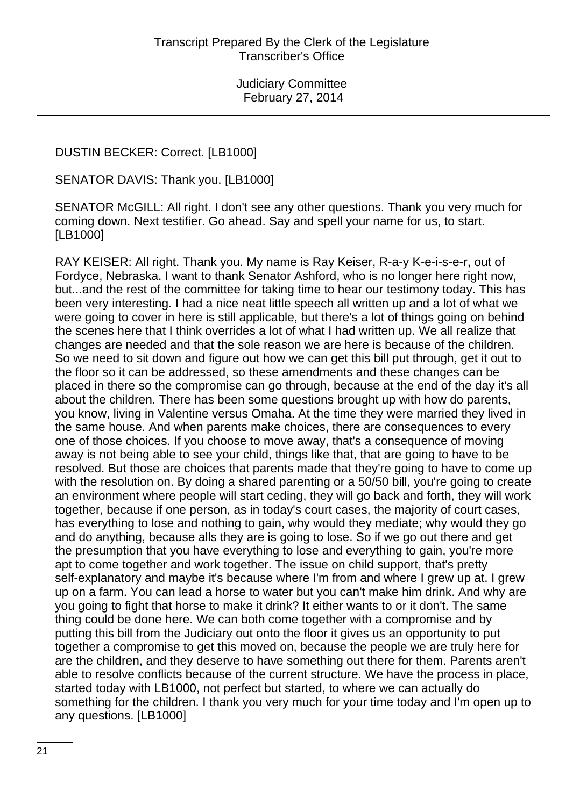DUSTIN BECKER: Correct. [LB1000]

SENATOR DAVIS: Thank you. [LB1000]

SENATOR McGILL: All right. I don't see any other questions. Thank you very much for coming down. Next testifier. Go ahead. Say and spell your name for us, to start. [LB1000]

RAY KEISER: All right. Thank you. My name is Ray Keiser, R-a-y K-e-i-s-e-r, out of Fordyce, Nebraska. I want to thank Senator Ashford, who is no longer here right now, but...and the rest of the committee for taking time to hear our testimony today. This has been very interesting. I had a nice neat little speech all written up and a lot of what we were going to cover in here is still applicable, but there's a lot of things going on behind the scenes here that I think overrides a lot of what I had written up. We all realize that changes are needed and that the sole reason we are here is because of the children. So we need to sit down and figure out how we can get this bill put through, get it out to the floor so it can be addressed, so these amendments and these changes can be placed in there so the compromise can go through, because at the end of the day it's all about the children. There has been some questions brought up with how do parents, you know, living in Valentine versus Omaha. At the time they were married they lived in the same house. And when parents make choices, there are consequences to every one of those choices. If you choose to move away, that's a consequence of moving away is not being able to see your child, things like that, that are going to have to be resolved. But those are choices that parents made that they're going to have to come up with the resolution on. By doing a shared parenting or a 50/50 bill, you're going to create an environment where people will start ceding, they will go back and forth, they will work together, because if one person, as in today's court cases, the majority of court cases, has everything to lose and nothing to gain, why would they mediate; why would they go and do anything, because alls they are is going to lose. So if we go out there and get the presumption that you have everything to lose and everything to gain, you're more apt to come together and work together. The issue on child support, that's pretty self-explanatory and maybe it's because where I'm from and where I grew up at. I grew up on a farm. You can lead a horse to water but you can't make him drink. And why are you going to fight that horse to make it drink? It either wants to or it don't. The same thing could be done here. We can both come together with a compromise and by putting this bill from the Judiciary out onto the floor it gives us an opportunity to put together a compromise to get this moved on, because the people we are truly here for are the children, and they deserve to have something out there for them. Parents aren't able to resolve conflicts because of the current structure. We have the process in place, started today with LB1000, not perfect but started, to where we can actually do something for the children. I thank you very much for your time today and I'm open up to any questions. [LB1000]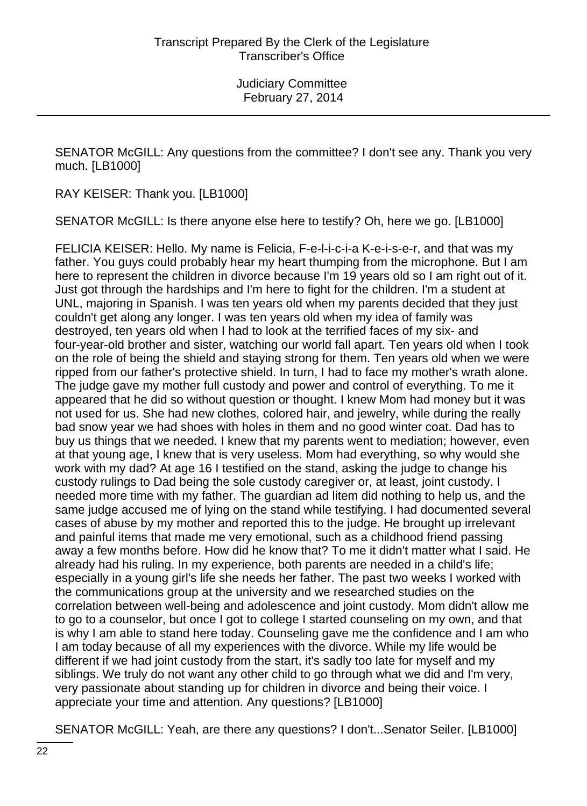SENATOR McGILL: Any questions from the committee? I don't see any. Thank you very much. [LB1000]

RAY KEISER: Thank you. [LB1000]

SENATOR McGILL: Is there anyone else here to testify? Oh, here we go. [LB1000]

FELICIA KEISER: Hello. My name is Felicia, F-e-l-i-c-i-a K-e-i-s-e-r, and that was my father. You guys could probably hear my heart thumping from the microphone. But I am here to represent the children in divorce because I'm 19 years old so I am right out of it. Just got through the hardships and I'm here to fight for the children. I'm a student at UNL, majoring in Spanish. I was ten years old when my parents decided that they just couldn't get along any longer. I was ten years old when my idea of family was destroyed, ten years old when I had to look at the terrified faces of my six- and four-year-old brother and sister, watching our world fall apart. Ten years old when I took on the role of being the shield and staying strong for them. Ten years old when we were ripped from our father's protective shield. In turn, I had to face my mother's wrath alone. The judge gave my mother full custody and power and control of everything. To me it appeared that he did so without question or thought. I knew Mom had money but it was not used for us. She had new clothes, colored hair, and jewelry, while during the really bad snow year we had shoes with holes in them and no good winter coat. Dad has to buy us things that we needed. I knew that my parents went to mediation; however, even at that young age, I knew that is very useless. Mom had everything, so why would she work with my dad? At age 16 I testified on the stand, asking the judge to change his custody rulings to Dad being the sole custody caregiver or, at least, joint custody. I needed more time with my father. The guardian ad litem did nothing to help us, and the same judge accused me of lying on the stand while testifying. I had documented several cases of abuse by my mother and reported this to the judge. He brought up irrelevant and painful items that made me very emotional, such as a childhood friend passing away a few months before. How did he know that? To me it didn't matter what I said. He already had his ruling. In my experience, both parents are needed in a child's life; especially in a young girl's life she needs her father. The past two weeks I worked with the communications group at the university and we researched studies on the correlation between well-being and adolescence and joint custody. Mom didn't allow me to go to a counselor, but once I got to college I started counseling on my own, and that is why I am able to stand here today. Counseling gave me the confidence and I am who I am today because of all my experiences with the divorce. While my life would be different if we had joint custody from the start, it's sadly too late for myself and my siblings. We truly do not want any other child to go through what we did and I'm very, very passionate about standing up for children in divorce and being their voice. I appreciate your time and attention. Any questions? [LB1000]

SENATOR McGILL: Yeah, are there any questions? I don't...Senator Seiler. [LB1000]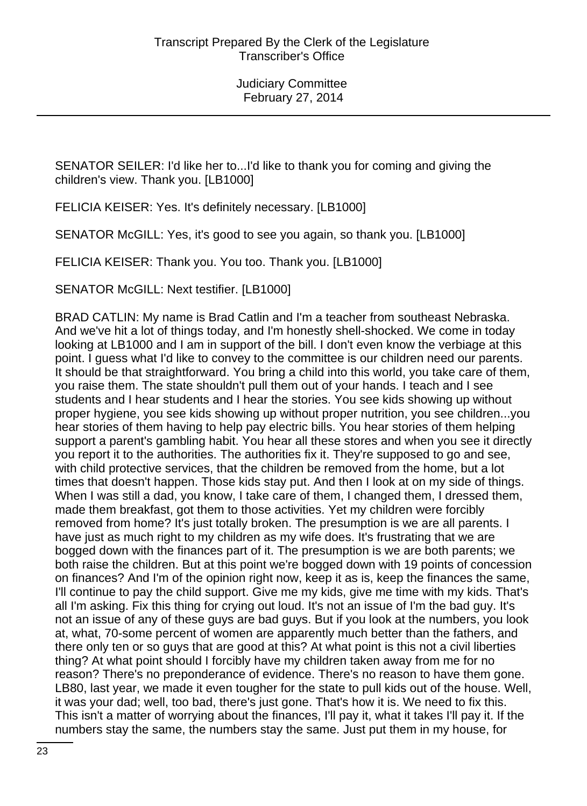SENATOR SEILER: I'd like her to...I'd like to thank you for coming and giving the children's view. Thank you. [LB1000]

FELICIA KEISER: Yes. It's definitely necessary. [LB1000]

SENATOR McGILL: Yes, it's good to see you again, so thank you. [LB1000]

FELICIA KEISER: Thank you. You too. Thank you. [LB1000]

SENATOR McGILL: Next testifier. [LB1000]

BRAD CATLIN: My name is Brad Catlin and I'm a teacher from southeast Nebraska. And we've hit a lot of things today, and I'm honestly shell-shocked. We come in today looking at LB1000 and I am in support of the bill. I don't even know the verbiage at this point. I guess what I'd like to convey to the committee is our children need our parents. It should be that straightforward. You bring a child into this world, you take care of them, you raise them. The state shouldn't pull them out of your hands. I teach and I see students and I hear students and I hear the stories. You see kids showing up without proper hygiene, you see kids showing up without proper nutrition, you see children...you hear stories of them having to help pay electric bills. You hear stories of them helping support a parent's gambling habit. You hear all these stores and when you see it directly you report it to the authorities. The authorities fix it. They're supposed to go and see, with child protective services, that the children be removed from the home, but a lot times that doesn't happen. Those kids stay put. And then I look at on my side of things. When I was still a dad, you know, I take care of them, I changed them, I dressed them, made them breakfast, got them to those activities. Yet my children were forcibly removed from home? It's just totally broken. The presumption is we are all parents. I have just as much right to my children as my wife does. It's frustrating that we are bogged down with the finances part of it. The presumption is we are both parents; we both raise the children. But at this point we're bogged down with 19 points of concession on finances? And I'm of the opinion right now, keep it as is, keep the finances the same, I'll continue to pay the child support. Give me my kids, give me time with my kids. That's all I'm asking. Fix this thing for crying out loud. It's not an issue of I'm the bad guy. It's not an issue of any of these guys are bad guys. But if you look at the numbers, you look at, what, 70-some percent of women are apparently much better than the fathers, and there only ten or so guys that are good at this? At what point is this not a civil liberties thing? At what point should I forcibly have my children taken away from me for no reason? There's no preponderance of evidence. There's no reason to have them gone. LB80, last year, we made it even tougher for the state to pull kids out of the house. Well, it was your dad; well, too bad, there's just gone. That's how it is. We need to fix this. This isn't a matter of worrying about the finances, I'll pay it, what it takes I'll pay it. If the numbers stay the same, the numbers stay the same. Just put them in my house, for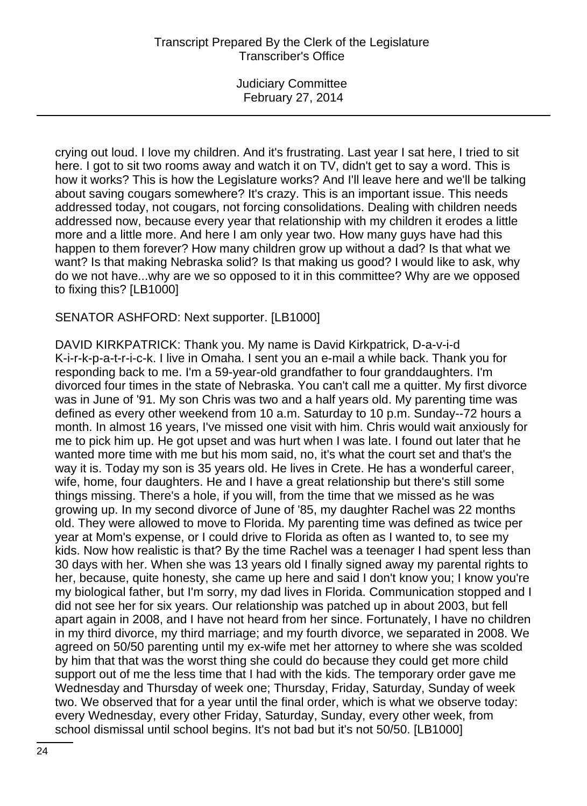crying out loud. I love my children. And it's frustrating. Last year I sat here, I tried to sit here. I got to sit two rooms away and watch it on TV, didn't get to say a word. This is how it works? This is how the Legislature works? And I'll leave here and we'll be talking about saving cougars somewhere? It's crazy. This is an important issue. This needs addressed today, not cougars, not forcing consolidations. Dealing with children needs addressed now, because every year that relationship with my children it erodes a little more and a little more. And here I am only year two. How many guys have had this happen to them forever? How many children grow up without a dad? Is that what we want? Is that making Nebraska solid? Is that making us good? I would like to ask, why do we not have...why are we so opposed to it in this committee? Why are we opposed to fixing this? [LB1000]

### SENATOR ASHFORD: Next supporter. [LB1000]

DAVID KIRKPATRICK: Thank you. My name is David Kirkpatrick, D-a-v-i-d K-i-r-k-p-a-t-r-i-c-k. I live in Omaha. I sent you an e-mail a while back. Thank you for responding back to me. I'm a 59-year-old grandfather to four granddaughters. I'm divorced four times in the state of Nebraska. You can't call me a quitter. My first divorce was in June of '91. My son Chris was two and a half years old. My parenting time was defined as every other weekend from 10 a.m. Saturday to 10 p.m. Sunday--72 hours a month. In almost 16 years, I've missed one visit with him. Chris would wait anxiously for me to pick him up. He got upset and was hurt when I was late. I found out later that he wanted more time with me but his mom said, no, it's what the court set and that's the way it is. Today my son is 35 years old. He lives in Crete. He has a wonderful career, wife, home, four daughters. He and I have a great relationship but there's still some things missing. There's a hole, if you will, from the time that we missed as he was growing up. In my second divorce of June of '85, my daughter Rachel was 22 months old. They were allowed to move to Florida. My parenting time was defined as twice per year at Mom's expense, or I could drive to Florida as often as I wanted to, to see my kids. Now how realistic is that? By the time Rachel was a teenager I had spent less than 30 days with her. When she was 13 years old I finally signed away my parental rights to her, because, quite honesty, she came up here and said I don't know you; I know you're my biological father, but I'm sorry, my dad lives in Florida. Communication stopped and I did not see her for six years. Our relationship was patched up in about 2003, but fell apart again in 2008, and I have not heard from her since. Fortunately, I have no children in my third divorce, my third marriage; and my fourth divorce, we separated in 2008. We agreed on 50/50 parenting until my ex-wife met her attorney to where she was scolded by him that that was the worst thing she could do because they could get more child support out of me the less time that I had with the kids. The temporary order gave me Wednesday and Thursday of week one; Thursday, Friday, Saturday, Sunday of week two. We observed that for a year until the final order, which is what we observe today: every Wednesday, every other Friday, Saturday, Sunday, every other week, from school dismissal until school begins. It's not bad but it's not 50/50. [LB1000]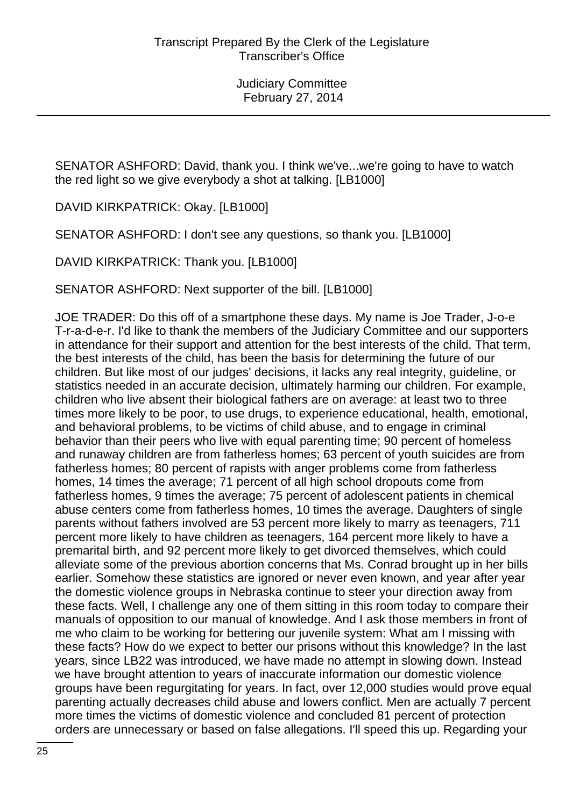SENATOR ASHFORD: David, thank you. I think we've...we're going to have to watch the red light so we give everybody a shot at talking. [LB1000]

DAVID KIRKPATRICK: Okay. [LB1000]

SENATOR ASHFORD: I don't see any questions, so thank you. [LB1000]

DAVID KIRKPATRICK: Thank you. [LB1000]

SENATOR ASHFORD: Next supporter of the bill. [LB1000]

JOE TRADER: Do this off of a smartphone these days. My name is Joe Trader, J-o-e T-r-a-d-e-r. I'd like to thank the members of the Judiciary Committee and our supporters in attendance for their support and attention for the best interests of the child. That term, the best interests of the child, has been the basis for determining the future of our children. But like most of our judges' decisions, it lacks any real integrity, guideline, or statistics needed in an accurate decision, ultimately harming our children. For example, children who live absent their biological fathers are on average: at least two to three times more likely to be poor, to use drugs, to experience educational, health, emotional, and behavioral problems, to be victims of child abuse, and to engage in criminal behavior than their peers who live with equal parenting time; 90 percent of homeless and runaway children are from fatherless homes; 63 percent of youth suicides are from fatherless homes; 80 percent of rapists with anger problems come from fatherless homes, 14 times the average; 71 percent of all high school dropouts come from fatherless homes, 9 times the average; 75 percent of adolescent patients in chemical abuse centers come from fatherless homes, 10 times the average. Daughters of single parents without fathers involved are 53 percent more likely to marry as teenagers, 711 percent more likely to have children as teenagers, 164 percent more likely to have a premarital birth, and 92 percent more likely to get divorced themselves, which could alleviate some of the previous abortion concerns that Ms. Conrad brought up in her bills earlier. Somehow these statistics are ignored or never even known, and year after year the domestic violence groups in Nebraska continue to steer your direction away from these facts. Well, I challenge any one of them sitting in this room today to compare their manuals of opposition to our manual of knowledge. And I ask those members in front of me who claim to be working for bettering our juvenile system: What am I missing with these facts? How do we expect to better our prisons without this knowledge? In the last years, since LB22 was introduced, we have made no attempt in slowing down. Instead we have brought attention to years of inaccurate information our domestic violence groups have been regurgitating for years. In fact, over 12,000 studies would prove equal parenting actually decreases child abuse and lowers conflict. Men are actually 7 percent more times the victims of domestic violence and concluded 81 percent of protection orders are unnecessary or based on false allegations. I'll speed this up. Regarding your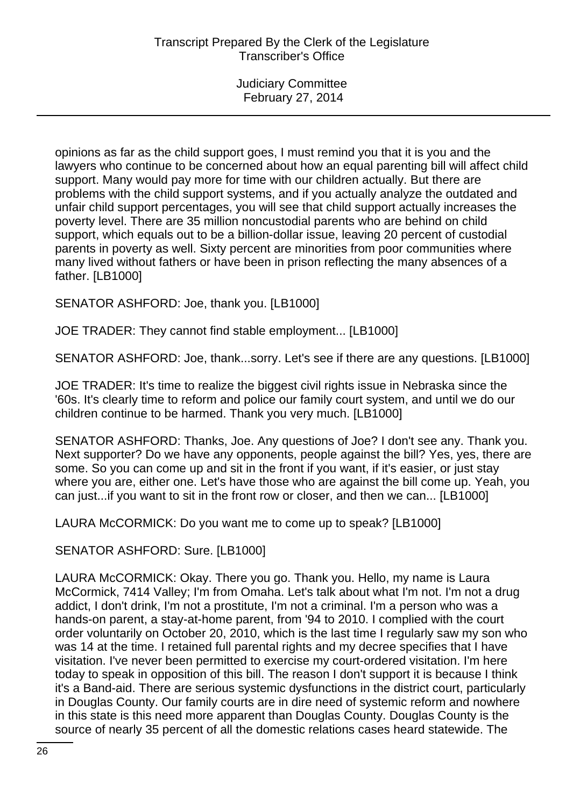opinions as far as the child support goes, I must remind you that it is you and the lawyers who continue to be concerned about how an equal parenting bill will affect child support. Many would pay more for time with our children actually. But there are problems with the child support systems, and if you actually analyze the outdated and unfair child support percentages, you will see that child support actually increases the poverty level. There are 35 million noncustodial parents who are behind on child support, which equals out to be a billion-dollar issue, leaving 20 percent of custodial parents in poverty as well. Sixty percent are minorities from poor communities where many lived without fathers or have been in prison reflecting the many absences of a father. [LB1000]

SENATOR ASHFORD: Joe, thank you. [LB1000]

JOE TRADER: They cannot find stable employment... [LB1000]

SENATOR ASHFORD: Joe, thank...sorry. Let's see if there are any questions. [LB1000]

JOE TRADER: It's time to realize the biggest civil rights issue in Nebraska since the '60s. It's clearly time to reform and police our family court system, and until we do our children continue to be harmed. Thank you very much. [LB1000]

SENATOR ASHFORD: Thanks, Joe. Any questions of Joe? I don't see any. Thank you. Next supporter? Do we have any opponents, people against the bill? Yes, yes, there are some. So you can come up and sit in the front if you want, if it's easier, or just stay where you are, either one. Let's have those who are against the bill come up. Yeah, you can just...if you want to sit in the front row or closer, and then we can... [LB1000]

LAURA McCORMICK: Do you want me to come up to speak? [LB1000]

SENATOR ASHFORD: Sure. [LB1000]

LAURA McCORMICK: Okay. There you go. Thank you. Hello, my name is Laura McCormick, 7414 Valley; I'm from Omaha. Let's talk about what I'm not. I'm not a drug addict, I don't drink, I'm not a prostitute, I'm not a criminal. I'm a person who was a hands-on parent, a stay-at-home parent, from '94 to 2010. I complied with the court order voluntarily on October 20, 2010, which is the last time I regularly saw my son who was 14 at the time. I retained full parental rights and my decree specifies that I have visitation. I've never been permitted to exercise my court-ordered visitation. I'm here today to speak in opposition of this bill. The reason I don't support it is because I think it's a Band-aid. There are serious systemic dysfunctions in the district court, particularly in Douglas County. Our family courts are in dire need of systemic reform and nowhere in this state is this need more apparent than Douglas County. Douglas County is the source of nearly 35 percent of all the domestic relations cases heard statewide. The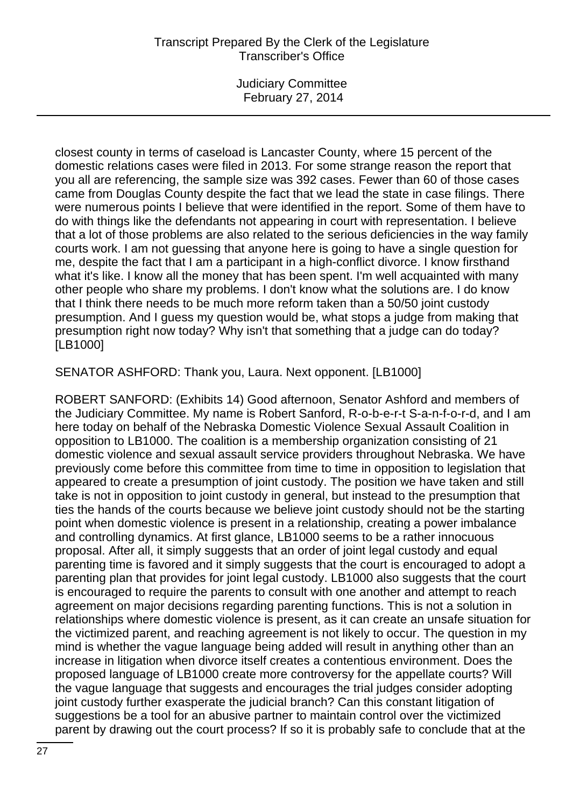Judiciary Committee February 27, 2014

closest county in terms of caseload is Lancaster County, where 15 percent of the domestic relations cases were filed in 2013. For some strange reason the report that you all are referencing, the sample size was 392 cases. Fewer than 60 of those cases came from Douglas County despite the fact that we lead the state in case filings. There were numerous points I believe that were identified in the report. Some of them have to do with things like the defendants not appearing in court with representation. I believe that a lot of those problems are also related to the serious deficiencies in the way family courts work. I am not guessing that anyone here is going to have a single question for me, despite the fact that I am a participant in a high-conflict divorce. I know firsthand what it's like. I know all the money that has been spent. I'm well acquainted with many other people who share my problems. I don't know what the solutions are. I do know that I think there needs to be much more reform taken than a 50/50 joint custody presumption. And I guess my question would be, what stops a judge from making that presumption right now today? Why isn't that something that a judge can do today? [LB1000]

SENATOR ASHFORD: Thank you, Laura. Next opponent. [LB1000]

ROBERT SANFORD: (Exhibits 14) Good afternoon, Senator Ashford and members of the Judiciary Committee. My name is Robert Sanford, R-o-b-e-r-t S-a-n-f-o-r-d, and I am here today on behalf of the Nebraska Domestic Violence Sexual Assault Coalition in opposition to LB1000. The coalition is a membership organization consisting of 21 domestic violence and sexual assault service providers throughout Nebraska. We have previously come before this committee from time to time in opposition to legislation that appeared to create a presumption of joint custody. The position we have taken and still take is not in opposition to joint custody in general, but instead to the presumption that ties the hands of the courts because we believe joint custody should not be the starting point when domestic violence is present in a relationship, creating a power imbalance and controlling dynamics. At first glance, LB1000 seems to be a rather innocuous proposal. After all, it simply suggests that an order of joint legal custody and equal parenting time is favored and it simply suggests that the court is encouraged to adopt a parenting plan that provides for joint legal custody. LB1000 also suggests that the court is encouraged to require the parents to consult with one another and attempt to reach agreement on major decisions regarding parenting functions. This is not a solution in relationships where domestic violence is present, as it can create an unsafe situation for the victimized parent, and reaching agreement is not likely to occur. The question in my mind is whether the vague language being added will result in anything other than an increase in litigation when divorce itself creates a contentious environment. Does the proposed language of LB1000 create more controversy for the appellate courts? Will the vague language that suggests and encourages the trial judges consider adopting joint custody further exasperate the judicial branch? Can this constant litigation of suggestions be a tool for an abusive partner to maintain control over the victimized parent by drawing out the court process? If so it is probably safe to conclude that at the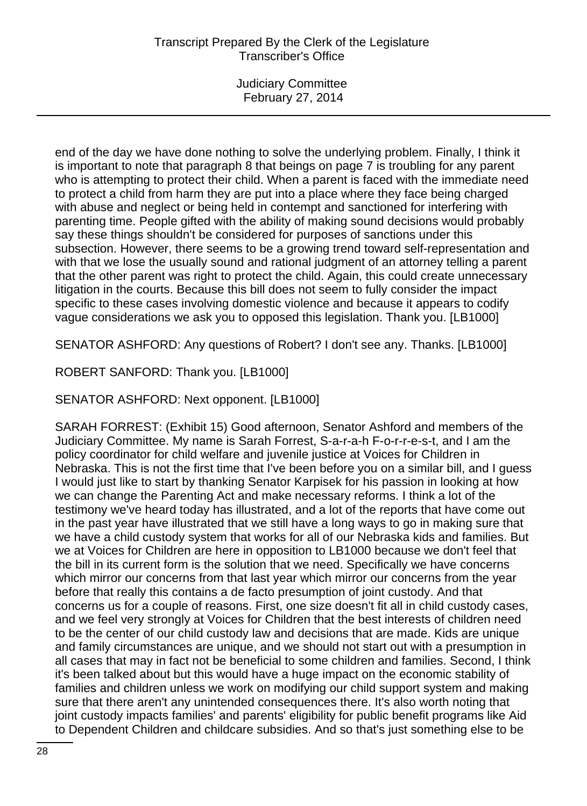Judiciary Committee February 27, 2014

end of the day we have done nothing to solve the underlying problem. Finally, I think it is important to note that paragraph 8 that beings on page 7 is troubling for any parent who is attempting to protect their child. When a parent is faced with the immediate need to protect a child from harm they are put into a place where they face being charged with abuse and neglect or being held in contempt and sanctioned for interfering with parenting time. People gifted with the ability of making sound decisions would probably say these things shouldn't be considered for purposes of sanctions under this subsection. However, there seems to be a growing trend toward self-representation and with that we lose the usually sound and rational judgment of an attorney telling a parent that the other parent was right to protect the child. Again, this could create unnecessary litigation in the courts. Because this bill does not seem to fully consider the impact specific to these cases involving domestic violence and because it appears to codify vague considerations we ask you to opposed this legislation. Thank you. [LB1000]

SENATOR ASHFORD: Any questions of Robert? I don't see any. Thanks. [LB1000]

ROBERT SANFORD: Thank you. [LB1000]

SENATOR ASHFORD: Next opponent. [LB1000]

SARAH FORREST: (Exhibit 15) Good afternoon, Senator Ashford and members of the Judiciary Committee. My name is Sarah Forrest, S-a-r-a-h F-o-r-r-e-s-t, and I am the policy coordinator for child welfare and juvenile justice at Voices for Children in Nebraska. This is not the first time that I've been before you on a similar bill, and I guess I would just like to start by thanking Senator Karpisek for his passion in looking at how we can change the Parenting Act and make necessary reforms. I think a lot of the testimony we've heard today has illustrated, and a lot of the reports that have come out in the past year have illustrated that we still have a long ways to go in making sure that we have a child custody system that works for all of our Nebraska kids and families. But we at Voices for Children are here in opposition to LB1000 because we don't feel that the bill in its current form is the solution that we need. Specifically we have concerns which mirror our concerns from that last year which mirror our concerns from the year before that really this contains a de facto presumption of joint custody. And that concerns us for a couple of reasons. First, one size doesn't fit all in child custody cases, and we feel very strongly at Voices for Children that the best interests of children need to be the center of our child custody law and decisions that are made. Kids are unique and family circumstances are unique, and we should not start out with a presumption in all cases that may in fact not be beneficial to some children and families. Second, I think it's been talked about but this would have a huge impact on the economic stability of families and children unless we work on modifying our child support system and making sure that there aren't any unintended consequences there. It's also worth noting that joint custody impacts families' and parents' eligibility for public benefit programs like Aid to Dependent Children and childcare subsidies. And so that's just something else to be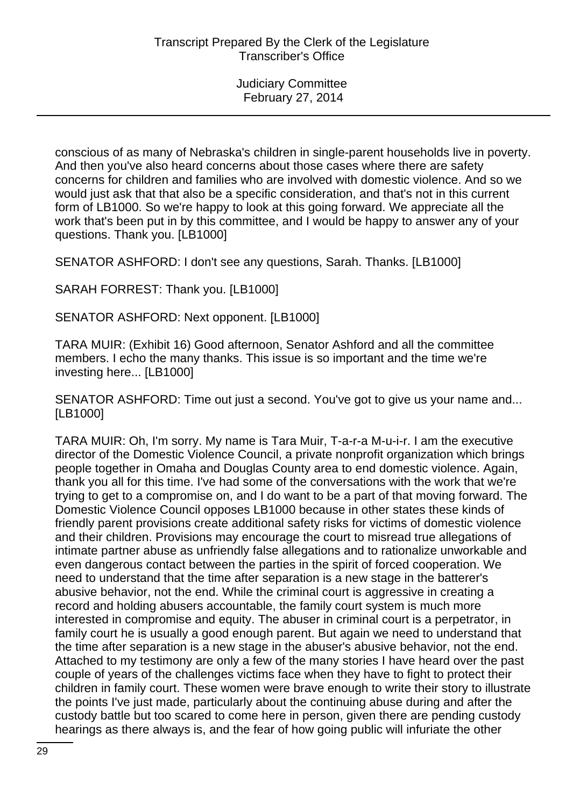conscious of as many of Nebraska's children in single-parent households live in poverty. And then you've also heard concerns about those cases where there are safety concerns for children and families who are involved with domestic violence. And so we would just ask that that also be a specific consideration, and that's not in this current form of LB1000. So we're happy to look at this going forward. We appreciate all the work that's been put in by this committee, and I would be happy to answer any of your questions. Thank you. [LB1000]

SENATOR ASHFORD: I don't see any questions, Sarah. Thanks. [LB1000]

SARAH FORREST: Thank you. [LB1000]

SENATOR ASHFORD: Next opponent. [LB1000]

TARA MUIR: (Exhibit 16) Good afternoon, Senator Ashford and all the committee members. I echo the many thanks. This issue is so important and the time we're investing here... [LB1000]

SENATOR ASHFORD: Time out just a second. You've got to give us your name and... [LB1000]

TARA MUIR: Oh, I'm sorry. My name is Tara Muir, T-a-r-a M-u-i-r. I am the executive director of the Domestic Violence Council, a private nonprofit organization which brings people together in Omaha and Douglas County area to end domestic violence. Again, thank you all for this time. I've had some of the conversations with the work that we're trying to get to a compromise on, and I do want to be a part of that moving forward. The Domestic Violence Council opposes LB1000 because in other states these kinds of friendly parent provisions create additional safety risks for victims of domestic violence and their children. Provisions may encourage the court to misread true allegations of intimate partner abuse as unfriendly false allegations and to rationalize unworkable and even dangerous contact between the parties in the spirit of forced cooperation. We need to understand that the time after separation is a new stage in the batterer's abusive behavior, not the end. While the criminal court is aggressive in creating a record and holding abusers accountable, the family court system is much more interested in compromise and equity. The abuser in criminal court is a perpetrator, in family court he is usually a good enough parent. But again we need to understand that the time after separation is a new stage in the abuser's abusive behavior, not the end. Attached to my testimony are only a few of the many stories I have heard over the past couple of years of the challenges victims face when they have to fight to protect their children in family court. These women were brave enough to write their story to illustrate the points I've just made, particularly about the continuing abuse during and after the custody battle but too scared to come here in person, given there are pending custody hearings as there always is, and the fear of how going public will infuriate the other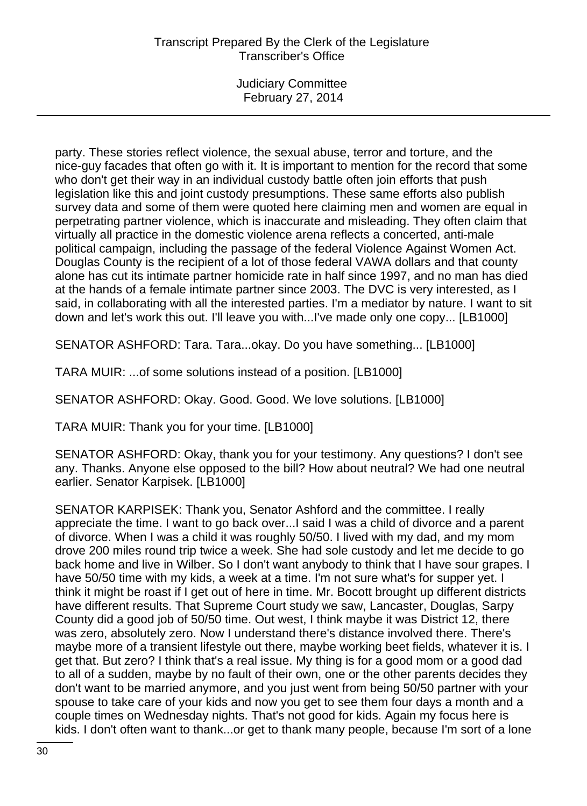Judiciary Committee February 27, 2014

party. These stories reflect violence, the sexual abuse, terror and torture, and the nice-guy facades that often go with it. It is important to mention for the record that some who don't get their way in an individual custody battle often join efforts that push legislation like this and joint custody presumptions. These same efforts also publish survey data and some of them were quoted here claiming men and women are equal in perpetrating partner violence, which is inaccurate and misleading. They often claim that virtually all practice in the domestic violence arena reflects a concerted, anti-male political campaign, including the passage of the federal Violence Against Women Act. Douglas County is the recipient of a lot of those federal VAWA dollars and that county alone has cut its intimate partner homicide rate in half since 1997, and no man has died at the hands of a female intimate partner since 2003. The DVC is very interested, as I said, in collaborating with all the interested parties. I'm a mediator by nature. I want to sit down and let's work this out. I'll leave you with...I've made only one copy... [LB1000]

SENATOR ASHFORD: Tara. Tara...okay. Do you have something... [LB1000]

TARA MUIR: ...of some solutions instead of a position. [LB1000]

SENATOR ASHFORD: Okay. Good. Good. We love solutions. [LB1000]

TARA MUIR: Thank you for your time. [LB1000]

SENATOR ASHFORD: Okay, thank you for your testimony. Any questions? I don't see any. Thanks. Anyone else opposed to the bill? How about neutral? We had one neutral earlier. Senator Karpisek. [LB1000]

SENATOR KARPISEK: Thank you, Senator Ashford and the committee. I really appreciate the time. I want to go back over...I said I was a child of divorce and a parent of divorce. When I was a child it was roughly 50/50. I lived with my dad, and my mom drove 200 miles round trip twice a week. She had sole custody and let me decide to go back home and live in Wilber. So I don't want anybody to think that I have sour grapes. I have 50/50 time with my kids, a week at a time. I'm not sure what's for supper yet. I think it might be roast if I get out of here in time. Mr. Bocott brought up different districts have different results. That Supreme Court study we saw, Lancaster, Douglas, Sarpy County did a good job of 50/50 time. Out west, I think maybe it was District 12, there was zero, absolutely zero. Now I understand there's distance involved there. There's maybe more of a transient lifestyle out there, maybe working beet fields, whatever it is. I get that. But zero? I think that's a real issue. My thing is for a good mom or a good dad to all of a sudden, maybe by no fault of their own, one or the other parents decides they don't want to be married anymore, and you just went from being 50/50 partner with your spouse to take care of your kids and now you get to see them four days a month and a couple times on Wednesday nights. That's not good for kids. Again my focus here is kids. I don't often want to thank...or get to thank many people, because I'm sort of a lone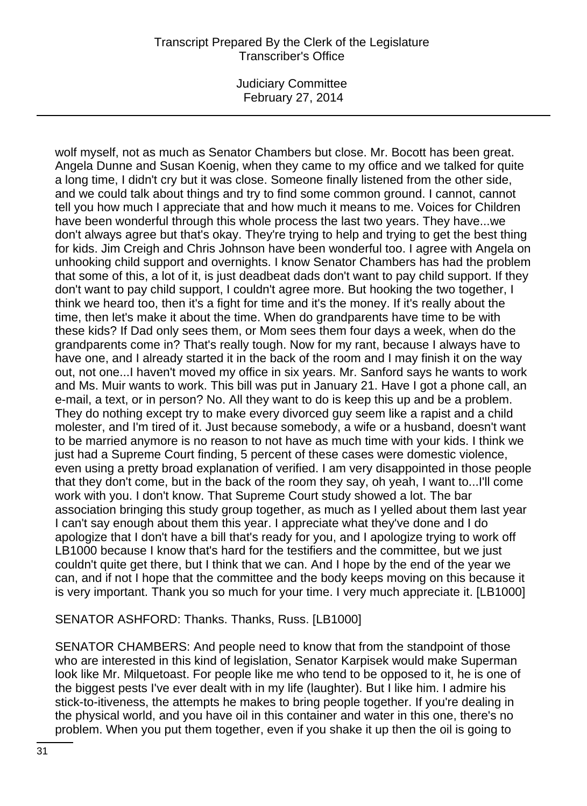Judiciary Committee February 27, 2014

wolf myself, not as much as Senator Chambers but close. Mr. Bocott has been great. Angela Dunne and Susan Koenig, when they came to my office and we talked for quite a long time, I didn't cry but it was close. Someone finally listened from the other side, and we could talk about things and try to find some common ground. I cannot, cannot tell you how much I appreciate that and how much it means to me. Voices for Children have been wonderful through this whole process the last two years. They have...we don't always agree but that's okay. They're trying to help and trying to get the best thing for kids. Jim Creigh and Chris Johnson have been wonderful too. I agree with Angela on unhooking child support and overnights. I know Senator Chambers has had the problem that some of this, a lot of it, is just deadbeat dads don't want to pay child support. If they don't want to pay child support, I couldn't agree more. But hooking the two together, I think we heard too, then it's a fight for time and it's the money. If it's really about the time, then let's make it about the time. When do grandparents have time to be with these kids? If Dad only sees them, or Mom sees them four days a week, when do the grandparents come in? That's really tough. Now for my rant, because I always have to have one, and I already started it in the back of the room and I may finish it on the way out, not one...I haven't moved my office in six years. Mr. Sanford says he wants to work and Ms. Muir wants to work. This bill was put in January 21. Have I got a phone call, an e-mail, a text, or in person? No. All they want to do is keep this up and be a problem. They do nothing except try to make every divorced guy seem like a rapist and a child molester, and I'm tired of it. Just because somebody, a wife or a husband, doesn't want to be married anymore is no reason to not have as much time with your kids. I think we just had a Supreme Court finding, 5 percent of these cases were domestic violence, even using a pretty broad explanation of verified. I am very disappointed in those people that they don't come, but in the back of the room they say, oh yeah, I want to...I'll come work with you. I don't know. That Supreme Court study showed a lot. The bar association bringing this study group together, as much as I yelled about them last year I can't say enough about them this year. I appreciate what they've done and I do apologize that I don't have a bill that's ready for you, and I apologize trying to work off LB1000 because I know that's hard for the testifiers and the committee, but we just couldn't quite get there, but I think that we can. And I hope by the end of the year we can, and if not I hope that the committee and the body keeps moving on this because it is very important. Thank you so much for your time. I very much appreciate it. [LB1000]

SENATOR ASHFORD: Thanks. Thanks, Russ. [LB1000]

SENATOR CHAMBERS: And people need to know that from the standpoint of those who are interested in this kind of legislation, Senator Karpisek would make Superman look like Mr. Milquetoast. For people like me who tend to be opposed to it, he is one of the biggest pests I've ever dealt with in my life (laughter). But I like him. I admire his stick-to-itiveness, the attempts he makes to bring people together. If you're dealing in the physical world, and you have oil in this container and water in this one, there's no problem. When you put them together, even if you shake it up then the oil is going to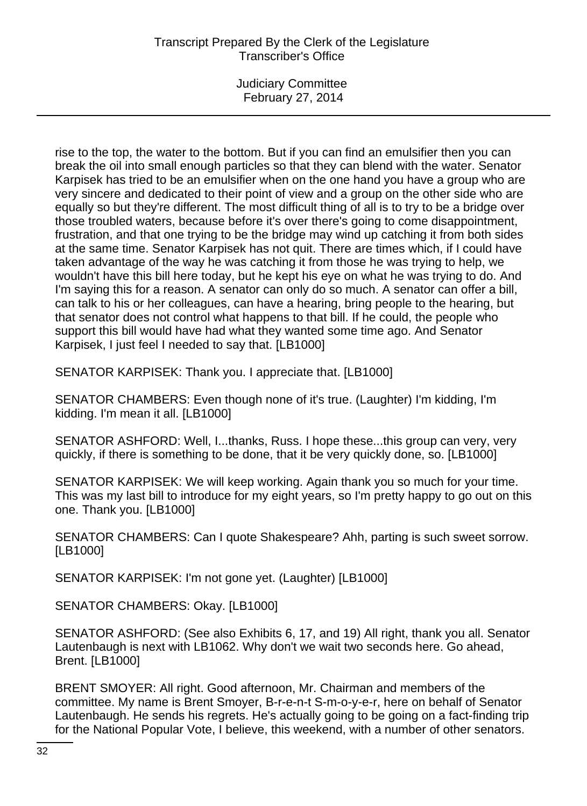Judiciary Committee February 27, 2014

rise to the top, the water to the bottom. But if you can find an emulsifier then you can break the oil into small enough particles so that they can blend with the water. Senator Karpisek has tried to be an emulsifier when on the one hand you have a group who are very sincere and dedicated to their point of view and a group on the other side who are equally so but they're different. The most difficult thing of all is to try to be a bridge over those troubled waters, because before it's over there's going to come disappointment, frustration, and that one trying to be the bridge may wind up catching it from both sides at the same time. Senator Karpisek has not quit. There are times which, if I could have taken advantage of the way he was catching it from those he was trying to help, we wouldn't have this bill here today, but he kept his eye on what he was trying to do. And I'm saying this for a reason. A senator can only do so much. A senator can offer a bill, can talk to his or her colleagues, can have a hearing, bring people to the hearing, but that senator does not control what happens to that bill. If he could, the people who support this bill would have had what they wanted some time ago. And Senator Karpisek, I just feel I needed to say that. [LB1000]

SENATOR KARPISEK: Thank you. I appreciate that. [LB1000]

SENATOR CHAMBERS: Even though none of it's true. (Laughter) I'm kidding, I'm kidding. I'm mean it all. [LB1000]

SENATOR ASHFORD: Well, I...thanks, Russ. I hope these...this group can very, very quickly, if there is something to be done, that it be very quickly done, so. [LB1000]

SENATOR KARPISEK: We will keep working. Again thank you so much for your time. This was my last bill to introduce for my eight years, so I'm pretty happy to go out on this one. Thank you. [LB1000]

SENATOR CHAMBERS: Can I quote Shakespeare? Ahh, parting is such sweet sorrow. [LB1000]

SENATOR KARPISEK: I'm not gone yet. (Laughter) [LB1000]

SENATOR CHAMBERS: Okay. [LB1000]

SENATOR ASHFORD: (See also Exhibits 6, 17, and 19) All right, thank you all. Senator Lautenbaugh is next with LB1062. Why don't we wait two seconds here. Go ahead, Brent. [LB1000]

BRENT SMOYER: All right. Good afternoon, Mr. Chairman and members of the committee. My name is Brent Smoyer, B-r-e-n-t S-m-o-y-e-r, here on behalf of Senator Lautenbaugh. He sends his regrets. He's actually going to be going on a fact-finding trip for the National Popular Vote, I believe, this weekend, with a number of other senators.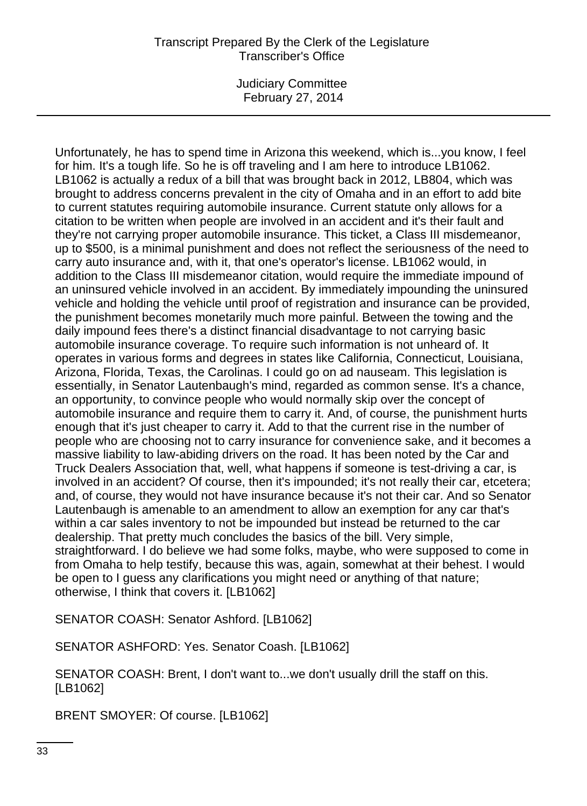Judiciary Committee February 27, 2014

Unfortunately, he has to spend time in Arizona this weekend, which is...you know, I feel for him. It's a tough life. So he is off traveling and I am here to introduce LB1062. LB1062 is actually a redux of a bill that was brought back in 2012, LB804, which was brought to address concerns prevalent in the city of Omaha and in an effort to add bite to current statutes requiring automobile insurance. Current statute only allows for a citation to be written when people are involved in an accident and it's their fault and they're not carrying proper automobile insurance. This ticket, a Class III misdemeanor, up to \$500, is a minimal punishment and does not reflect the seriousness of the need to carry auto insurance and, with it, that one's operator's license. LB1062 would, in addition to the Class III misdemeanor citation, would require the immediate impound of an uninsured vehicle involved in an accident. By immediately impounding the uninsured vehicle and holding the vehicle until proof of registration and insurance can be provided, the punishment becomes monetarily much more painful. Between the towing and the daily impound fees there's a distinct financial disadvantage to not carrying basic automobile insurance coverage. To require such information is not unheard of. It operates in various forms and degrees in states like California, Connecticut, Louisiana, Arizona, Florida, Texas, the Carolinas. I could go on ad nauseam. This legislation is essentially, in Senator Lautenbaugh's mind, regarded as common sense. It's a chance, an opportunity, to convince people who would normally skip over the concept of automobile insurance and require them to carry it. And, of course, the punishment hurts enough that it's just cheaper to carry it. Add to that the current rise in the number of people who are choosing not to carry insurance for convenience sake, and it becomes a massive liability to law-abiding drivers on the road. It has been noted by the Car and Truck Dealers Association that, well, what happens if someone is test-driving a car, is involved in an accident? Of course, then it's impounded; it's not really their car, etcetera; and, of course, they would not have insurance because it's not their car. And so Senator Lautenbaugh is amenable to an amendment to allow an exemption for any car that's within a car sales inventory to not be impounded but instead be returned to the car dealership. That pretty much concludes the basics of the bill. Very simple, straightforward. I do believe we had some folks, maybe, who were supposed to come in from Omaha to help testify, because this was, again, somewhat at their behest. I would be open to I guess any clarifications you might need or anything of that nature; otherwise, I think that covers it. [LB1062]

SENATOR COASH: Senator Ashford. [LB1062]

SENATOR ASHFORD: Yes. Senator Coash. [LB1062]

SENATOR COASH: Brent, I don't want to...we don't usually drill the staff on this. [LB1062]

BRENT SMOYER: Of course. [LB1062]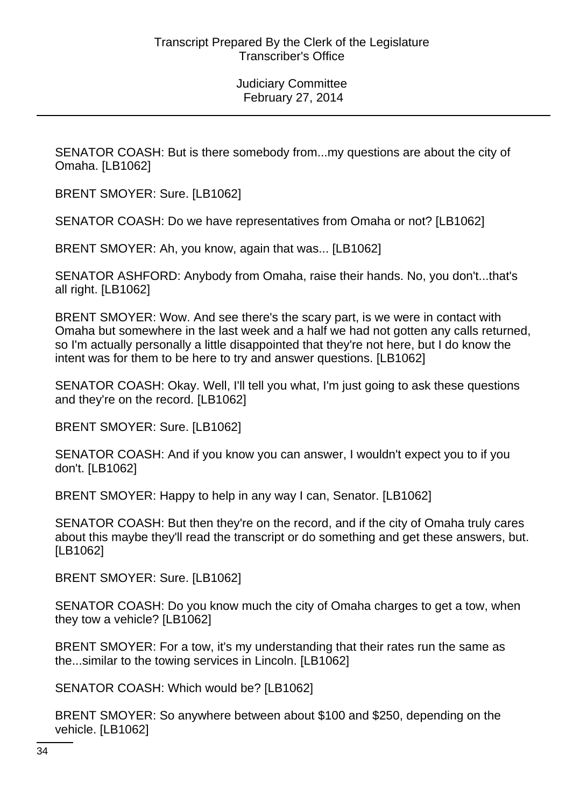SENATOR COASH: But is there somebody from...my questions are about the city of Omaha. [LB1062]

BRENT SMOYER: Sure. [LB1062]

SENATOR COASH: Do we have representatives from Omaha or not? [LB1062]

BRENT SMOYER: Ah, you know, again that was... [LB1062]

SENATOR ASHFORD: Anybody from Omaha, raise their hands. No, you don't...that's all right. [LB1062]

BRENT SMOYER: Wow. And see there's the scary part, is we were in contact with Omaha but somewhere in the last week and a half we had not gotten any calls returned, so I'm actually personally a little disappointed that they're not here, but I do know the intent was for them to be here to try and answer questions. [LB1062]

SENATOR COASH: Okay. Well, I'll tell you what, I'm just going to ask these questions and they're on the record. [LB1062]

BRENT SMOYER: Sure. [LB1062]

SENATOR COASH: And if you know you can answer, I wouldn't expect you to if you don't. [LB1062]

BRENT SMOYER: Happy to help in any way I can, Senator. [LB1062]

SENATOR COASH: But then they're on the record, and if the city of Omaha truly cares about this maybe they'll read the transcript or do something and get these answers, but. [LB1062]

BRENT SMOYER: Sure. [LB1062]

SENATOR COASH: Do you know much the city of Omaha charges to get a tow, when they tow a vehicle? [LB1062]

BRENT SMOYER: For a tow, it's my understanding that their rates run the same as the...similar to the towing services in Lincoln. [LB1062]

SENATOR COASH: Which would be? [LB1062]

BRENT SMOYER: So anywhere between about \$100 and \$250, depending on the vehicle. [LB1062]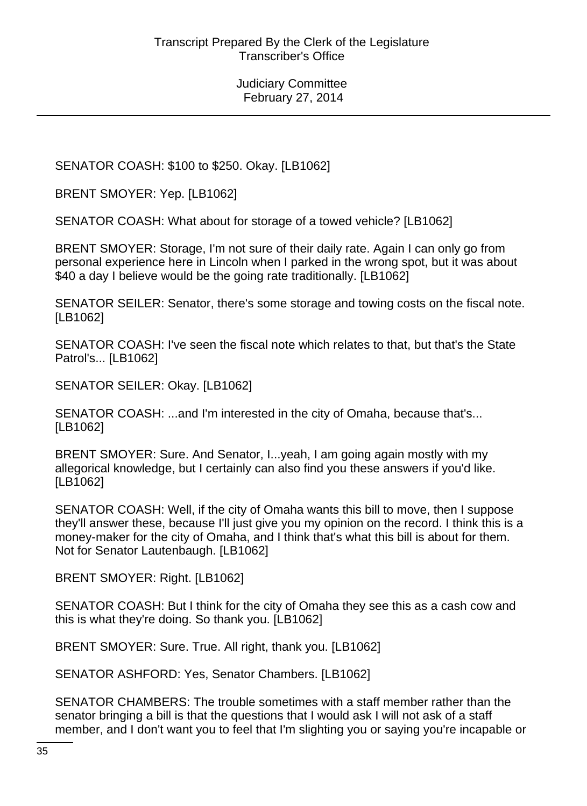SENATOR COASH: \$100 to \$250. Okay. [LB1062]

BRENT SMOYER: Yep. [LB1062]

SENATOR COASH: What about for storage of a towed vehicle? [LB1062]

BRENT SMOYER: Storage, I'm not sure of their daily rate. Again I can only go from personal experience here in Lincoln when I parked in the wrong spot, but it was about \$40 a day I believe would be the going rate traditionally. [LB1062]

SENATOR SEILER: Senator, there's some storage and towing costs on the fiscal note. [LB1062]

SENATOR COASH: I've seen the fiscal note which relates to that, but that's the State Patrol's... [LB1062]

SENATOR SEILER: Okay. [LB1062]

SENATOR COASH: ...and I'm interested in the city of Omaha, because that's... [LB1062]

BRENT SMOYER: Sure. And Senator, I...yeah, I am going again mostly with my allegorical knowledge, but I certainly can also find you these answers if you'd like. [LB1062]

SENATOR COASH: Well, if the city of Omaha wants this bill to move, then I suppose they'll answer these, because I'll just give you my opinion on the record. I think this is a money-maker for the city of Omaha, and I think that's what this bill is about for them. Not for Senator Lautenbaugh. [LB1062]

BRENT SMOYER: Right. [LB1062]

SENATOR COASH: But I think for the city of Omaha they see this as a cash cow and this is what they're doing. So thank you. [LB1062]

BRENT SMOYER: Sure. True. All right, thank you. [LB1062]

SENATOR ASHFORD: Yes, Senator Chambers. [LB1062]

SENATOR CHAMBERS: The trouble sometimes with a staff member rather than the senator bringing a bill is that the questions that I would ask I will not ask of a staff member, and I don't want you to feel that I'm slighting you or saying you're incapable or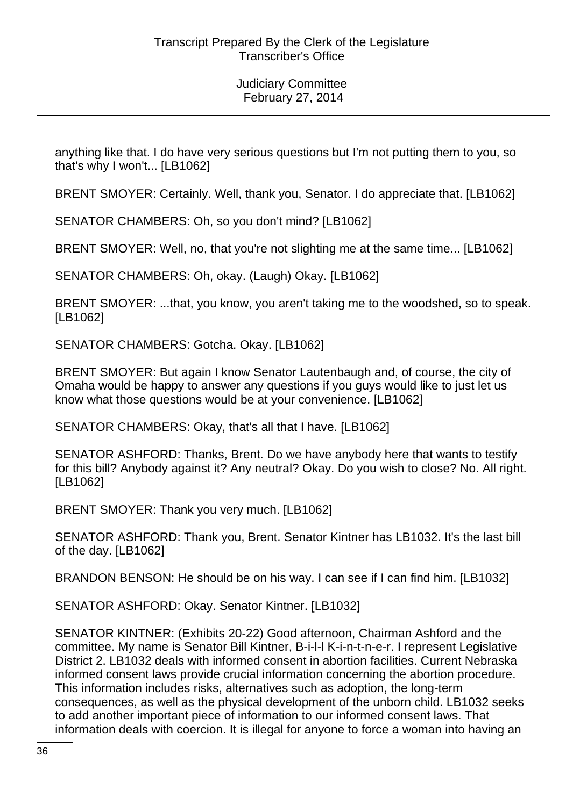anything like that. I do have very serious questions but I'm not putting them to you, so that's why I won't... [LB1062]

BRENT SMOYER: Certainly. Well, thank you, Senator. I do appreciate that. [LB1062]

SENATOR CHAMBERS: Oh, so you don't mind? [LB1062]

BRENT SMOYER: Well, no, that you're not slighting me at the same time... [LB1062]

SENATOR CHAMBERS: Oh, okay. (Laugh) Okay. [LB1062]

BRENT SMOYER: ...that, you know, you aren't taking me to the woodshed, so to speak. [LB1062]

SENATOR CHAMBERS: Gotcha. Okay. [LB1062]

BRENT SMOYER: But again I know Senator Lautenbaugh and, of course, the city of Omaha would be happy to answer any questions if you guys would like to just let us know what those questions would be at your convenience. [LB1062]

SENATOR CHAMBERS: Okay, that's all that I have. [LB1062]

SENATOR ASHFORD: Thanks, Brent. Do we have anybody here that wants to testify for this bill? Anybody against it? Any neutral? Okay. Do you wish to close? No. All right. [LB1062]

BRENT SMOYER: Thank you very much. [LB1062]

SENATOR ASHFORD: Thank you, Brent. Senator Kintner has LB1032. It's the last bill of the day. [LB1062]

BRANDON BENSON: He should be on his way. I can see if I can find him. [LB1032]

SENATOR ASHFORD: Okay. Senator Kintner. [LB1032]

SENATOR KINTNER: (Exhibits 20-22) Good afternoon, Chairman Ashford and the committee. My name is Senator Bill Kintner, B-i-l-l K-i-n-t-n-e-r. I represent Legislative District 2. LB1032 deals with informed consent in abortion facilities. Current Nebraska informed consent laws provide crucial information concerning the abortion procedure. This information includes risks, alternatives such as adoption, the long-term consequences, as well as the physical development of the unborn child. LB1032 seeks to add another important piece of information to our informed consent laws. That information deals with coercion. It is illegal for anyone to force a woman into having an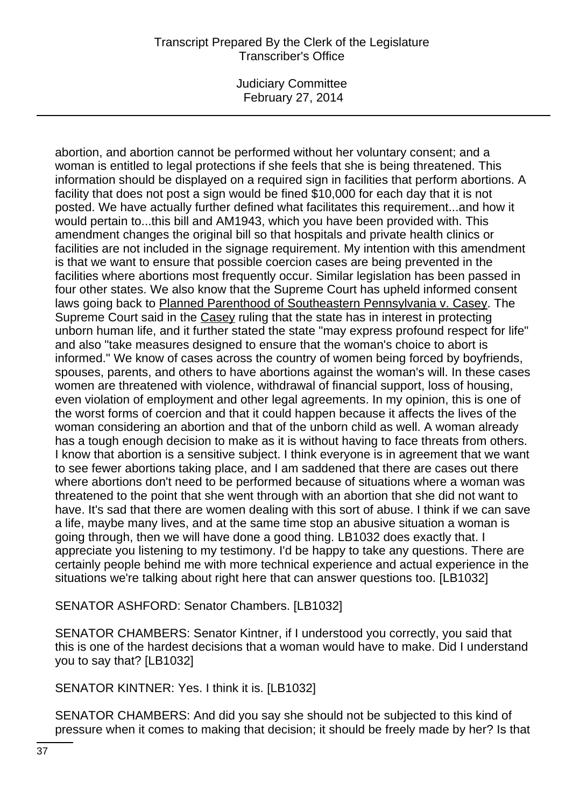## Transcript Prepared By the Clerk of the Legislature Transcriber's Office

Judiciary Committee February 27, 2014

abortion, and abortion cannot be performed without her voluntary consent; and a woman is entitled to legal protections if she feels that she is being threatened. This information should be displayed on a required sign in facilities that perform abortions. A facility that does not post a sign would be fined \$10,000 for each day that it is not posted. We have actually further defined what facilitates this requirement...and how it would pertain to...this bill and AM1943, which you have been provided with. This amendment changes the original bill so that hospitals and private health clinics or facilities are not included in the signage requirement. My intention with this amendment is that we want to ensure that possible coercion cases are being prevented in the facilities where abortions most frequently occur. Similar legislation has been passed in four other states. We also know that the Supreme Court has upheld informed consent laws going back to Planned Parenthood of Southeastern Pennsylvania v. Casey. The Supreme Court said in the Casey ruling that the state has in interest in protecting unborn human life, and it further stated the state "may express profound respect for life" and also "take measures designed to ensure that the woman's choice to abort is informed." We know of cases across the country of women being forced by boyfriends, spouses, parents, and others to have abortions against the woman's will. In these cases women are threatened with violence, withdrawal of financial support, loss of housing, even violation of employment and other legal agreements. In my opinion, this is one of the worst forms of coercion and that it could happen because it affects the lives of the woman considering an abortion and that of the unborn child as well. A woman already has a tough enough decision to make as it is without having to face threats from others. I know that abortion is a sensitive subject. I think everyone is in agreement that we want to see fewer abortions taking place, and I am saddened that there are cases out there where abortions don't need to be performed because of situations where a woman was threatened to the point that she went through with an abortion that she did not want to have. It's sad that there are women dealing with this sort of abuse. I think if we can save a life, maybe many lives, and at the same time stop an abusive situation a woman is going through, then we will have done a good thing. LB1032 does exactly that. I appreciate you listening to my testimony. I'd be happy to take any questions. There are certainly people behind me with more technical experience and actual experience in the situations we're talking about right here that can answer questions too. [LB1032]

SENATOR ASHFORD: Senator Chambers. [LB1032]

SENATOR CHAMBERS: Senator Kintner, if I understood you correctly, you said that this is one of the hardest decisions that a woman would have to make. Did I understand you to say that? [LB1032]

SENATOR KINTNER: Yes. I think it is. [LB1032]

SENATOR CHAMBERS: And did you say she should not be subjected to this kind of pressure when it comes to making that decision; it should be freely made by her? Is that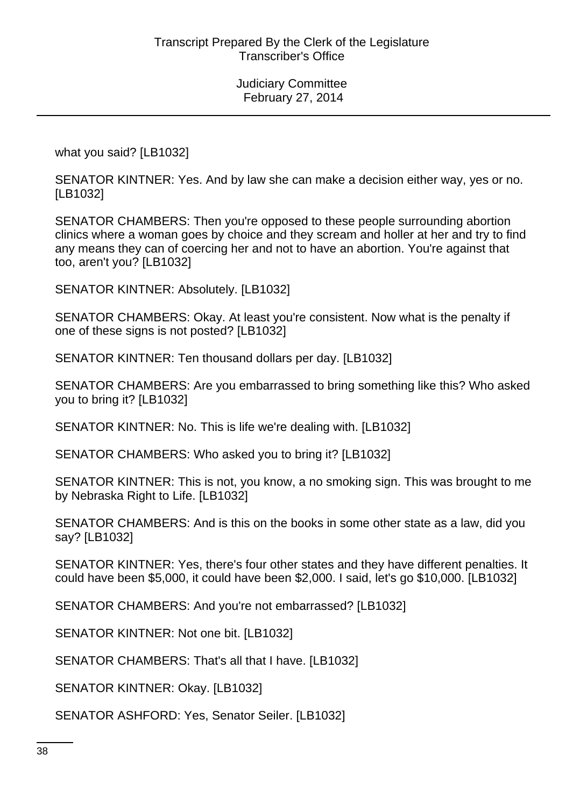what you said? [LB1032]

SENATOR KINTNER: Yes. And by law she can make a decision either way, yes or no. [LB1032]

SENATOR CHAMBERS: Then you're opposed to these people surrounding abortion clinics where a woman goes by choice and they scream and holler at her and try to find any means they can of coercing her and not to have an abortion. You're against that too, aren't you? [LB1032]

SENATOR KINTNER: Absolutely. [LB1032]

SENATOR CHAMBERS: Okay. At least you're consistent. Now what is the penalty if one of these signs is not posted? [LB1032]

SENATOR KINTNER: Ten thousand dollars per day. [LB1032]

SENATOR CHAMBERS: Are you embarrassed to bring something like this? Who asked you to bring it? [LB1032]

SENATOR KINTNER: No. This is life we're dealing with. [LB1032]

SENATOR CHAMBERS: Who asked you to bring it? [LB1032]

SENATOR KINTNER: This is not, you know, a no smoking sign. This was brought to me by Nebraska Right to Life. [LB1032]

SENATOR CHAMBERS: And is this on the books in some other state as a law, did you say? [LB1032]

SENATOR KINTNER: Yes, there's four other states and they have different penalties. It could have been \$5,000, it could have been \$2,000. I said, let's go \$10,000. [LB1032]

SENATOR CHAMBERS: And you're not embarrassed? [LB1032]

SENATOR KINTNER: Not one bit. [LB1032]

SENATOR CHAMBERS: That's all that I have. [LB1032]

SENATOR KINTNER: Okay. [LB1032]

SENATOR ASHFORD: Yes, Senator Seiler. [LB1032]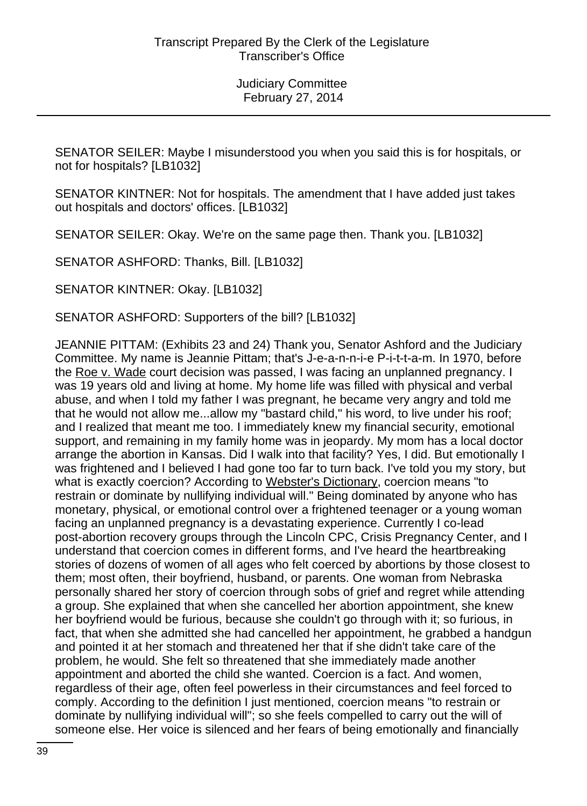SENATOR SEILER: Maybe I misunderstood you when you said this is for hospitals, or not for hospitals? [LB1032]

SENATOR KINTNER: Not for hospitals. The amendment that I have added just takes out hospitals and doctors' offices. [LB1032]

SENATOR SEILER: Okay. We're on the same page then. Thank you. [LB1032]

SENATOR ASHFORD: Thanks, Bill. [LB1032]

SENATOR KINTNER: Okay. [LB1032]

SENATOR ASHFORD: Supporters of the bill? [LB1032]

JEANNIE PITTAM: (Exhibits 23 and 24) Thank you, Senator Ashford and the Judiciary Committee. My name is Jeannie Pittam; that's J-e-a-n-n-i-e P-i-t-t-a-m. In 1970, before the Roe v. Wade court decision was passed, I was facing an unplanned pregnancy. I was 19 years old and living at home. My home life was filled with physical and verbal abuse, and when I told my father I was pregnant, he became very angry and told me that he would not allow me...allow my "bastard child," his word, to live under his roof; and I realized that meant me too. I immediately knew my financial security, emotional support, and remaining in my family home was in jeopardy. My mom has a local doctor arrange the abortion in Kansas. Did I walk into that facility? Yes, I did. But emotionally I was frightened and I believed I had gone too far to turn back. I've told you my story, but what is exactly coercion? According to Webster's Dictionary, coercion means "to restrain or dominate by nullifying individual will." Being dominated by anyone who has monetary, physical, or emotional control over a frightened teenager or a young woman facing an unplanned pregnancy is a devastating experience. Currently I co-lead post-abortion recovery groups through the Lincoln CPC, Crisis Pregnancy Center, and I understand that coercion comes in different forms, and I've heard the heartbreaking stories of dozens of women of all ages who felt coerced by abortions by those closest to them; most often, their boyfriend, husband, or parents. One woman from Nebraska personally shared her story of coercion through sobs of grief and regret while attending a group. She explained that when she cancelled her abortion appointment, she knew her boyfriend would be furious, because she couldn't go through with it; so furious, in fact, that when she admitted she had cancelled her appointment, he grabbed a handgun and pointed it at her stomach and threatened her that if she didn't take care of the problem, he would. She felt so threatened that she immediately made another appointment and aborted the child she wanted. Coercion is a fact. And women, regardless of their age, often feel powerless in their circumstances and feel forced to comply. According to the definition I just mentioned, coercion means "to restrain or dominate by nullifying individual will"; so she feels compelled to carry out the will of someone else. Her voice is silenced and her fears of being emotionally and financially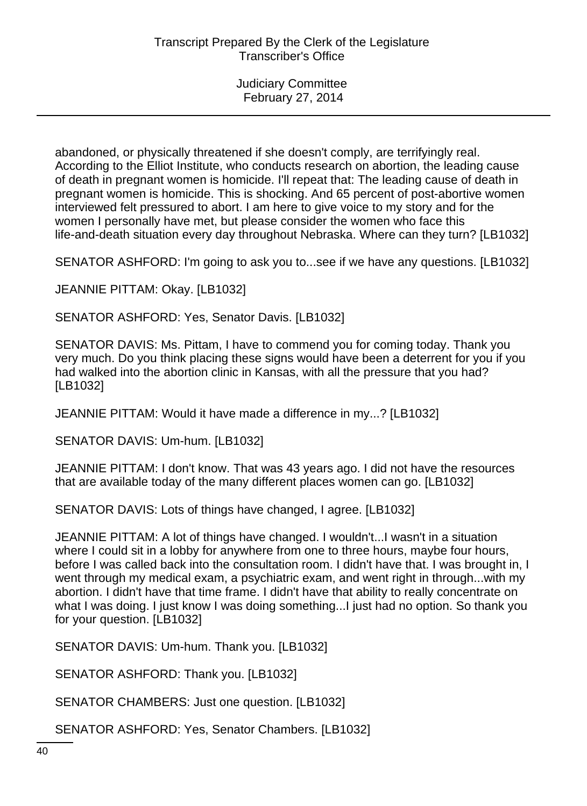abandoned, or physically threatened if she doesn't comply, are terrifyingly real. According to the Elliot Institute, who conducts research on abortion, the leading cause of death in pregnant women is homicide. I'll repeat that: The leading cause of death in pregnant women is homicide. This is shocking. And 65 percent of post-abortive women interviewed felt pressured to abort. I am here to give voice to my story and for the women I personally have met, but please consider the women who face this life-and-death situation every day throughout Nebraska. Where can they turn? [LB1032]

SENATOR ASHFORD: I'm going to ask you to...see if we have any questions. [LB1032]

JEANNIE PITTAM: Okay. [LB1032]

SENATOR ASHFORD: Yes, Senator Davis. [LB1032]

SENATOR DAVIS: Ms. Pittam, I have to commend you for coming today. Thank you very much. Do you think placing these signs would have been a deterrent for you if you had walked into the abortion clinic in Kansas, with all the pressure that you had? [LB1032]

JEANNIE PITTAM: Would it have made a difference in my...? [LB1032]

SENATOR DAVIS: Um-hum. [LB1032]

JEANNIE PITTAM: I don't know. That was 43 years ago. I did not have the resources that are available today of the many different places women can go. [LB1032]

SENATOR DAVIS: Lots of things have changed, I agree. [LB1032]

JEANNIE PITTAM: A lot of things have changed. I wouldn't...I wasn't in a situation where I could sit in a lobby for anywhere from one to three hours, maybe four hours, before I was called back into the consultation room. I didn't have that. I was brought in, I went through my medical exam, a psychiatric exam, and went right in through...with my abortion. I didn't have that time frame. I didn't have that ability to really concentrate on what I was doing. I just know I was doing something...I just had no option. So thank you for your question. [LB1032]

SENATOR DAVIS: Um-hum. Thank you. [LB1032]

SENATOR ASHFORD: Thank you. [LB1032]

SENATOR CHAMBERS: Just one question. [LB1032]

SENATOR ASHFORD: Yes, Senator Chambers. [LB1032]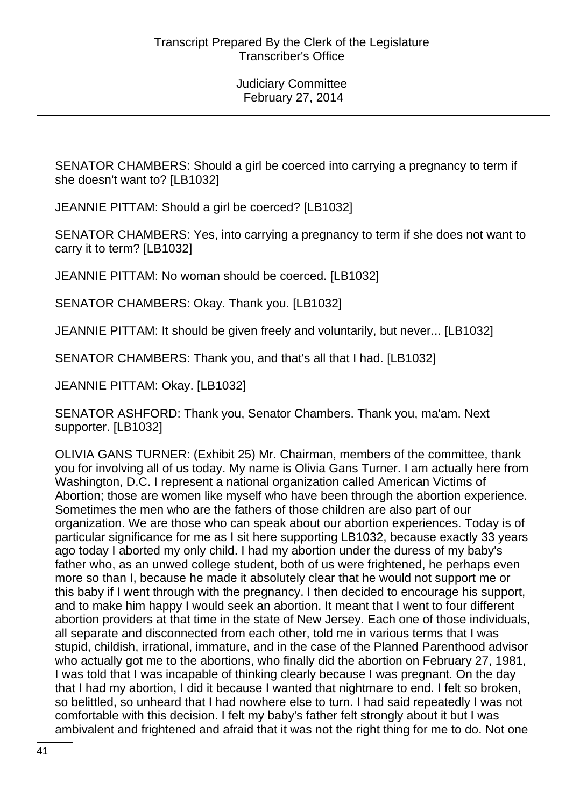SENATOR CHAMBERS: Should a girl be coerced into carrying a pregnancy to term if she doesn't want to? [LB1032]

JEANNIE PITTAM: Should a girl be coerced? [LB1032]

SENATOR CHAMBERS: Yes, into carrying a pregnancy to term if she does not want to carry it to term? [LB1032]

JEANNIE PITTAM: No woman should be coerced. [LB1032]

SENATOR CHAMBERS: Okay. Thank you. [LB1032]

JEANNIE PITTAM: It should be given freely and voluntarily, but never... [LB1032]

SENATOR CHAMBERS: Thank you, and that's all that I had. [LB1032]

JEANNIE PITTAM: Okay. [LB1032]

SENATOR ASHFORD: Thank you, Senator Chambers. Thank you, ma'am. Next supporter. [LB1032]

OLIVIA GANS TURNER: (Exhibit 25) Mr. Chairman, members of the committee, thank you for involving all of us today. My name is Olivia Gans Turner. I am actually here from Washington, D.C. I represent a national organization called American Victims of Abortion; those are women like myself who have been through the abortion experience. Sometimes the men who are the fathers of those children are also part of our organization. We are those who can speak about our abortion experiences. Today is of particular significance for me as I sit here supporting LB1032, because exactly 33 years ago today I aborted my only child. I had my abortion under the duress of my baby's father who, as an unwed college student, both of us were frightened, he perhaps even more so than I, because he made it absolutely clear that he would not support me or this baby if I went through with the pregnancy. I then decided to encourage his support, and to make him happy I would seek an abortion. It meant that I went to four different abortion providers at that time in the state of New Jersey. Each one of those individuals, all separate and disconnected from each other, told me in various terms that I was stupid, childish, irrational, immature, and in the case of the Planned Parenthood advisor who actually got me to the abortions, who finally did the abortion on February 27, 1981, I was told that I was incapable of thinking clearly because I was pregnant. On the day that I had my abortion, I did it because I wanted that nightmare to end. I felt so broken, so belittled, so unheard that I had nowhere else to turn. I had said repeatedly I was not comfortable with this decision. I felt my baby's father felt strongly about it but I was ambivalent and frightened and afraid that it was not the right thing for me to do. Not one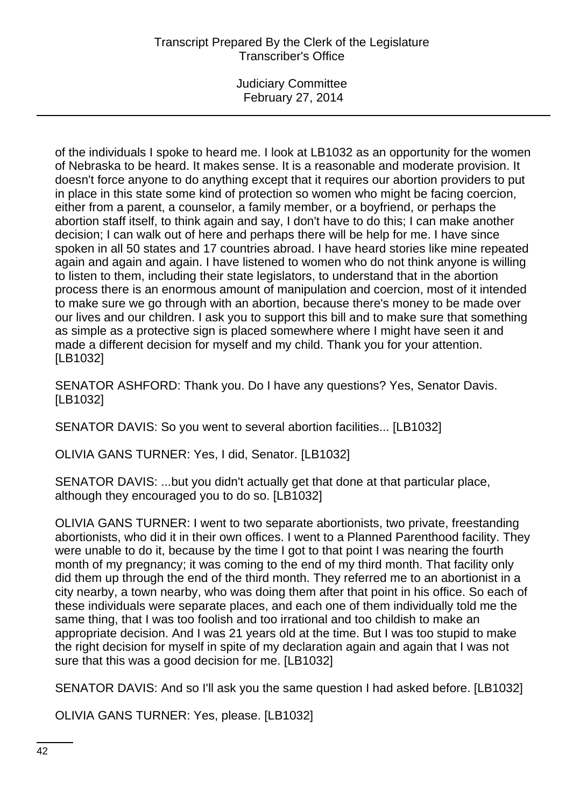# Transcript Prepared By the Clerk of the Legislature Transcriber's Office

Judiciary Committee February 27, 2014

of the individuals I spoke to heard me. I look at LB1032 as an opportunity for the women of Nebraska to be heard. It makes sense. It is a reasonable and moderate provision. It doesn't force anyone to do anything except that it requires our abortion providers to put in place in this state some kind of protection so women who might be facing coercion, either from a parent, a counselor, a family member, or a boyfriend, or perhaps the abortion staff itself, to think again and say, I don't have to do this; I can make another decision; I can walk out of here and perhaps there will be help for me. I have since spoken in all 50 states and 17 countries abroad. I have heard stories like mine repeated again and again and again. I have listened to women who do not think anyone is willing to listen to them, including their state legislators, to understand that in the abortion process there is an enormous amount of manipulation and coercion, most of it intended to make sure we go through with an abortion, because there's money to be made over our lives and our children. I ask you to support this bill and to make sure that something as simple as a protective sign is placed somewhere where I might have seen it and made a different decision for myself and my child. Thank you for your attention. [LB1032]

SENATOR ASHFORD: Thank you. Do I have any questions? Yes, Senator Davis. [LB1032]

SENATOR DAVIS: So you went to several abortion facilities... [LB1032]

OLIVIA GANS TURNER: Yes, I did, Senator. [LB1032]

SENATOR DAVIS: ...but you didn't actually get that done at that particular place, although they encouraged you to do so. [LB1032]

OLIVIA GANS TURNER: I went to two separate abortionists, two private, freestanding abortionists, who did it in their own offices. I went to a Planned Parenthood facility. They were unable to do it, because by the time I got to that point I was nearing the fourth month of my pregnancy; it was coming to the end of my third month. That facility only did them up through the end of the third month. They referred me to an abortionist in a city nearby, a town nearby, who was doing them after that point in his office. So each of these individuals were separate places, and each one of them individually told me the same thing, that I was too foolish and too irrational and too childish to make an appropriate decision. And I was 21 years old at the time. But I was too stupid to make the right decision for myself in spite of my declaration again and again that I was not sure that this was a good decision for me. [LB1032]

SENATOR DAVIS: And so I'll ask you the same question I had asked before. [LB1032]

OLIVIA GANS TURNER: Yes, please. [LB1032]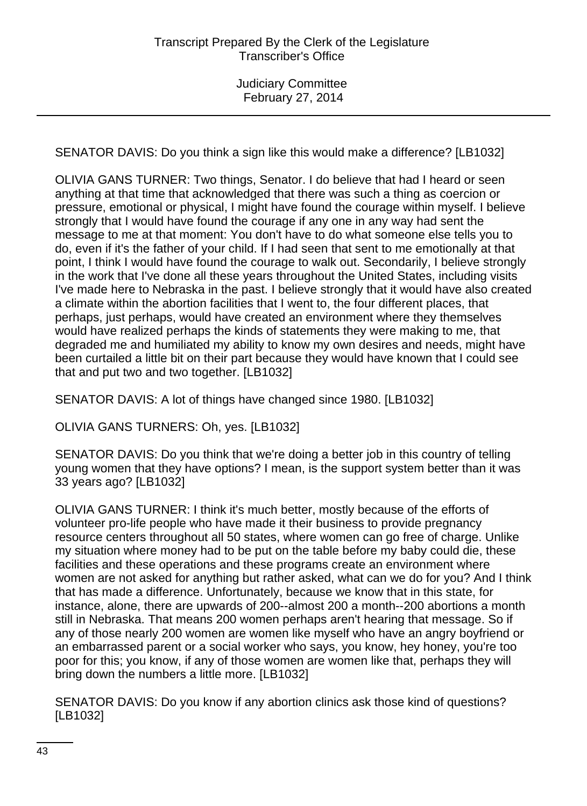SENATOR DAVIS: Do you think a sign like this would make a difference? [LB1032]

OLIVIA GANS TURNER: Two things, Senator. I do believe that had I heard or seen anything at that time that acknowledged that there was such a thing as coercion or pressure, emotional or physical, I might have found the courage within myself. I believe strongly that I would have found the courage if any one in any way had sent the message to me at that moment: You don't have to do what someone else tells you to do, even if it's the father of your child. If I had seen that sent to me emotionally at that point, I think I would have found the courage to walk out. Secondarily, I believe strongly in the work that I've done all these years throughout the United States, including visits I've made here to Nebraska in the past. I believe strongly that it would have also created a climate within the abortion facilities that I went to, the four different places, that perhaps, just perhaps, would have created an environment where they themselves would have realized perhaps the kinds of statements they were making to me, that degraded me and humiliated my ability to know my own desires and needs, might have been curtailed a little bit on their part because they would have known that I could see that and put two and two together. [LB1032]

SENATOR DAVIS: A lot of things have changed since 1980. [LB1032]

OLIVIA GANS TURNERS: Oh, yes. [LB1032]

SENATOR DAVIS: Do you think that we're doing a better job in this country of telling young women that they have options? I mean, is the support system better than it was 33 years ago? [LB1032]

OLIVIA GANS TURNER: I think it's much better, mostly because of the efforts of volunteer pro-life people who have made it their business to provide pregnancy resource centers throughout all 50 states, where women can go free of charge. Unlike my situation where money had to be put on the table before my baby could die, these facilities and these operations and these programs create an environment where women are not asked for anything but rather asked, what can we do for you? And I think that has made a difference. Unfortunately, because we know that in this state, for instance, alone, there are upwards of 200--almost 200 a month--200 abortions a month still in Nebraska. That means 200 women perhaps aren't hearing that message. So if any of those nearly 200 women are women like myself who have an angry boyfriend or an embarrassed parent or a social worker who says, you know, hey honey, you're too poor for this; you know, if any of those women are women like that, perhaps they will bring down the numbers a little more. [LB1032]

SENATOR DAVIS: Do you know if any abortion clinics ask those kind of questions? [LB1032]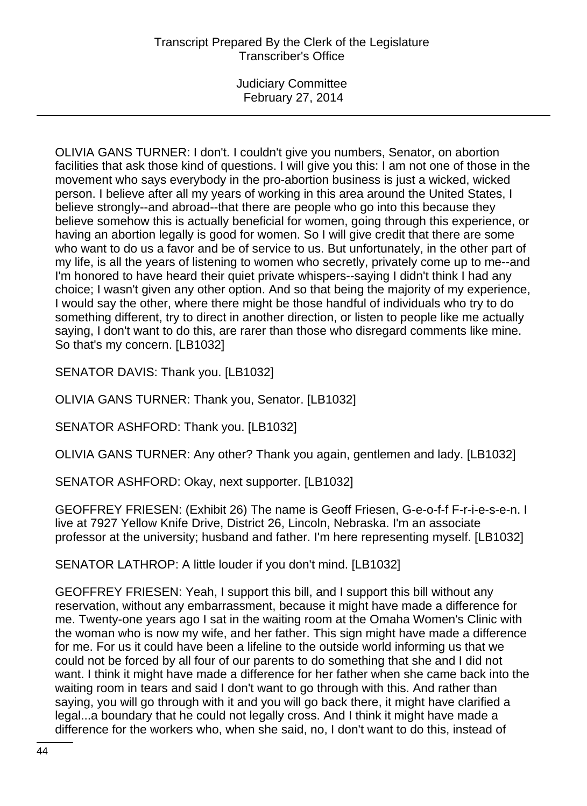OLIVIA GANS TURNER: I don't. I couldn't give you numbers, Senator, on abortion facilities that ask those kind of questions. I will give you this: I am not one of those in the movement who says everybody in the pro-abortion business is just a wicked, wicked person. I believe after all my years of working in this area around the United States, I believe strongly--and abroad--that there are people who go into this because they believe somehow this is actually beneficial for women, going through this experience, or having an abortion legally is good for women. So I will give credit that there are some who want to do us a favor and be of service to us. But unfortunately, in the other part of my life, is all the years of listening to women who secretly, privately come up to me--and I'm honored to have heard their quiet private whispers--saying I didn't think I had any choice; I wasn't given any other option. And so that being the majority of my experience, I would say the other, where there might be those handful of individuals who try to do something different, try to direct in another direction, or listen to people like me actually saying, I don't want to do this, are rarer than those who disregard comments like mine. So that's my concern. [LB1032]

SENATOR DAVIS: Thank you. [LB1032]

OLIVIA GANS TURNER: Thank you, Senator. [LB1032]

SENATOR ASHFORD: Thank you. [LB1032]

OLIVIA GANS TURNER: Any other? Thank you again, gentlemen and lady. [LB1032]

SENATOR ASHFORD: Okay, next supporter. [LB1032]

GEOFFREY FRIESEN: (Exhibit 26) The name is Geoff Friesen, G-e-o-f-f F-r-i-e-s-e-n. I live at 7927 Yellow Knife Drive, District 26, Lincoln, Nebraska. I'm an associate professor at the university; husband and father. I'm here representing myself. [LB1032]

SENATOR LATHROP: A little louder if you don't mind. [LB1032]

GEOFFREY FRIESEN: Yeah, I support this bill, and I support this bill without any reservation, without any embarrassment, because it might have made a difference for me. Twenty-one years ago I sat in the waiting room at the Omaha Women's Clinic with the woman who is now my wife, and her father. This sign might have made a difference for me. For us it could have been a lifeline to the outside world informing us that we could not be forced by all four of our parents to do something that she and I did not want. I think it might have made a difference for her father when she came back into the waiting room in tears and said I don't want to go through with this. And rather than saying, you will go through with it and you will go back there, it might have clarified a legal...a boundary that he could not legally cross. And I think it might have made a difference for the workers who, when she said, no, I don't want to do this, instead of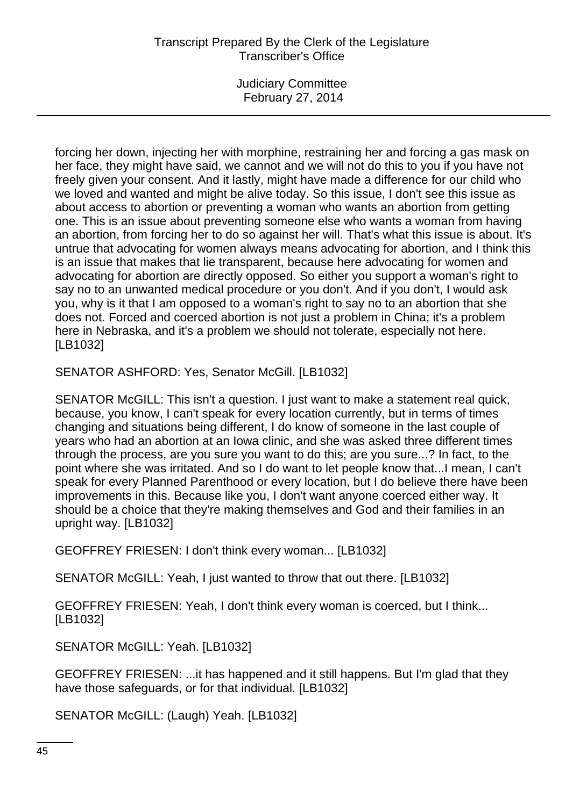# Transcript Prepared By the Clerk of the Legislature Transcriber's Office

Judiciary Committee February 27, 2014

forcing her down, injecting her with morphine, restraining her and forcing a gas mask on her face, they might have said, we cannot and we will not do this to you if you have not freely given your consent. And it lastly, might have made a difference for our child who we loved and wanted and might be alive today. So this issue, I don't see this issue as about access to abortion or preventing a woman who wants an abortion from getting one. This is an issue about preventing someone else who wants a woman from having an abortion, from forcing her to do so against her will. That's what this issue is about. It's untrue that advocating for women always means advocating for abortion, and I think this is an issue that makes that lie transparent, because here advocating for women and advocating for abortion are directly opposed. So either you support a woman's right to say no to an unwanted medical procedure or you don't. And if you don't, I would ask you, why is it that I am opposed to a woman's right to say no to an abortion that she does not. Forced and coerced abortion is not just a problem in China; it's a problem here in Nebraska, and it's a problem we should not tolerate, especially not here. [LB1032]

SENATOR ASHFORD: Yes, Senator McGill. [LB1032]

SENATOR McGILL: This isn't a question. I just want to make a statement real quick, because, you know, I can't speak for every location currently, but in terms of times changing and situations being different, I do know of someone in the last couple of years who had an abortion at an Iowa clinic, and she was asked three different times through the process, are you sure you want to do this; are you sure...? In fact, to the point where she was irritated. And so I do want to let people know that...I mean, I can't speak for every Planned Parenthood or every location, but I do believe there have been improvements in this. Because like you, I don't want anyone coerced either way. It should be a choice that they're making themselves and God and their families in an upright way. [LB1032]

GEOFFREY FRIESEN: I don't think every woman... [LB1032]

SENATOR McGILL: Yeah, I just wanted to throw that out there. [LB1032]

GEOFFREY FRIESEN: Yeah, I don't think every woman is coerced, but I think... [LB1032]

SENATOR McGILL: Yeah. [LB1032]

GEOFFREY FRIESEN: ...it has happened and it still happens. But I'm glad that they have those safeguards, or for that individual. [LB1032]

SENATOR McGILL: (Laugh) Yeah. [LB1032]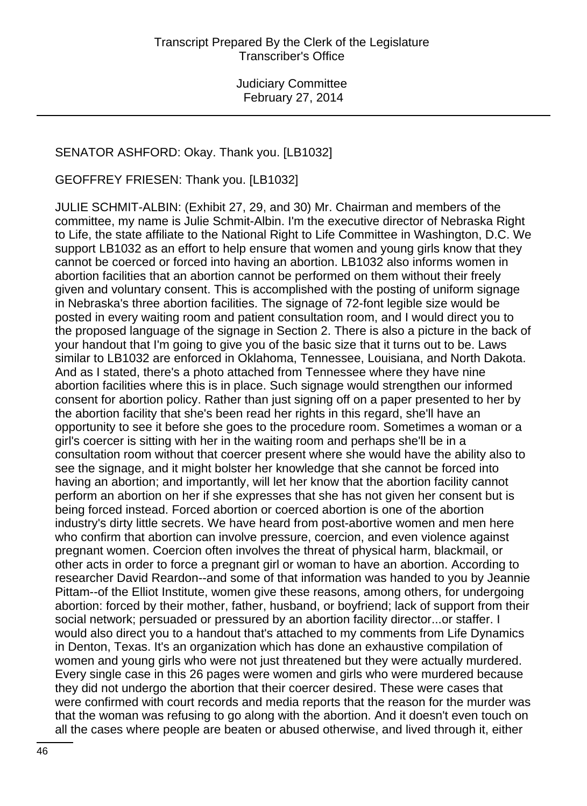### SENATOR ASHFORD: Okay. Thank you. [LB1032]

GEOFFREY FRIESEN: Thank you. [LB1032]

JULIE SCHMIT-ALBIN: (Exhibit 27, 29, and 30) Mr. Chairman and members of the committee, my name is Julie Schmit-Albin. I'm the executive director of Nebraska Right to Life, the state affiliate to the National Right to Life Committee in Washington, D.C. We support LB1032 as an effort to help ensure that women and young girls know that they cannot be coerced or forced into having an abortion. LB1032 also informs women in abortion facilities that an abortion cannot be performed on them without their freely given and voluntary consent. This is accomplished with the posting of uniform signage in Nebraska's three abortion facilities. The signage of 72-font legible size would be posted in every waiting room and patient consultation room, and I would direct you to the proposed language of the signage in Section 2. There is also a picture in the back of your handout that I'm going to give you of the basic size that it turns out to be. Laws similar to LB1032 are enforced in Oklahoma, Tennessee, Louisiana, and North Dakota. And as I stated, there's a photo attached from Tennessee where they have nine abortion facilities where this is in place. Such signage would strengthen our informed consent for abortion policy. Rather than just signing off on a paper presented to her by the abortion facility that she's been read her rights in this regard, she'll have an opportunity to see it before she goes to the procedure room. Sometimes a woman or a girl's coercer is sitting with her in the waiting room and perhaps she'll be in a consultation room without that coercer present where she would have the ability also to see the signage, and it might bolster her knowledge that she cannot be forced into having an abortion; and importantly, will let her know that the abortion facility cannot perform an abortion on her if she expresses that she has not given her consent but is being forced instead. Forced abortion or coerced abortion is one of the abortion industry's dirty little secrets. We have heard from post-abortive women and men here who confirm that abortion can involve pressure, coercion, and even violence against pregnant women. Coercion often involves the threat of physical harm, blackmail, or other acts in order to force a pregnant girl or woman to have an abortion. According to researcher David Reardon--and some of that information was handed to you by Jeannie Pittam--of the Elliot Institute, women give these reasons, among others, for undergoing abortion: forced by their mother, father, husband, or boyfriend; lack of support from their social network; persuaded or pressured by an abortion facility director...or staffer. I would also direct you to a handout that's attached to my comments from Life Dynamics in Denton, Texas. It's an organization which has done an exhaustive compilation of women and young girls who were not just threatened but they were actually murdered. Every single case in this 26 pages were women and girls who were murdered because they did not undergo the abortion that their coercer desired. These were cases that were confirmed with court records and media reports that the reason for the murder was that the woman was refusing to go along with the abortion. And it doesn't even touch on all the cases where people are beaten or abused otherwise, and lived through it, either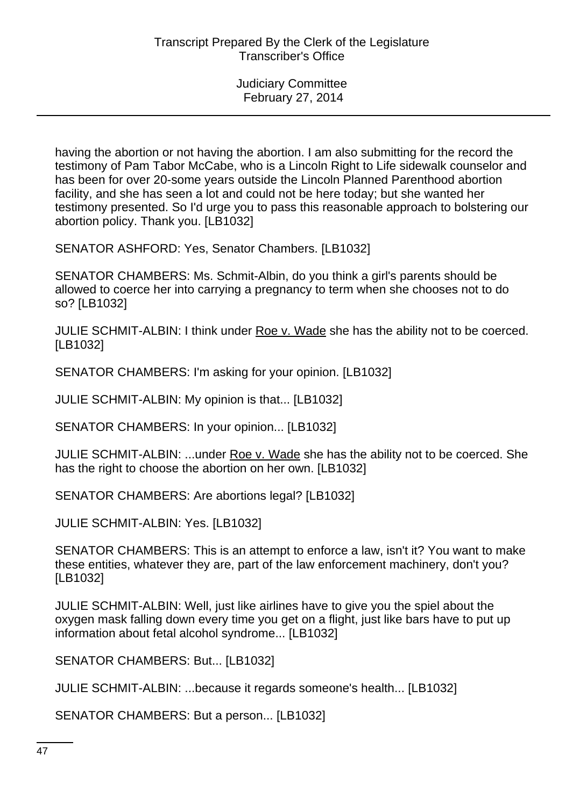having the abortion or not having the abortion. I am also submitting for the record the testimony of Pam Tabor McCabe, who is a Lincoln Right to Life sidewalk counselor and has been for over 20-some years outside the Lincoln Planned Parenthood abortion facility, and she has seen a lot and could not be here today; but she wanted her testimony presented. So I'd urge you to pass this reasonable approach to bolstering our abortion policy. Thank you. [LB1032]

SENATOR ASHFORD: Yes, Senator Chambers. [LB1032]

SENATOR CHAMBERS: Ms. Schmit-Albin, do you think a girl's parents should be allowed to coerce her into carrying a pregnancy to term when she chooses not to do so? [LB1032]

JULIE SCHMIT-ALBIN: I think under Roe v. Wade she has the ability not to be coerced. [LB1032]

SENATOR CHAMBERS: I'm asking for your opinion. [LB1032]

JULIE SCHMIT-ALBIN: My opinion is that... [LB1032]

SENATOR CHAMBERS: In your opinion... [LB1032]

JULIE SCHMIT-ALBIN: ...under Roe v. Wade she has the ability not to be coerced. She has the right to choose the abortion on her own. [LB1032]

SENATOR CHAMBERS: Are abortions legal? [LB1032]

JULIE SCHMIT-ALBIN: Yes. [LB1032]

SENATOR CHAMBERS: This is an attempt to enforce a law, isn't it? You want to make these entities, whatever they are, part of the law enforcement machinery, don't you? [LB1032]

JULIE SCHMIT-ALBIN: Well, just like airlines have to give you the spiel about the oxygen mask falling down every time you get on a flight, just like bars have to put up information about fetal alcohol syndrome... [LB1032]

SENATOR CHAMBERS: But... [LB1032]

JULIE SCHMIT-ALBIN: ...because it regards someone's health... [LB1032]

SENATOR CHAMBERS: But a person... [LB1032]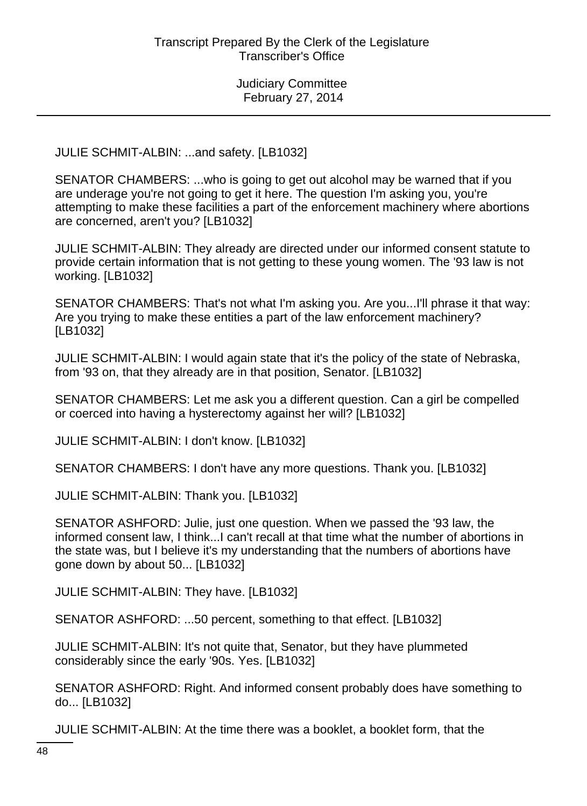JULIE SCHMIT-ALBIN: ...and safety. [LB1032]

SENATOR CHAMBERS: ...who is going to get out alcohol may be warned that if you are underage you're not going to get it here. The question I'm asking you, you're attempting to make these facilities a part of the enforcement machinery where abortions are concerned, aren't you? [LB1032]

JULIE SCHMIT-ALBIN: They already are directed under our informed consent statute to provide certain information that is not getting to these young women. The '93 law is not working. [LB1032]

SENATOR CHAMBERS: That's not what I'm asking you. Are you...I'll phrase it that way: Are you trying to make these entities a part of the law enforcement machinery? [LB1032]

JULIE SCHMIT-ALBIN: I would again state that it's the policy of the state of Nebraska, from '93 on, that they already are in that position, Senator. [LB1032]

SENATOR CHAMBERS: Let me ask you a different question. Can a girl be compelled or coerced into having a hysterectomy against her will? [LB1032]

JULIE SCHMIT-ALBIN: I don't know. [LB1032]

SENATOR CHAMBERS: I don't have any more questions. Thank you. [LB1032]

JULIE SCHMIT-ALBIN: Thank you. [LB1032]

SENATOR ASHFORD: Julie, just one question. When we passed the '93 law, the informed consent law, I think...I can't recall at that time what the number of abortions in the state was, but I believe it's my understanding that the numbers of abortions have gone down by about 50... [LB1032]

JULIE SCHMIT-ALBIN: They have. [LB1032]

SENATOR ASHFORD: ...50 percent, something to that effect. [LB1032]

JULIE SCHMIT-ALBIN: It's not quite that, Senator, but they have plummeted considerably since the early '90s. Yes. [LB1032]

SENATOR ASHFORD: Right. And informed consent probably does have something to do... [LB1032]

JULIE SCHMIT-ALBIN: At the time there was a booklet, a booklet form, that the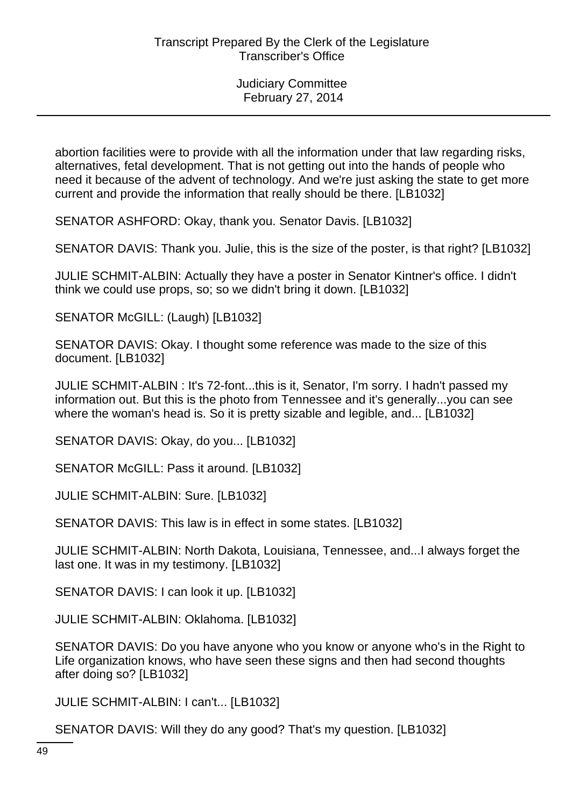abortion facilities were to provide with all the information under that law regarding risks, alternatives, fetal development. That is not getting out into the hands of people who need it because of the advent of technology. And we're just asking the state to get more current and provide the information that really should be there. [LB1032]

SENATOR ASHFORD: Okay, thank you. Senator Davis. [LB1032]

SENATOR DAVIS: Thank you. Julie, this is the size of the poster, is that right? [LB1032]

JULIE SCHMIT-ALBIN: Actually they have a poster in Senator Kintner's office. I didn't think we could use props, so; so we didn't bring it down. [LB1032]

SENATOR McGILL: (Laugh) [LB1032]

SENATOR DAVIS: Okay. I thought some reference was made to the size of this document. [LB1032]

JULIE SCHMIT-ALBIN : It's 72-font...this is it, Senator, I'm sorry. I hadn't passed my information out. But this is the photo from Tennessee and it's generally...you can see where the woman's head is. So it is pretty sizable and legible, and... [LB1032]

SENATOR DAVIS: Okay, do you... [LB1032]

SENATOR McGILL: Pass it around. [LB1032]

JULIE SCHMIT-ALBIN: Sure. [LB1032]

SENATOR DAVIS: This law is in effect in some states. [LB1032]

JULIE SCHMIT-ALBIN: North Dakota, Louisiana, Tennessee, and...I always forget the last one. It was in my testimony. [LB1032]

SENATOR DAVIS: I can look it up. [LB1032]

JULIE SCHMIT-ALBIN: Oklahoma. [LB1032]

SENATOR DAVIS: Do you have anyone who you know or anyone who's in the Right to Life organization knows, who have seen these signs and then had second thoughts after doing so? [LB1032]

JULIE SCHMIT-ALBIN: I can't... [LB1032]

SENATOR DAVIS: Will they do any good? That's my question. [LB1032]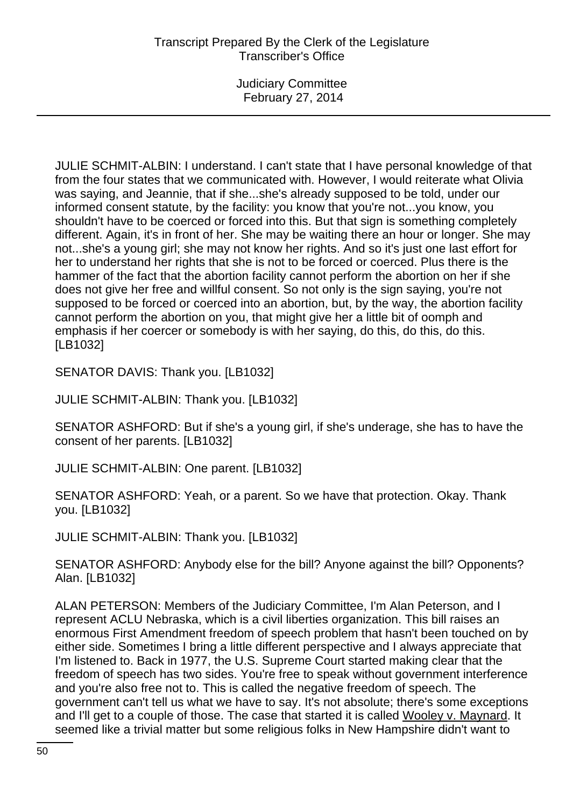JULIE SCHMIT-ALBIN: I understand. I can't state that I have personal knowledge of that from the four states that we communicated with. However, I would reiterate what Olivia was saying, and Jeannie, that if she...she's already supposed to be told, under our informed consent statute, by the facility: you know that you're not...you know, you shouldn't have to be coerced or forced into this. But that sign is something completely different. Again, it's in front of her. She may be waiting there an hour or longer. She may not...she's a young girl; she may not know her rights. And so it's just one last effort for her to understand her rights that she is not to be forced or coerced. Plus there is the hammer of the fact that the abortion facility cannot perform the abortion on her if she does not give her free and willful consent. So not only is the sign saying, you're not supposed to be forced or coerced into an abortion, but, by the way, the abortion facility cannot perform the abortion on you, that might give her a little bit of oomph and emphasis if her coercer or somebody is with her saying, do this, do this, do this. [LB1032]

SENATOR DAVIS: Thank you. [LB1032]

JULIE SCHMIT-ALBIN: Thank you. [LB1032]

SENATOR ASHFORD: But if she's a young girl, if she's underage, she has to have the consent of her parents. [LB1032]

JULIE SCHMIT-ALBIN: One parent. [LB1032]

SENATOR ASHFORD: Yeah, or a parent. So we have that protection. Okay. Thank you. [LB1032]

JULIE SCHMIT-ALBIN: Thank you. [LB1032]

SENATOR ASHFORD: Anybody else for the bill? Anyone against the bill? Opponents? Alan. [LB1032]

ALAN PETERSON: Members of the Judiciary Committee, I'm Alan Peterson, and I represent ACLU Nebraska, which is a civil liberties organization. This bill raises an enormous First Amendment freedom of speech problem that hasn't been touched on by either side. Sometimes I bring a little different perspective and I always appreciate that I'm listened to. Back in 1977, the U.S. Supreme Court started making clear that the freedom of speech has two sides. You're free to speak without government interference and you're also free not to. This is called the negative freedom of speech. The government can't tell us what we have to say. It's not absolute; there's some exceptions and I'll get to a couple of those. The case that started it is called Wooley v. Maynard. It seemed like a trivial matter but some religious folks in New Hampshire didn't want to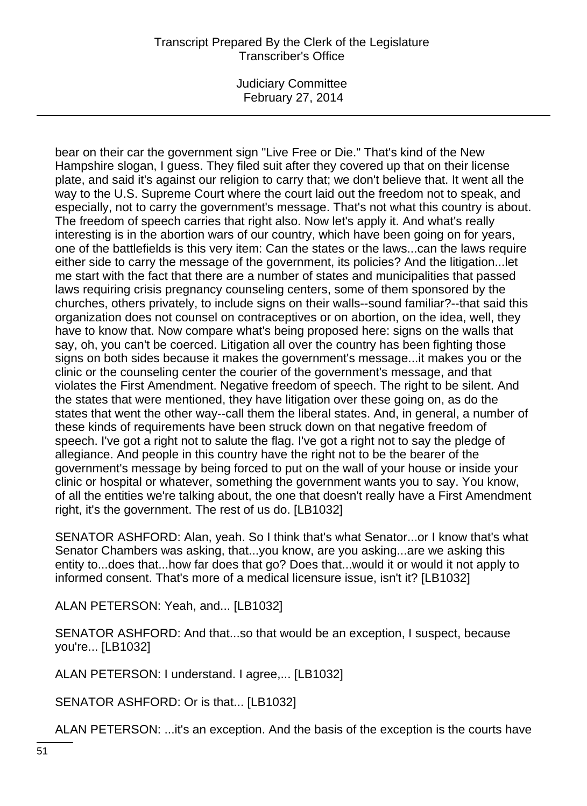# Transcript Prepared By the Clerk of the Legislature Transcriber's Office

Judiciary Committee February 27, 2014

bear on their car the government sign "Live Free or Die." That's kind of the New Hampshire slogan, I guess. They filed suit after they covered up that on their license plate, and said it's against our religion to carry that; we don't believe that. It went all the way to the U.S. Supreme Court where the court laid out the freedom not to speak, and especially, not to carry the government's message. That's not what this country is about. The freedom of speech carries that right also. Now let's apply it. And what's really interesting is in the abortion wars of our country, which have been going on for years, one of the battlefields is this very item: Can the states or the laws...can the laws require either side to carry the message of the government, its policies? And the litigation...let me start with the fact that there are a number of states and municipalities that passed laws requiring crisis pregnancy counseling centers, some of them sponsored by the churches, others privately, to include signs on their walls--sound familiar?--that said this organization does not counsel on contraceptives or on abortion, on the idea, well, they have to know that. Now compare what's being proposed here: signs on the walls that say, oh, you can't be coerced. Litigation all over the country has been fighting those signs on both sides because it makes the government's message...it makes you or the clinic or the counseling center the courier of the government's message, and that violates the First Amendment. Negative freedom of speech. The right to be silent. And the states that were mentioned, they have litigation over these going on, as do the states that went the other way--call them the liberal states. And, in general, a number of these kinds of requirements have been struck down on that negative freedom of speech. I've got a right not to salute the flag. I've got a right not to say the pledge of allegiance. And people in this country have the right not to be the bearer of the government's message by being forced to put on the wall of your house or inside your clinic or hospital or whatever, something the government wants you to say. You know, of all the entities we're talking about, the one that doesn't really have a First Amendment right, it's the government. The rest of us do. [LB1032]

SENATOR ASHFORD: Alan, yeah. So I think that's what Senator...or I know that's what Senator Chambers was asking, that...you know, are you asking...are we asking this entity to...does that...how far does that go? Does that...would it or would it not apply to informed consent. That's more of a medical licensure issue, isn't it? [LB1032]

ALAN PETERSON: Yeah, and... [LB1032]

SENATOR ASHFORD: And that...so that would be an exception, I suspect, because you're... [LB1032]

ALAN PETERSON: I understand. I agree,... [LB1032]

SENATOR ASHFORD: Or is that... [LB1032]

ALAN PETERSON: ...it's an exception. And the basis of the exception is the courts have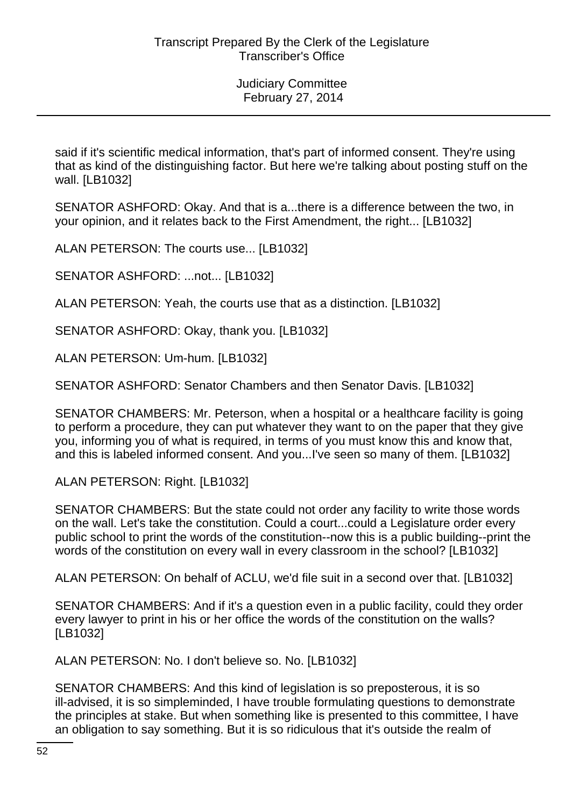said if it's scientific medical information, that's part of informed consent. They're using that as kind of the distinguishing factor. But here we're talking about posting stuff on the wall. [LB1032]

SENATOR ASHFORD: Okay. And that is a...there is a difference between the two, in your opinion, and it relates back to the First Amendment, the right... [LB1032]

ALAN PETERSON: The courts use... [LB1032]

SENATOR ASHFORD: ...not... [LB1032]

ALAN PETERSON: Yeah, the courts use that as a distinction. [LB1032]

SENATOR ASHFORD: Okay, thank you. [LB1032]

ALAN PETERSON: Um-hum. [LB1032]

SENATOR ASHFORD: Senator Chambers and then Senator Davis. [LB1032]

SENATOR CHAMBERS: Mr. Peterson, when a hospital or a healthcare facility is going to perform a procedure, they can put whatever they want to on the paper that they give you, informing you of what is required, in terms of you must know this and know that, and this is labeled informed consent. And you...I've seen so many of them. [LB1032]

ALAN PETERSON: Right. [LB1032]

SENATOR CHAMBERS: But the state could not order any facility to write those words on the wall. Let's take the constitution. Could a court...could a Legislature order every public school to print the words of the constitution--now this is a public building--print the words of the constitution on every wall in every classroom in the school? [LB1032]

ALAN PETERSON: On behalf of ACLU, we'd file suit in a second over that. [LB1032]

SENATOR CHAMBERS: And if it's a question even in a public facility, could they order every lawyer to print in his or her office the words of the constitution on the walls? [LB1032]

ALAN PETERSON: No. I don't believe so. No. [LB1032]

SENATOR CHAMBERS: And this kind of legislation is so preposterous, it is so ill-advised, it is so simpleminded, I have trouble formulating questions to demonstrate the principles at stake. But when something like is presented to this committee, I have an obligation to say something. But it is so ridiculous that it's outside the realm of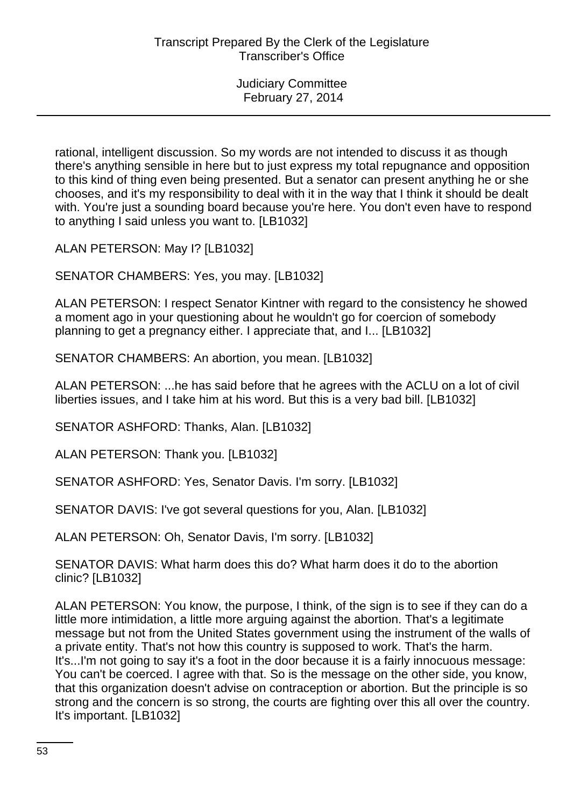rational, intelligent discussion. So my words are not intended to discuss it as though there's anything sensible in here but to just express my total repugnance and opposition to this kind of thing even being presented. But a senator can present anything he or she chooses, and it's my responsibility to deal with it in the way that I think it should be dealt with. You're just a sounding board because you're here. You don't even have to respond to anything I said unless you want to. [LB1032]

ALAN PETERSON: May I? [LB1032]

SENATOR CHAMBERS: Yes, you may. [LB1032]

ALAN PETERSON: I respect Senator Kintner with regard to the consistency he showed a moment ago in your questioning about he wouldn't go for coercion of somebody planning to get a pregnancy either. I appreciate that, and I... [LB1032]

SENATOR CHAMBERS: An abortion, you mean. [LB1032]

ALAN PETERSON: ...he has said before that he agrees with the ACLU on a lot of civil liberties issues, and I take him at his word. But this is a very bad bill. [LB1032]

SENATOR ASHFORD: Thanks, Alan. [LB1032]

ALAN PETERSON: Thank you. [LB1032]

SENATOR ASHFORD: Yes, Senator Davis. I'm sorry. [LB1032]

SENATOR DAVIS: I've got several questions for you, Alan. [LB1032]

ALAN PETERSON: Oh, Senator Davis, I'm sorry. [LB1032]

SENATOR DAVIS: What harm does this do? What harm does it do to the abortion clinic? [LB1032]

ALAN PETERSON: You know, the purpose, I think, of the sign is to see if they can do a little more intimidation, a little more arguing against the abortion. That's a legitimate message but not from the United States government using the instrument of the walls of a private entity. That's not how this country is supposed to work. That's the harm. It's...I'm not going to say it's a foot in the door because it is a fairly innocuous message: You can't be coerced. I agree with that. So is the message on the other side, you know, that this organization doesn't advise on contraception or abortion. But the principle is so strong and the concern is so strong, the courts are fighting over this all over the country. It's important. [LB1032]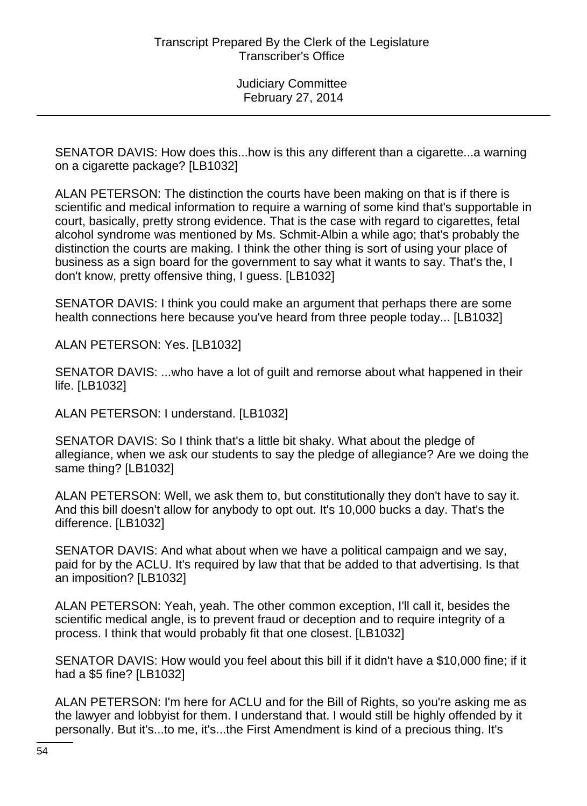SENATOR DAVIS: How does this...how is this any different than a cigarette...a warning on a cigarette package? [LB1032]

ALAN PETERSON: The distinction the courts have been making on that is if there is scientific and medical information to require a warning of some kind that's supportable in court, basically, pretty strong evidence. That is the case with regard to cigarettes, fetal alcohol syndrome was mentioned by Ms. Schmit-Albin a while ago; that's probably the distinction the courts are making. I think the other thing is sort of using your place of business as a sign board for the government to say what it wants to say. That's the, I don't know, pretty offensive thing, I guess. [LB1032]

SENATOR DAVIS: I think you could make an argument that perhaps there are some health connections here because you've heard from three people today... [LB1032]

ALAN PETERSON: Yes. [LB1032]

SENATOR DAVIS: ...who have a lot of guilt and remorse about what happened in their life. [LB1032]

ALAN PETERSON: I understand. [LB1032]

SENATOR DAVIS: So I think that's a little bit shaky. What about the pledge of allegiance, when we ask our students to say the pledge of allegiance? Are we doing the same thing? [LB1032]

ALAN PETERSON: Well, we ask them to, but constitutionally they don't have to say it. And this bill doesn't allow for anybody to opt out. It's 10,000 bucks a day. That's the difference. [LB1032]

SENATOR DAVIS: And what about when we have a political campaign and we say, paid for by the ACLU. It's required by law that that be added to that advertising. Is that an imposition? [LB1032]

ALAN PETERSON: Yeah, yeah. The other common exception, I'll call it, besides the scientific medical angle, is to prevent fraud or deception and to require integrity of a process. I think that would probably fit that one closest. [LB1032]

SENATOR DAVIS: How would you feel about this bill if it didn't have a \$10,000 fine; if it had a \$5 fine? [LB1032]

ALAN PETERSON: I'm here for ACLU and for the Bill of Rights, so you're asking me as the lawyer and lobbyist for them. I understand that. I would still be highly offended by it personally. But it's...to me, it's...the First Amendment is kind of a precious thing. It's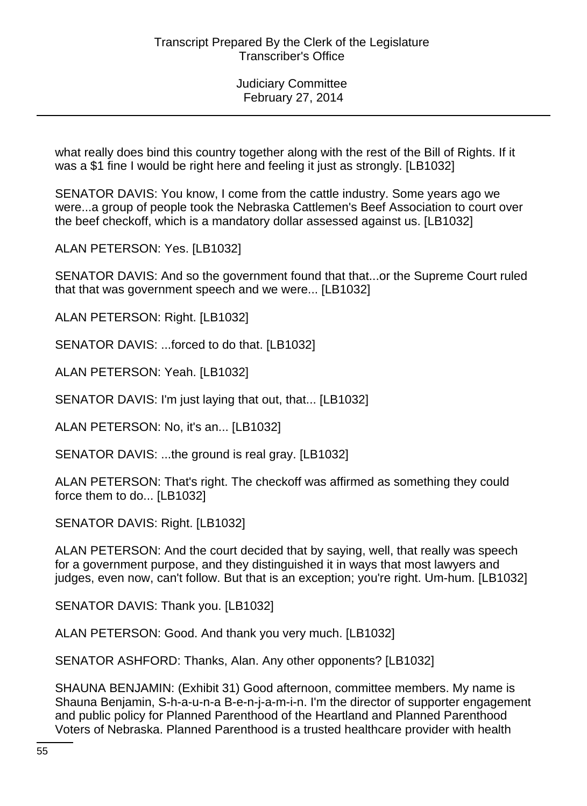what really does bind this country together along with the rest of the Bill of Rights. If it was a \$1 fine I would be right here and feeling it just as strongly. [LB1032]

SENATOR DAVIS: You know, I come from the cattle industry. Some years ago we were...a group of people took the Nebraska Cattlemen's Beef Association to court over the beef checkoff, which is a mandatory dollar assessed against us. [LB1032]

ALAN PETERSON: Yes. [LB1032]

SENATOR DAVIS: And so the government found that that...or the Supreme Court ruled that that was government speech and we were... [LB1032]

ALAN PETERSON: Right. [LB1032]

SENATOR DAVIS: ...forced to do that. [LB1032]

ALAN PETERSON: Yeah. [LB1032]

SENATOR DAVIS: I'm just laying that out, that... [LB1032]

ALAN PETERSON: No, it's an... [LB1032]

SENATOR DAVIS: ...the ground is real gray. [LB1032]

ALAN PETERSON: That's right. The checkoff was affirmed as something they could force them to do... [LB1032]

SENATOR DAVIS: Right. [LB1032]

ALAN PETERSON: And the court decided that by saying, well, that really was speech for a government purpose, and they distinguished it in ways that most lawyers and judges, even now, can't follow. But that is an exception; you're right. Um-hum. [LB1032]

SENATOR DAVIS: Thank you. [LB1032]

ALAN PETERSON: Good. And thank you very much. [LB1032]

SENATOR ASHFORD: Thanks, Alan. Any other opponents? [LB1032]

SHAUNA BENJAMIN: (Exhibit 31) Good afternoon, committee members. My name is Shauna Benjamin, S-h-a-u-n-a B-e-n-j-a-m-i-n. I'm the director of supporter engagement and public policy for Planned Parenthood of the Heartland and Planned Parenthood Voters of Nebraska. Planned Parenthood is a trusted healthcare provider with health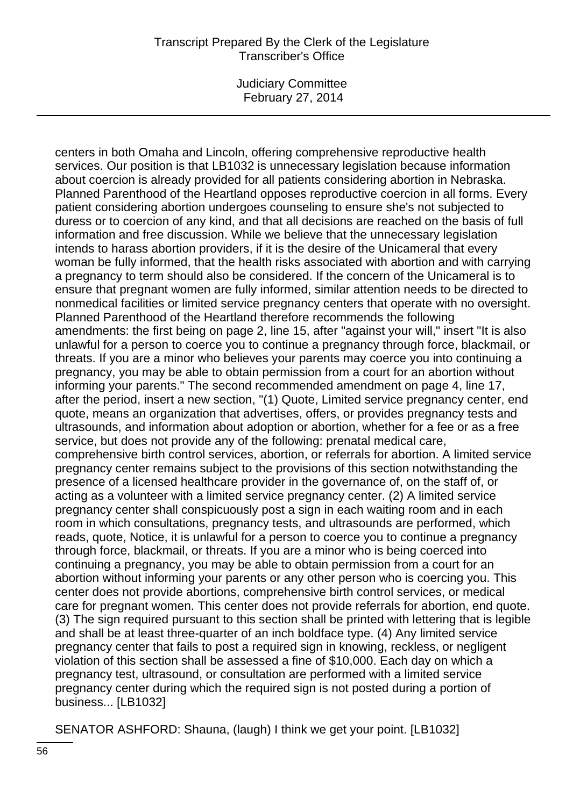## Transcript Prepared By the Clerk of the Legislature Transcriber's Office

Judiciary Committee February 27, 2014

centers in both Omaha and Lincoln, offering comprehensive reproductive health services. Our position is that LB1032 is unnecessary legislation because information about coercion is already provided for all patients considering abortion in Nebraska. Planned Parenthood of the Heartland opposes reproductive coercion in all forms. Every patient considering abortion undergoes counseling to ensure she's not subjected to duress or to coercion of any kind, and that all decisions are reached on the basis of full information and free discussion. While we believe that the unnecessary legislation intends to harass abortion providers, if it is the desire of the Unicameral that every woman be fully informed, that the health risks associated with abortion and with carrying a pregnancy to term should also be considered. If the concern of the Unicameral is to ensure that pregnant women are fully informed, similar attention needs to be directed to nonmedical facilities or limited service pregnancy centers that operate with no oversight. Planned Parenthood of the Heartland therefore recommends the following amendments: the first being on page 2, line 15, after "against your will," insert "It is also unlawful for a person to coerce you to continue a pregnancy through force, blackmail, or threats. If you are a minor who believes your parents may coerce you into continuing a pregnancy, you may be able to obtain permission from a court for an abortion without informing your parents." The second recommended amendment on page 4, line 17, after the period, insert a new section, "(1) Quote, Limited service pregnancy center, end quote, means an organization that advertises, offers, or provides pregnancy tests and ultrasounds, and information about adoption or abortion, whether for a fee or as a free service, but does not provide any of the following: prenatal medical care, comprehensive birth control services, abortion, or referrals for abortion. A limited service pregnancy center remains subject to the provisions of this section notwithstanding the presence of a licensed healthcare provider in the governance of, on the staff of, or acting as a volunteer with a limited service pregnancy center. (2) A limited service pregnancy center shall conspicuously post a sign in each waiting room and in each room in which consultations, pregnancy tests, and ultrasounds are performed, which reads, quote, Notice, it is unlawful for a person to coerce you to continue a pregnancy through force, blackmail, or threats. If you are a minor who is being coerced into continuing a pregnancy, you may be able to obtain permission from a court for an abortion without informing your parents or any other person who is coercing you. This center does not provide abortions, comprehensive birth control services, or medical care for pregnant women. This center does not provide referrals for abortion, end quote. (3) The sign required pursuant to this section shall be printed with lettering that is legible and shall be at least three-quarter of an inch boldface type. (4) Any limited service pregnancy center that fails to post a required sign in knowing, reckless, or negligent violation of this section shall be assessed a fine of \$10,000. Each day on which a pregnancy test, ultrasound, or consultation are performed with a limited service pregnancy center during which the required sign is not posted during a portion of business... [LB1032]

SENATOR ASHFORD: Shauna, (laugh) I think we get your point. [LB1032]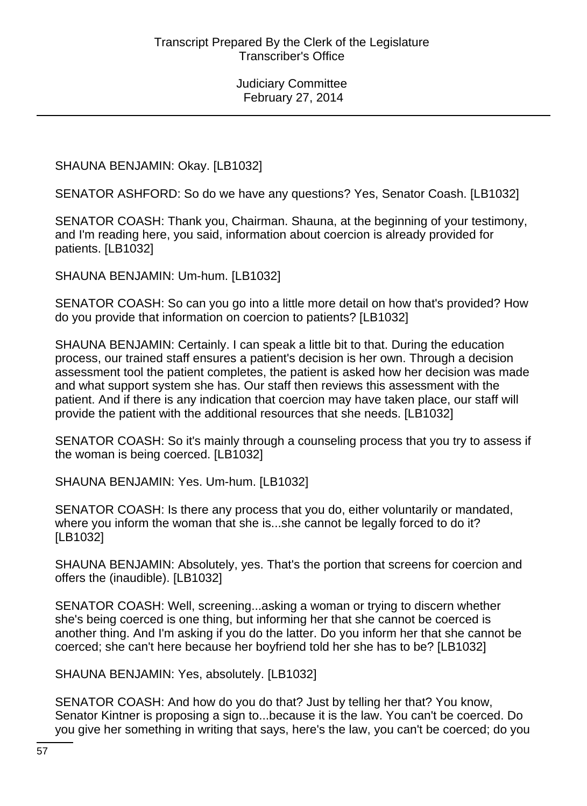SHAUNA BENJAMIN: Okay. [LB1032]

SENATOR ASHFORD: So do we have any questions? Yes, Senator Coash. [LB1032]

SENATOR COASH: Thank you, Chairman. Shauna, at the beginning of your testimony, and I'm reading here, you said, information about coercion is already provided for patients. [LB1032]

SHAUNA BENJAMIN: Um-hum. [LB1032]

SENATOR COASH: So can you go into a little more detail on how that's provided? How do you provide that information on coercion to patients? [LB1032]

SHAUNA BENJAMIN: Certainly. I can speak a little bit to that. During the education process, our trained staff ensures a patient's decision is her own. Through a decision assessment tool the patient completes, the patient is asked how her decision was made and what support system she has. Our staff then reviews this assessment with the patient. And if there is any indication that coercion may have taken place, our staff will provide the patient with the additional resources that she needs. [LB1032]

SENATOR COASH: So it's mainly through a counseling process that you try to assess if the woman is being coerced. [LB1032]

SHAUNA BENJAMIN: Yes. Um-hum. [LB1032]

SENATOR COASH: Is there any process that you do, either voluntarily or mandated, where you inform the woman that she is...she cannot be legally forced to do it? [LB1032]

SHAUNA BENJAMIN: Absolutely, yes. That's the portion that screens for coercion and offers the (inaudible). [LB1032]

SENATOR COASH: Well, screening...asking a woman or trying to discern whether she's being coerced is one thing, but informing her that she cannot be coerced is another thing. And I'm asking if you do the latter. Do you inform her that she cannot be coerced; she can't here because her boyfriend told her she has to be? [LB1032]

SHAUNA BENJAMIN: Yes, absolutely. [LB1032]

SENATOR COASH: And how do you do that? Just by telling her that? You know, Senator Kintner is proposing a sign to...because it is the law. You can't be coerced. Do you give her something in writing that says, here's the law, you can't be coerced; do you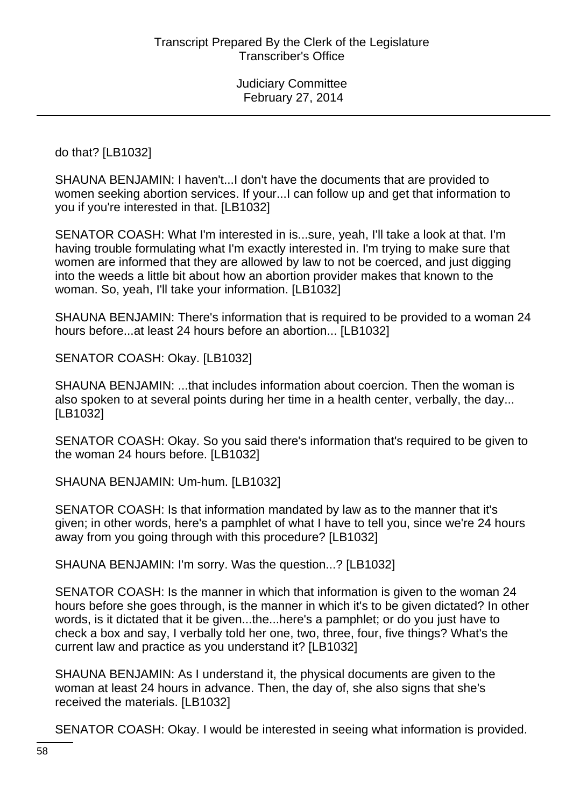do that? [LB1032]

SHAUNA BENJAMIN: I haven't...I don't have the documents that are provided to women seeking abortion services. If your...I can follow up and get that information to you if you're interested in that. [LB1032]

SENATOR COASH: What I'm interested in is...sure, yeah, I'll take a look at that. I'm having trouble formulating what I'm exactly interested in. I'm trying to make sure that women are informed that they are allowed by law to not be coerced, and just digging into the weeds a little bit about how an abortion provider makes that known to the woman. So, yeah, I'll take your information. [LB1032]

SHAUNA BENJAMIN: There's information that is required to be provided to a woman 24 hours before...at least 24 hours before an abortion... [LB1032]

SENATOR COASH: Okay. [LB1032]

SHAUNA BENJAMIN: ...that includes information about coercion. Then the woman is also spoken to at several points during her time in a health center, verbally, the day... [LB1032]

SENATOR COASH: Okay. So you said there's information that's required to be given to the woman 24 hours before. [LB1032]

SHAUNA BENJAMIN: Um-hum. [LB1032]

SENATOR COASH: Is that information mandated by law as to the manner that it's given; in other words, here's a pamphlet of what I have to tell you, since we're 24 hours away from you going through with this procedure? [LB1032]

SHAUNA BENJAMIN: I'm sorry. Was the question...? [LB1032]

SENATOR COASH: Is the manner in which that information is given to the woman 24 hours before she goes through, is the manner in which it's to be given dictated? In other words, is it dictated that it be given...the...here's a pamphlet; or do you just have to check a box and say, I verbally told her one, two, three, four, five things? What's the current law and practice as you understand it? [LB1032]

SHAUNA BENJAMIN: As I understand it, the physical documents are given to the woman at least 24 hours in advance. Then, the day of, she also signs that she's received the materials. [LB1032]

SENATOR COASH: Okay. I would be interested in seeing what information is provided.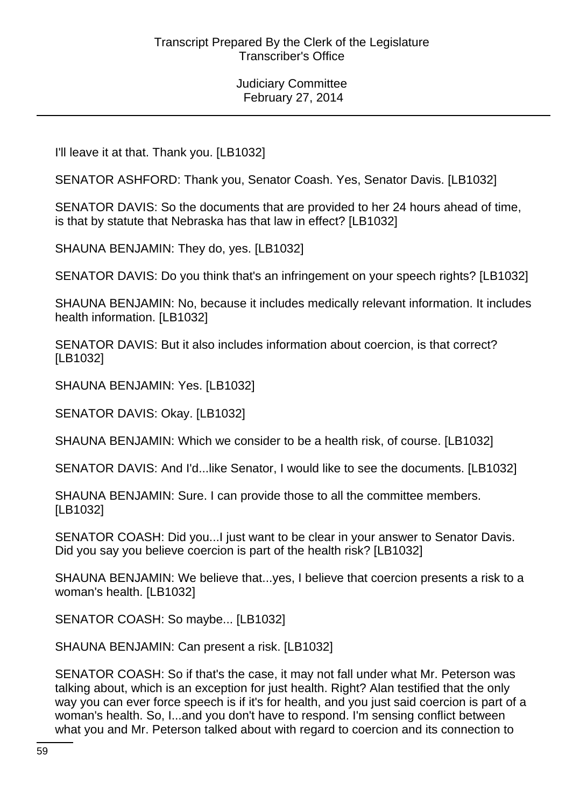I'll leave it at that. Thank you. [LB1032]

SENATOR ASHFORD: Thank you, Senator Coash. Yes, Senator Davis. [LB1032]

SENATOR DAVIS: So the documents that are provided to her 24 hours ahead of time, is that by statute that Nebraska has that law in effect? [LB1032]

SHAUNA BENJAMIN: They do, yes. [LB1032]

SENATOR DAVIS: Do you think that's an infringement on your speech rights? [LB1032]

SHAUNA BENJAMIN: No, because it includes medically relevant information. It includes health information. [LB1032]

SENATOR DAVIS: But it also includes information about coercion, is that correct? [LB1032]

SHAUNA BENJAMIN: Yes. [LB1032]

SENATOR DAVIS: Okay. [LB1032]

SHAUNA BENJAMIN: Which we consider to be a health risk, of course. [LB1032]

SENATOR DAVIS: And I'd...like Senator, I would like to see the documents. [LB1032]

SHAUNA BENJAMIN: Sure. I can provide those to all the committee members. [LB1032]

SENATOR COASH: Did you...I just want to be clear in your answer to Senator Davis. Did you say you believe coercion is part of the health risk? [LB1032]

SHAUNA BENJAMIN: We believe that...yes, I believe that coercion presents a risk to a woman's health. [LB1032]

SENATOR COASH: So maybe... [LB1032]

SHAUNA BENJAMIN: Can present a risk. [LB1032]

SENATOR COASH: So if that's the case, it may not fall under what Mr. Peterson was talking about, which is an exception for just health. Right? Alan testified that the only way you can ever force speech is if it's for health, and you just said coercion is part of a woman's health. So, I...and you don't have to respond. I'm sensing conflict between what you and Mr. Peterson talked about with regard to coercion and its connection to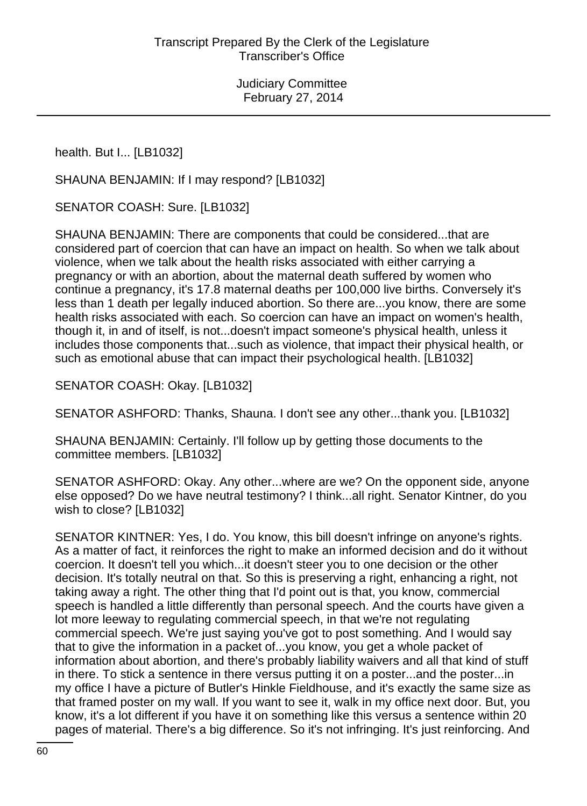health. But I... [LB1032]

SHAUNA BENJAMIN: If I may respond? [LB1032]

SENATOR COASH: Sure. [LB1032]

SHAUNA BENJAMIN: There are components that could be considered...that are considered part of coercion that can have an impact on health. So when we talk about violence, when we talk about the health risks associated with either carrying a pregnancy or with an abortion, about the maternal death suffered by women who continue a pregnancy, it's 17.8 maternal deaths per 100,000 live births. Conversely it's less than 1 death per legally induced abortion. So there are...you know, there are some health risks associated with each. So coercion can have an impact on women's health, though it, in and of itself, is not...doesn't impact someone's physical health, unless it includes those components that...such as violence, that impact their physical health, or such as emotional abuse that can impact their psychological health. [LB1032]

SENATOR COASH: Okay. [LB1032]

SENATOR ASHFORD: Thanks, Shauna. I don't see any other...thank you. [LB1032]

SHAUNA BENJAMIN: Certainly. I'll follow up by getting those documents to the committee members. [LB1032]

SENATOR ASHFORD: Okay. Any other...where are we? On the opponent side, anyone else opposed? Do we have neutral testimony? I think...all right. Senator Kintner, do you wish to close? [LB1032]

SENATOR KINTNER: Yes, I do. You know, this bill doesn't infringe on anyone's rights. As a matter of fact, it reinforces the right to make an informed decision and do it without coercion. It doesn't tell you which...it doesn't steer you to one decision or the other decision. It's totally neutral on that. So this is preserving a right, enhancing a right, not taking away a right. The other thing that I'd point out is that, you know, commercial speech is handled a little differently than personal speech. And the courts have given a lot more leeway to regulating commercial speech, in that we're not regulating commercial speech. We're just saying you've got to post something. And I would say that to give the information in a packet of...you know, you get a whole packet of information about abortion, and there's probably liability waivers and all that kind of stuff in there. To stick a sentence in there versus putting it on a poster...and the poster...in my office I have a picture of Butler's Hinkle Fieldhouse, and it's exactly the same size as that framed poster on my wall. If you want to see it, walk in my office next door. But, you know, it's a lot different if you have it on something like this versus a sentence within 20 pages of material. There's a big difference. So it's not infringing. It's just reinforcing. And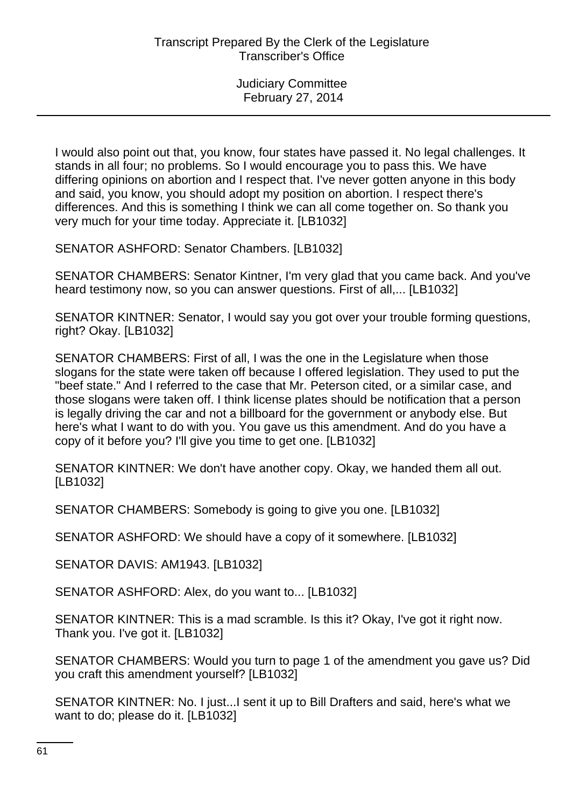I would also point out that, you know, four states have passed it. No legal challenges. It stands in all four; no problems. So I would encourage you to pass this. We have differing opinions on abortion and I respect that. I've never gotten anyone in this body and said, you know, you should adopt my position on abortion. I respect there's differences. And this is something I think we can all come together on. So thank you very much for your time today. Appreciate it. [LB1032]

SENATOR ASHFORD: Senator Chambers. [LB1032]

SENATOR CHAMBERS: Senator Kintner, I'm very glad that you came back. And you've heard testimony now, so you can answer questions. First of all,... [LB1032]

SENATOR KINTNER: Senator, I would say you got over your trouble forming questions, right? Okay. [LB1032]

SENATOR CHAMBERS: First of all, I was the one in the Legislature when those slogans for the state were taken off because I offered legislation. They used to put the "beef state." And I referred to the case that Mr. Peterson cited, or a similar case, and those slogans were taken off. I think license plates should be notification that a person is legally driving the car and not a billboard for the government or anybody else. But here's what I want to do with you. You gave us this amendment. And do you have a copy of it before you? I'll give you time to get one. [LB1032]

SENATOR KINTNER: We don't have another copy. Okay, we handed them all out. [LB1032]

SENATOR CHAMBERS: Somebody is going to give you one. [LB1032]

SENATOR ASHFORD: We should have a copy of it somewhere. [LB1032]

SENATOR DAVIS: AM1943. [LB1032]

SENATOR ASHFORD: Alex, do you want to... [LB1032]

SENATOR KINTNER: This is a mad scramble. Is this it? Okay, I've got it right now. Thank you. I've got it. [LB1032]

SENATOR CHAMBERS: Would you turn to page 1 of the amendment you gave us? Did you craft this amendment yourself? [LB1032]

SENATOR KINTNER: No. I just...I sent it up to Bill Drafters and said, here's what we want to do; please do it. [LB1032]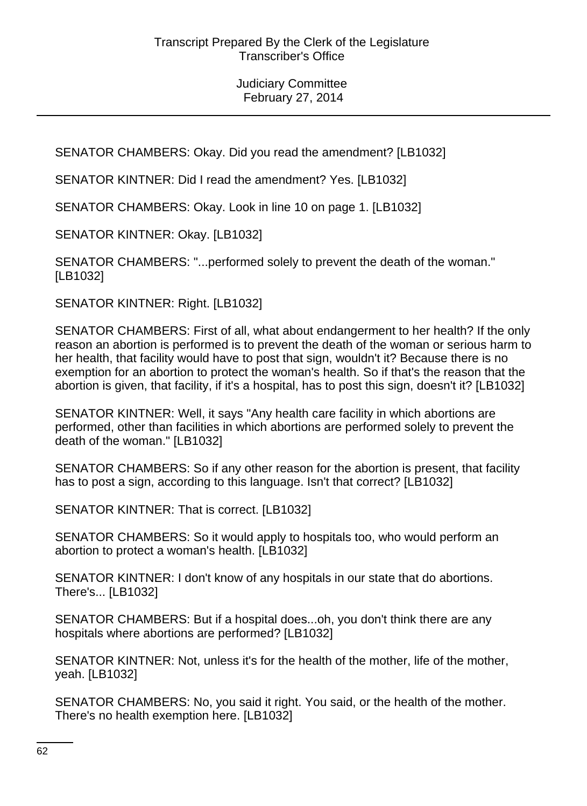SENATOR CHAMBERS: Okay. Did you read the amendment? [LB1032]

SENATOR KINTNER: Did I read the amendment? Yes. [LB1032]

SENATOR CHAMBERS: Okay. Look in line 10 on page 1. [LB1032]

SENATOR KINTNER: Okay. [LB1032]

SENATOR CHAMBERS: "...performed solely to prevent the death of the woman." [LB1032]

SENATOR KINTNER: Right. [LB1032]

SENATOR CHAMBERS: First of all, what about endangerment to her health? If the only reason an abortion is performed is to prevent the death of the woman or serious harm to her health, that facility would have to post that sign, wouldn't it? Because there is no exemption for an abortion to protect the woman's health. So if that's the reason that the abortion is given, that facility, if it's a hospital, has to post this sign, doesn't it? [LB1032]

SENATOR KINTNER: Well, it says "Any health care facility in which abortions are performed, other than facilities in which abortions are performed solely to prevent the death of the woman." [LB1032]

SENATOR CHAMBERS: So if any other reason for the abortion is present, that facility has to post a sign, according to this language. Isn't that correct? [LB1032]

SENATOR KINTNER: That is correct. [LB1032]

SENATOR CHAMBERS: So it would apply to hospitals too, who would perform an abortion to protect a woman's health. [LB1032]

SENATOR KINTNER: I don't know of any hospitals in our state that do abortions. There's... [LB1032]

SENATOR CHAMBERS: But if a hospital does...oh, you don't think there are any hospitals where abortions are performed? [LB1032]

SENATOR KINTNER: Not, unless it's for the health of the mother, life of the mother, yeah. [LB1032]

SENATOR CHAMBERS: No, you said it right. You said, or the health of the mother. There's no health exemption here. [LB1032]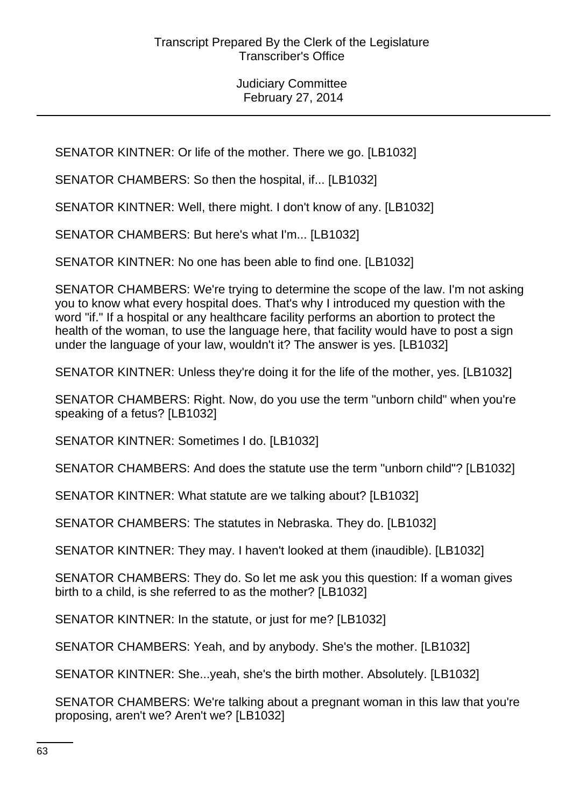SENATOR KINTNER: Or life of the mother. There we go. [LB1032]

SENATOR CHAMBERS: So then the hospital, if... [LB1032]

SENATOR KINTNER: Well, there might. I don't know of any. [LB1032]

SENATOR CHAMBERS: But here's what I'm... [LB1032]

SENATOR KINTNER: No one has been able to find one. [LB1032]

SENATOR CHAMBERS: We're trying to determine the scope of the law. I'm not asking you to know what every hospital does. That's why I introduced my question with the word "if." If a hospital or any healthcare facility performs an abortion to protect the health of the woman, to use the language here, that facility would have to post a sign under the language of your law, wouldn't it? The answer is yes. [LB1032]

SENATOR KINTNER: Unless they're doing it for the life of the mother, yes. [LB1032]

SENATOR CHAMBERS: Right. Now, do you use the term "unborn child" when you're speaking of a fetus? [LB1032]

SENATOR KINTNER: Sometimes I do. [LB1032]

SENATOR CHAMBERS: And does the statute use the term "unborn child"? [LB1032]

SENATOR KINTNER: What statute are we talking about? [LB1032]

SENATOR CHAMBERS: The statutes in Nebraska. They do. [LB1032]

SENATOR KINTNER: They may. I haven't looked at them (inaudible). [LB1032]

SENATOR CHAMBERS: They do. So let me ask you this question: If a woman gives birth to a child, is she referred to as the mother? [LB1032]

SENATOR KINTNER: In the statute, or just for me? [LB1032]

SENATOR CHAMBERS: Yeah, and by anybody. She's the mother. [LB1032]

SENATOR KINTNER: She...yeah, she's the birth mother. Absolutely. [LB1032]

SENATOR CHAMBERS: We're talking about a pregnant woman in this law that you're proposing, aren't we? Aren't we? [LB1032]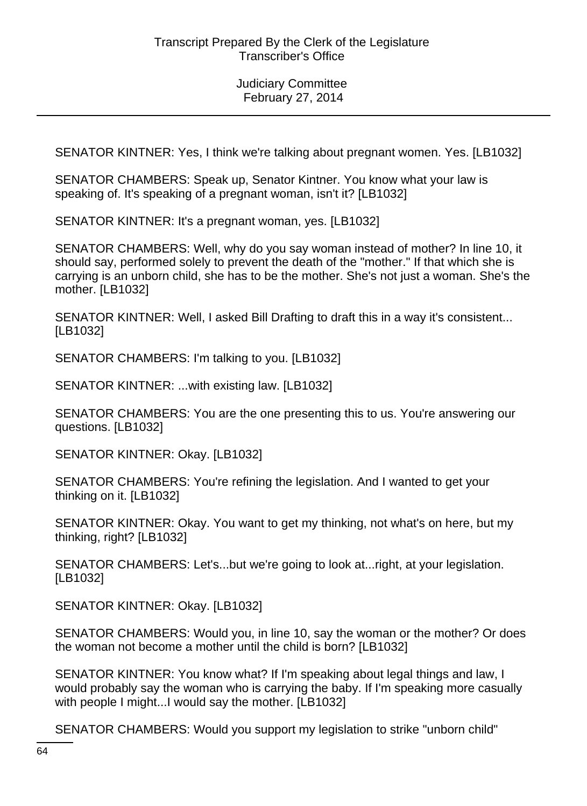SENATOR KINTNER: Yes, I think we're talking about pregnant women. Yes. [LB1032]

SENATOR CHAMBERS: Speak up, Senator Kintner. You know what your law is speaking of. It's speaking of a pregnant woman, isn't it? [LB1032]

SENATOR KINTNER: It's a pregnant woman, yes. [LB1032]

SENATOR CHAMBERS: Well, why do you say woman instead of mother? In line 10, it should say, performed solely to prevent the death of the "mother." If that which she is carrying is an unborn child, she has to be the mother. She's not just a woman. She's the mother. [LB1032]

SENATOR KINTNER: Well, I asked Bill Drafting to draft this in a way it's consistent... [LB1032]

SENATOR CHAMBERS: I'm talking to you. [LB1032]

SENATOR KINTNER: ...with existing law. [LB1032]

SENATOR CHAMBERS: You are the one presenting this to us. You're answering our questions. [LB1032]

SENATOR KINTNER: Okay. [LB1032]

SENATOR CHAMBERS: You're refining the legislation. And I wanted to get your thinking on it. [LB1032]

SENATOR KINTNER: Okay. You want to get my thinking, not what's on here, but my thinking, right? [LB1032]

SENATOR CHAMBERS: Let's...but we're going to look at...right, at your legislation. [LB1032]

SENATOR KINTNER: Okay. [LB1032]

SENATOR CHAMBERS: Would you, in line 10, say the woman or the mother? Or does the woman not become a mother until the child is born? [LB1032]

SENATOR KINTNER: You know what? If I'm speaking about legal things and law, I would probably say the woman who is carrying the baby. If I'm speaking more casually with people I might...I would say the mother. [LB1032]

SENATOR CHAMBERS: Would you support my legislation to strike "unborn child"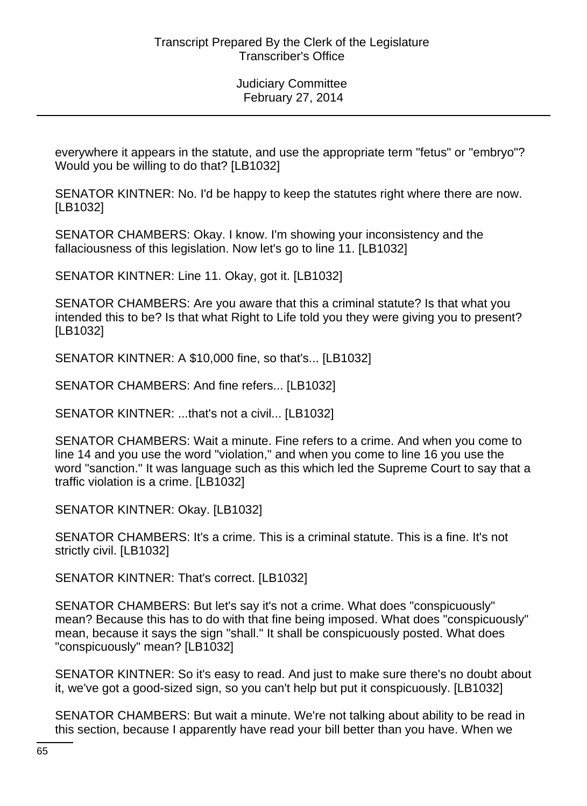everywhere it appears in the statute, and use the appropriate term "fetus" or "embryo"? Would you be willing to do that? [LB1032]

SENATOR KINTNER: No. I'd be happy to keep the statutes right where there are now. [LB1032]

SENATOR CHAMBERS: Okay. I know. I'm showing your inconsistency and the fallaciousness of this legislation. Now let's go to line 11. [LB1032]

SENATOR KINTNER: Line 11. Okay, got it. [LB1032]

SENATOR CHAMBERS: Are you aware that this a criminal statute? Is that what you intended this to be? Is that what Right to Life told you they were giving you to present? [LB1032]

SENATOR KINTNER: A \$10,000 fine, so that's... [LB1032]

SENATOR CHAMBERS: And fine refers... [LB1032]

SENATOR KINTNER: ...that's not a civil... [LB1032]

SENATOR CHAMBERS: Wait a minute. Fine refers to a crime. And when you come to line 14 and you use the word "violation," and when you come to line 16 you use the word "sanction." It was language such as this which led the Supreme Court to say that a traffic violation is a crime. [LB1032]

SENATOR KINTNER: Okay. [LB1032]

SENATOR CHAMBERS: It's a crime. This is a criminal statute. This is a fine. It's not strictly civil. [LB1032]

SENATOR KINTNER: That's correct. [LB1032]

SENATOR CHAMBERS: But let's say it's not a crime. What does "conspicuously" mean? Because this has to do with that fine being imposed. What does "conspicuously" mean, because it says the sign "shall." It shall be conspicuously posted. What does "conspicuously" mean? [LB1032]

SENATOR KINTNER: So it's easy to read. And just to make sure there's no doubt about it, we've got a good-sized sign, so you can't help but put it conspicuously. [LB1032]

SENATOR CHAMBERS: But wait a minute. We're not talking about ability to be read in this section, because I apparently have read your bill better than you have. When we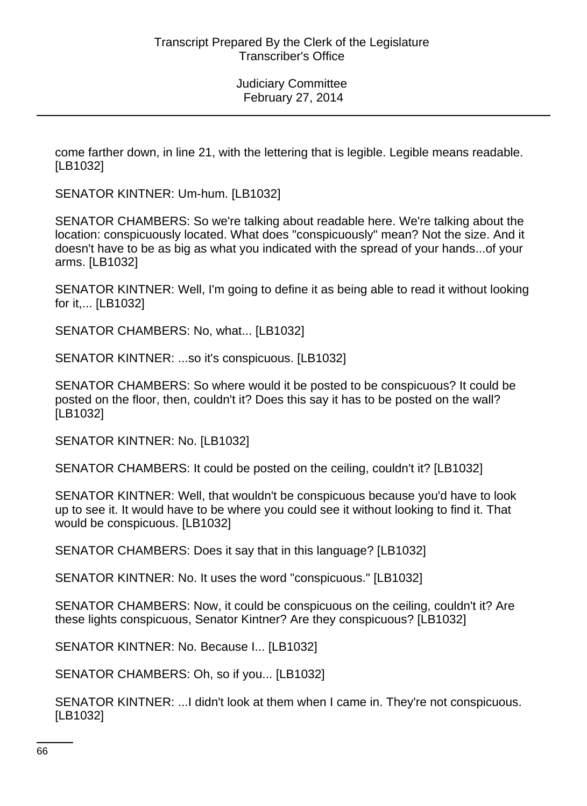come farther down, in line 21, with the lettering that is legible. Legible means readable. [LB1032]

SENATOR KINTNER: Um-hum. [LB1032]

SENATOR CHAMBERS: So we're talking about readable here. We're talking about the location: conspicuously located. What does "conspicuously" mean? Not the size. And it doesn't have to be as big as what you indicated with the spread of your hands...of your arms. [LB1032]

SENATOR KINTNER: Well, I'm going to define it as being able to read it without looking for it,... [LB1032]

SENATOR CHAMBERS: No, what... [LB1032]

SENATOR KINTNER: ...so it's conspicuous. [LB1032]

SENATOR CHAMBERS: So where would it be posted to be conspicuous? It could be posted on the floor, then, couldn't it? Does this say it has to be posted on the wall? [LB1032]

SENATOR KINTNER: No. [LB1032]

SENATOR CHAMBERS: It could be posted on the ceiling, couldn't it? [LB1032]

SENATOR KINTNER: Well, that wouldn't be conspicuous because you'd have to look up to see it. It would have to be where you could see it without looking to find it. That would be conspicuous. [LB1032]

SENATOR CHAMBERS: Does it say that in this language? [LB1032]

SENATOR KINTNER: No. It uses the word "conspicuous." [LB1032]

SENATOR CHAMBERS: Now, it could be conspicuous on the ceiling, couldn't it? Are these lights conspicuous, Senator Kintner? Are they conspicuous? [LB1032]

SENATOR KINTNER: No. Because I... [LB1032]

SENATOR CHAMBERS: Oh, so if you... [LB1032]

SENATOR KINTNER: ...I didn't look at them when I came in. They're not conspicuous. [LB1032]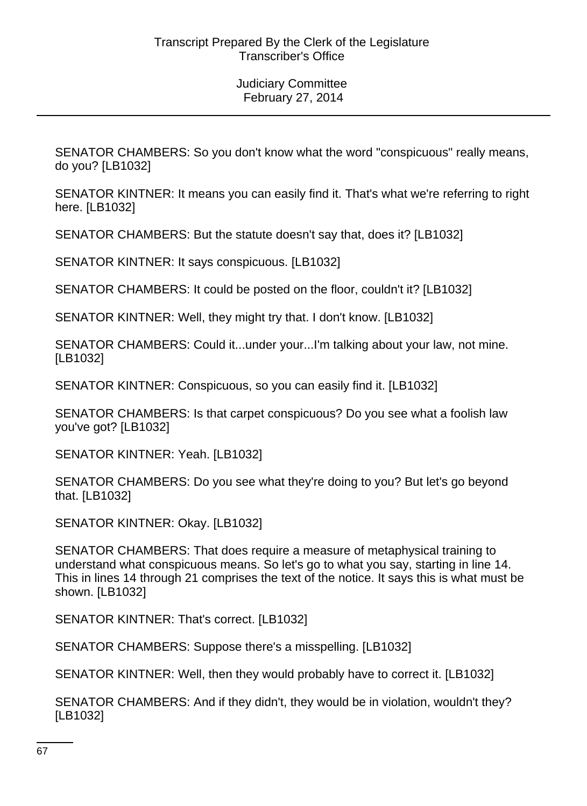SENATOR CHAMBERS: So you don't know what the word "conspicuous" really means, do you? [LB1032]

SENATOR KINTNER: It means you can easily find it. That's what we're referring to right here. [LB1032]

SENATOR CHAMBERS: But the statute doesn't say that, does it? [LB1032]

SENATOR KINTNER: It says conspicuous. [LB1032]

SENATOR CHAMBERS: It could be posted on the floor, couldn't it? [LB1032]

SENATOR KINTNER: Well, they might try that. I don't know. [LB1032]

SENATOR CHAMBERS: Could it...under your...I'm talking about your law, not mine. [LB1032]

SENATOR KINTNER: Conspicuous, so you can easily find it. [LB1032]

SENATOR CHAMBERS: Is that carpet conspicuous? Do you see what a foolish law you've got? [LB1032]

SENATOR KINTNER: Yeah. [LB1032]

SENATOR CHAMBERS: Do you see what they're doing to you? But let's go beyond that. [LB1032]

SENATOR KINTNER: Okay. [LB1032]

SENATOR CHAMBERS: That does require a measure of metaphysical training to understand what conspicuous means. So let's go to what you say, starting in line 14. This in lines 14 through 21 comprises the text of the notice. It says this is what must be shown. [LB1032]

SENATOR KINTNER: That's correct. [LB1032]

SENATOR CHAMBERS: Suppose there's a misspelling. [LB1032]

SENATOR KINTNER: Well, then they would probably have to correct it. [LB1032]

SENATOR CHAMBERS: And if they didn't, they would be in violation, wouldn't they? [LB1032]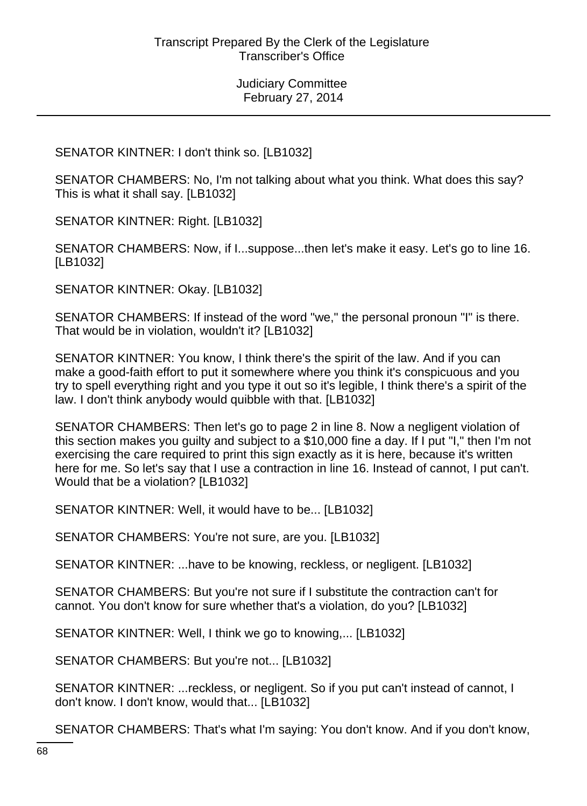SENATOR KINTNER: I don't think so. [LB1032]

SENATOR CHAMBERS: No, I'm not talking about what you think. What does this say? This is what it shall say. [LB1032]

SENATOR KINTNER: Right. [LB1032]

SENATOR CHAMBERS: Now, if I...suppose...then let's make it easy. Let's go to line 16. [LB1032]

SENATOR KINTNER: Okay. [LB1032]

SENATOR CHAMBERS: If instead of the word "we," the personal pronoun "I" is there. That would be in violation, wouldn't it? [LB1032]

SENATOR KINTNER: You know, I think there's the spirit of the law. And if you can make a good-faith effort to put it somewhere where you think it's conspicuous and you try to spell everything right and you type it out so it's legible, I think there's a spirit of the law. I don't think anybody would quibble with that. [LB1032]

SENATOR CHAMBERS: Then let's go to page 2 in line 8. Now a negligent violation of this section makes you guilty and subject to a \$10,000 fine a day. If I put "I," then I'm not exercising the care required to print this sign exactly as it is here, because it's written here for me. So let's say that I use a contraction in line 16. Instead of cannot, I put can't. Would that be a violation? [LB1032]

SENATOR KINTNER: Well, it would have to be... [LB1032]

SENATOR CHAMBERS: You're not sure, are you. [LB1032]

SENATOR KINTNER: ...have to be knowing, reckless, or negligent. [LB1032]

SENATOR CHAMBERS: But you're not sure if I substitute the contraction can't for cannot. You don't know for sure whether that's a violation, do you? [LB1032]

SENATOR KINTNER: Well, I think we go to knowing,... [LB1032]

SENATOR CHAMBERS: But you're not... [LB1032]

SENATOR KINTNER: ...reckless, or negligent. So if you put can't instead of cannot, I don't know. I don't know, would that... [LB1032]

SENATOR CHAMBERS: That's what I'm saying: You don't know. And if you don't know,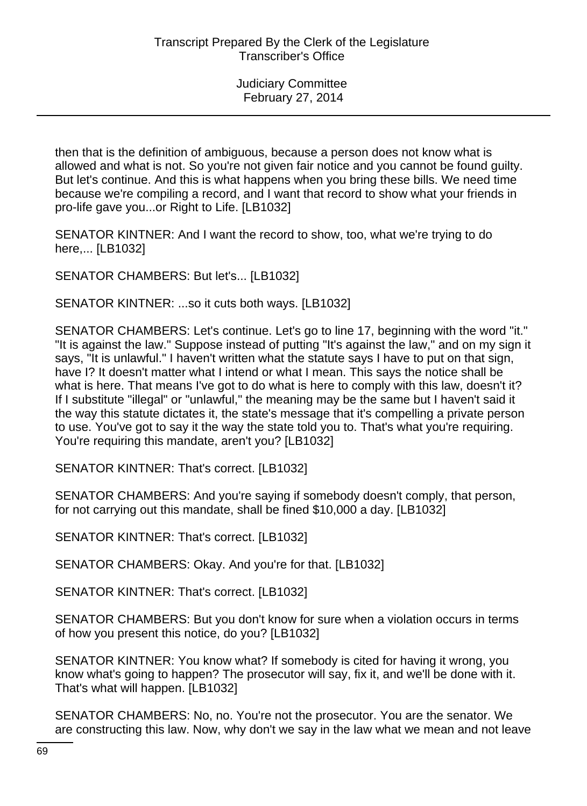then that is the definition of ambiguous, because a person does not know what is allowed and what is not. So you're not given fair notice and you cannot be found guilty. But let's continue. And this is what happens when you bring these bills. We need time because we're compiling a record, and I want that record to show what your friends in pro-life gave you...or Right to Life. [LB1032]

SENATOR KINTNER: And I want the record to show, too, what we're trying to do here,... [LB1032]

SENATOR CHAMBERS: But let's... [LB1032]

SENATOR KINTNER: ...so it cuts both ways. [LB1032]

SENATOR CHAMBERS: Let's continue. Let's go to line 17, beginning with the word "it." "It is against the law." Suppose instead of putting "It's against the law," and on my sign it says, "It is unlawful." I haven't written what the statute says I have to put on that sign, have I? It doesn't matter what I intend or what I mean. This says the notice shall be what is here. That means I've got to do what is here to comply with this law, doesn't it? If I substitute "illegal" or "unlawful," the meaning may be the same but I haven't said it the way this statute dictates it, the state's message that it's compelling a private person to use. You've got to say it the way the state told you to. That's what you're requiring. You're requiring this mandate, aren't you? [LB1032]

SENATOR KINTNER: That's correct. [LB1032]

SENATOR CHAMBERS: And you're saying if somebody doesn't comply, that person, for not carrying out this mandate, shall be fined \$10,000 a day. [LB1032]

SENATOR KINTNER: That's correct. [LB1032]

SENATOR CHAMBERS: Okay. And you're for that. [LB1032]

SENATOR KINTNER: That's correct. [LB1032]

SENATOR CHAMBERS: But you don't know for sure when a violation occurs in terms of how you present this notice, do you? [LB1032]

SENATOR KINTNER: You know what? If somebody is cited for having it wrong, you know what's going to happen? The prosecutor will say, fix it, and we'll be done with it. That's what will happen. [LB1032]

SENATOR CHAMBERS: No, no. You're not the prosecutor. You are the senator. We are constructing this law. Now, why don't we say in the law what we mean and not leave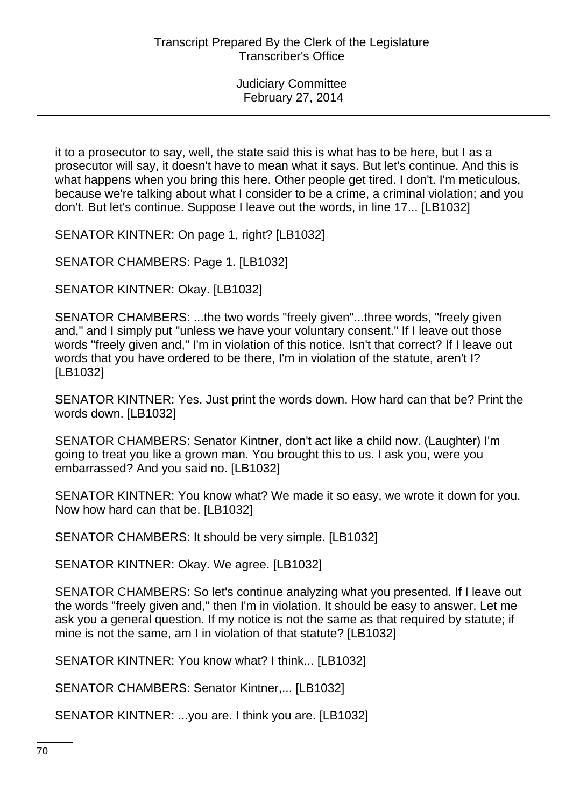it to a prosecutor to say, well, the state said this is what has to be here, but I as a prosecutor will say, it doesn't have to mean what it says. But let's continue. And this is what happens when you bring this here. Other people get tired. I don't. I'm meticulous, because we're talking about what I consider to be a crime, a criminal violation; and you don't. But let's continue. Suppose I leave out the words, in line 17... [LB1032]

SENATOR KINTNER: On page 1, right? [LB1032]

SENATOR CHAMBERS: Page 1. [LB1032]

SENATOR KINTNER: Okay. [LB1032]

SENATOR CHAMBERS: ...the two words "freely given"...three words, "freely given and," and I simply put "unless we have your voluntary consent." If I leave out those words "freely given and," I'm in violation of this notice. Isn't that correct? If I leave out words that you have ordered to be there, I'm in violation of the statute, aren't I? [LB1032]

SENATOR KINTNER: Yes. Just print the words down. How hard can that be? Print the words down. [LB1032]

SENATOR CHAMBERS: Senator Kintner, don't act like a child now. (Laughter) I'm going to treat you like a grown man. You brought this to us. I ask you, were you embarrassed? And you said no. [LB1032]

SENATOR KINTNER: You know what? We made it so easy, we wrote it down for you. Now how hard can that be. [LB1032]

SENATOR CHAMBERS: It should be very simple. [LB1032]

SENATOR KINTNER: Okay. We agree. [LB1032]

SENATOR CHAMBERS: So let's continue analyzing what you presented. If I leave out the words "freely given and," then I'm in violation. It should be easy to answer. Let me ask you a general question. If my notice is not the same as that required by statute; if mine is not the same, am I in violation of that statute? [LB1032]

SENATOR KINTNER: You know what? I think... [LB1032]

SENATOR CHAMBERS: Senator Kintner,... [LB1032]

SENATOR KINTNER: ...you are. I think you are. [LB1032]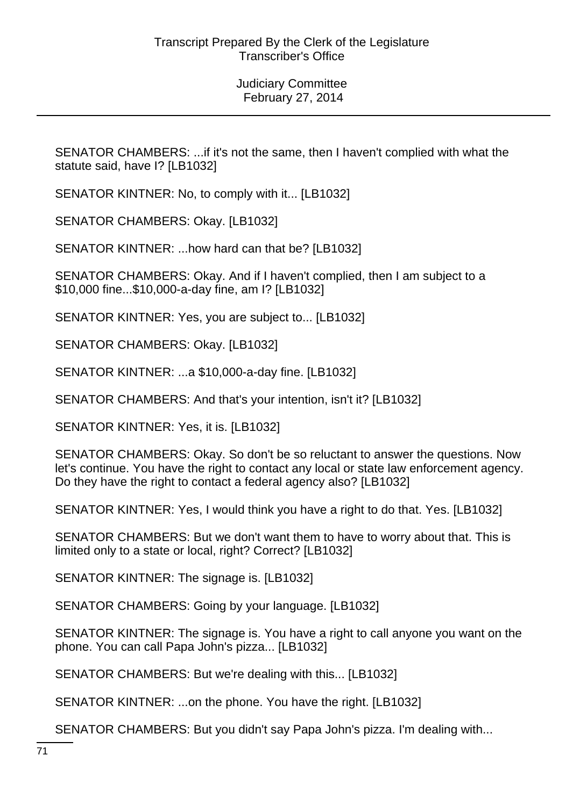SENATOR CHAMBERS: ...if it's not the same, then I haven't complied with what the statute said, have I? [LB1032]

SENATOR KINTNER: No, to comply with it... [LB1032]

SENATOR CHAMBERS: Okay. [LB1032]

SENATOR KINTNER: ...how hard can that be? [LB1032]

SENATOR CHAMBERS: Okay. And if I haven't complied, then I am subject to a \$10,000 fine...\$10,000-a-day fine, am I? [LB1032]

SENATOR KINTNER: Yes, you are subject to... [LB1032]

SENATOR CHAMBERS: Okay. [LB1032]

SENATOR KINTNER: ...a \$10,000-a-day fine. [LB1032]

SENATOR CHAMBERS: And that's your intention, isn't it? [LB1032]

SENATOR KINTNER: Yes, it is. [LB1032]

SENATOR CHAMBERS: Okay. So don't be so reluctant to answer the questions. Now let's continue. You have the right to contact any local or state law enforcement agency. Do they have the right to contact a federal agency also? [LB1032]

SENATOR KINTNER: Yes, I would think you have a right to do that. Yes. [LB1032]

SENATOR CHAMBERS: But we don't want them to have to worry about that. This is limited only to a state or local, right? Correct? [LB1032]

SENATOR KINTNER: The signage is. [LB1032]

SENATOR CHAMBERS: Going by your language. [LB1032]

SENATOR KINTNER: The signage is. You have a right to call anyone you want on the phone. You can call Papa John's pizza... [LB1032]

SENATOR CHAMBERS: But we're dealing with this... [LB1032]

SENATOR KINTNER: ...on the phone. You have the right. [LB1032]

SENATOR CHAMBERS: But you didn't say Papa John's pizza. I'm dealing with...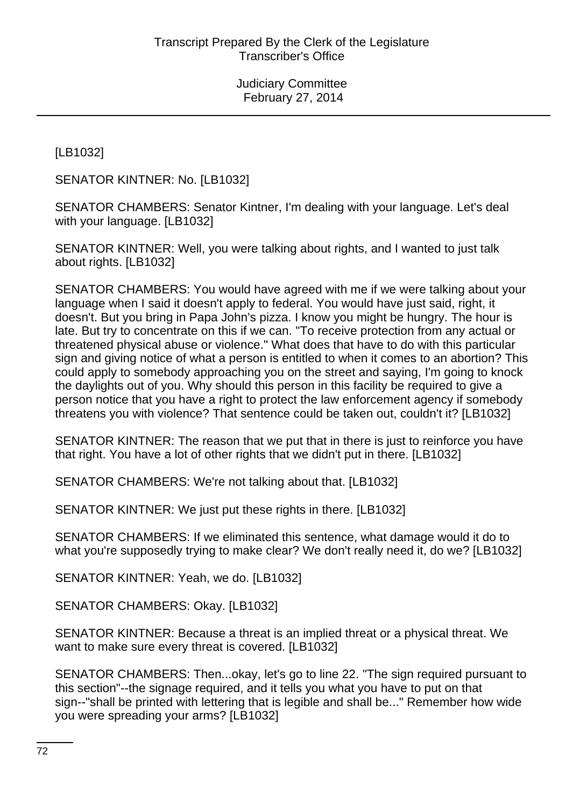[LB1032]

SENATOR KINTNER: No. [LB1032]

SENATOR CHAMBERS: Senator Kintner, I'm dealing with your language. Let's deal with your language. [LB1032]

SENATOR KINTNER: Well, you were talking about rights, and I wanted to just talk about rights. [LB1032]

SENATOR CHAMBERS: You would have agreed with me if we were talking about your language when I said it doesn't apply to federal. You would have just said, right, it doesn't. But you bring in Papa John's pizza. I know you might be hungry. The hour is late. But try to concentrate on this if we can. "To receive protection from any actual or threatened physical abuse or violence." What does that have to do with this particular sign and giving notice of what a person is entitled to when it comes to an abortion? This could apply to somebody approaching you on the street and saying, I'm going to knock the daylights out of you. Why should this person in this facility be required to give a person notice that you have a right to protect the law enforcement agency if somebody threatens you with violence? That sentence could be taken out, couldn't it? [LB1032]

SENATOR KINTNER: The reason that we put that in there is just to reinforce you have that right. You have a lot of other rights that we didn't put in there. [LB1032]

SENATOR CHAMBERS: We're not talking about that. [LB1032]

SENATOR KINTNER: We just put these rights in there. [LB1032]

SENATOR CHAMBERS: If we eliminated this sentence, what damage would it do to what you're supposedly trying to make clear? We don't really need it, do we? [LB1032]

SENATOR KINTNER: Yeah, we do. [LB1032]

SENATOR CHAMBERS: Okay. [LB1032]

SENATOR KINTNER: Because a threat is an implied threat or a physical threat. We want to make sure every threat is covered. [LB1032]

SENATOR CHAMBERS: Then...okay, let's go to line 22. "The sign required pursuant to this section"--the signage required, and it tells you what you have to put on that sign--"shall be printed with lettering that is legible and shall be..." Remember how wide you were spreading your arms? [LB1032]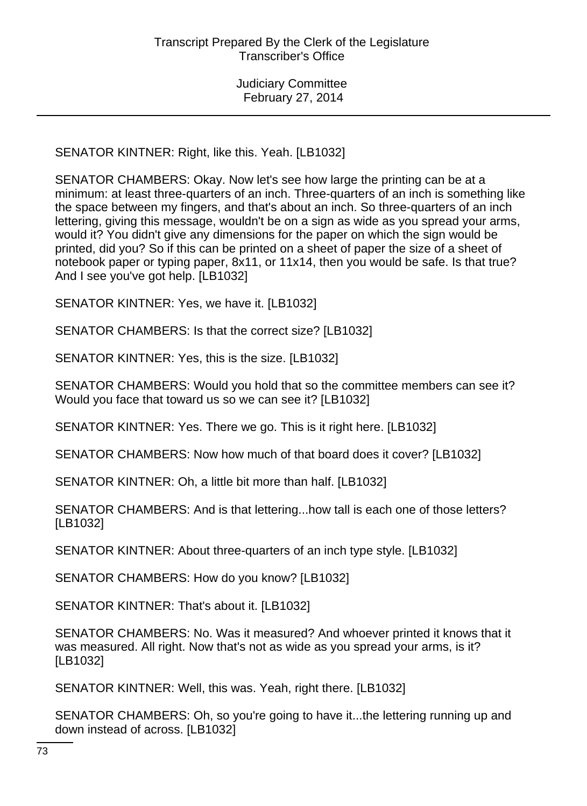SENATOR KINTNER: Right, like this. Yeah. [LB1032]

SENATOR CHAMBERS: Okay. Now let's see how large the printing can be at a minimum: at least three-quarters of an inch. Three-quarters of an inch is something like the space between my fingers, and that's about an inch. So three-quarters of an inch lettering, giving this message, wouldn't be on a sign as wide as you spread your arms, would it? You didn't give any dimensions for the paper on which the sign would be printed, did you? So if this can be printed on a sheet of paper the size of a sheet of notebook paper or typing paper, 8x11, or 11x14, then you would be safe. Is that true? And I see you've got help. [LB1032]

SENATOR KINTNER: Yes, we have it. [LB1032]

SENATOR CHAMBERS: Is that the correct size? [LB1032]

SENATOR KINTNER: Yes, this is the size. [LB1032]

SENATOR CHAMBERS: Would you hold that so the committee members can see it? Would you face that toward us so we can see it? [LB1032]

SENATOR KINTNER: Yes. There we go. This is it right here. [LB1032]

SENATOR CHAMBERS: Now how much of that board does it cover? [LB1032]

SENATOR KINTNER: Oh, a little bit more than half. [LB1032]

SENATOR CHAMBERS: And is that lettering...how tall is each one of those letters? [LB1032]

SENATOR KINTNER: About three-quarters of an inch type style. [LB1032]

SENATOR CHAMBERS: How do you know? [LB1032]

SENATOR KINTNER: That's about it. [LB1032]

SENATOR CHAMBERS: No. Was it measured? And whoever printed it knows that it was measured. All right. Now that's not as wide as you spread your arms, is it? [LB1032]

SENATOR KINTNER: Well, this was. Yeah, right there. [LB1032]

SENATOR CHAMBERS: Oh, so you're going to have it...the lettering running up and down instead of across. [LB1032]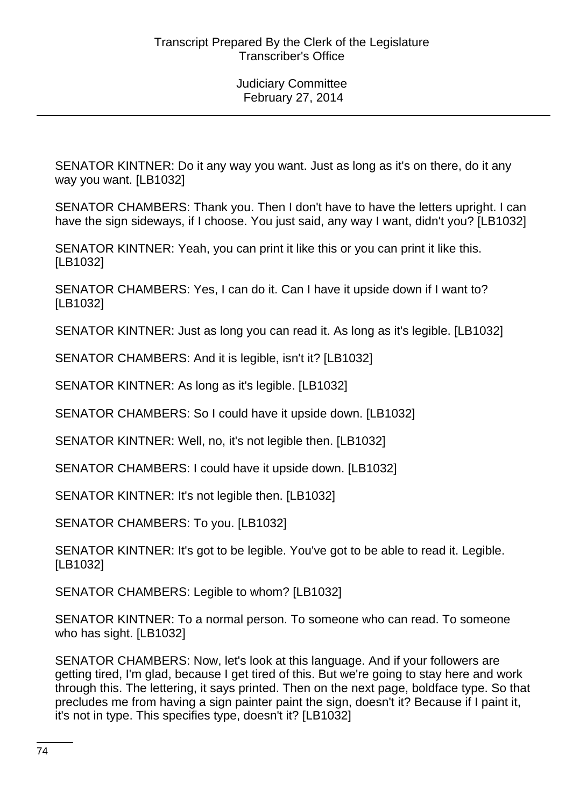SENATOR KINTNER: Do it any way you want. Just as long as it's on there, do it any way you want. [LB1032]

SENATOR CHAMBERS: Thank you. Then I don't have to have the letters upright. I can have the sign sideways, if I choose. You just said, any way I want, didn't you? [LB1032]

SENATOR KINTNER: Yeah, you can print it like this or you can print it like this. [LB1032]

SENATOR CHAMBERS: Yes, I can do it. Can I have it upside down if I want to? [LB1032]

SENATOR KINTNER: Just as long you can read it. As long as it's legible. [LB1032]

SENATOR CHAMBERS: And it is legible, isn't it? [LB1032]

SENATOR KINTNER: As long as it's legible. [LB1032]

SENATOR CHAMBERS: So I could have it upside down. [LB1032]

SENATOR KINTNER: Well, no, it's not legible then. [LB1032]

SENATOR CHAMBERS: I could have it upside down. [LB1032]

SENATOR KINTNER: It's not legible then. [LB1032]

SENATOR CHAMBERS: To you. [LB1032]

SENATOR KINTNER: It's got to be legible. You've got to be able to read it. Legible. [LB1032]

SENATOR CHAMBERS: Legible to whom? [LB1032]

SENATOR KINTNER: To a normal person. To someone who can read. To someone who has sight. [LB1032]

SENATOR CHAMBERS: Now, let's look at this language. And if your followers are getting tired, I'm glad, because I get tired of this. But we're going to stay here and work through this. The lettering, it says printed. Then on the next page, boldface type. So that precludes me from having a sign painter paint the sign, doesn't it? Because if I paint it, it's not in type. This specifies type, doesn't it? [LB1032]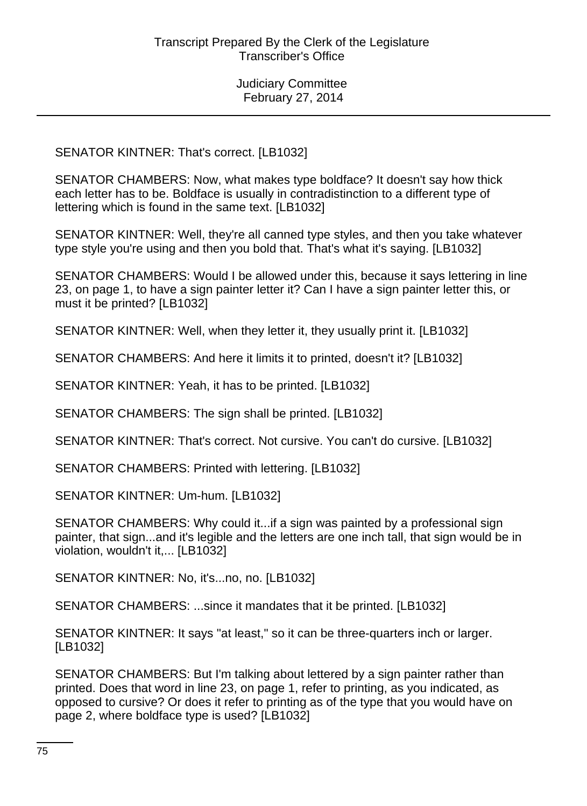SENATOR KINTNER: That's correct. [LB1032]

SENATOR CHAMBERS: Now, what makes type boldface? It doesn't say how thick each letter has to be. Boldface is usually in contradistinction to a different type of lettering which is found in the same text. [LB1032]

SENATOR KINTNER: Well, they're all canned type styles, and then you take whatever type style you're using and then you bold that. That's what it's saying. [LB1032]

SENATOR CHAMBERS: Would I be allowed under this, because it says lettering in line 23, on page 1, to have a sign painter letter it? Can I have a sign painter letter this, or must it be printed? [LB1032]

SENATOR KINTNER: Well, when they letter it, they usually print it. [LB1032]

SENATOR CHAMBERS: And here it limits it to printed, doesn't it? [LB1032]

SENATOR KINTNER: Yeah, it has to be printed. [LB1032]

SENATOR CHAMBERS: The sign shall be printed. [LB1032]

SENATOR KINTNER: That's correct. Not cursive. You can't do cursive. [LB1032]

SENATOR CHAMBERS: Printed with lettering. [LB1032]

SENATOR KINTNER: Um-hum. [LB1032]

SENATOR CHAMBERS: Why could it...if a sign was painted by a professional sign painter, that sign...and it's legible and the letters are one inch tall, that sign would be in violation, wouldn't it,... [LB1032]

SENATOR KINTNER: No, it's...no, no. [LB1032]

SENATOR CHAMBERS: ...since it mandates that it be printed. [LB1032]

SENATOR KINTNER: It says "at least," so it can be three-quarters inch or larger. [LB1032]

SENATOR CHAMBERS: But I'm talking about lettered by a sign painter rather than printed. Does that word in line 23, on page 1, refer to printing, as you indicated, as opposed to cursive? Or does it refer to printing as of the type that you would have on page 2, where boldface type is used? [LB1032]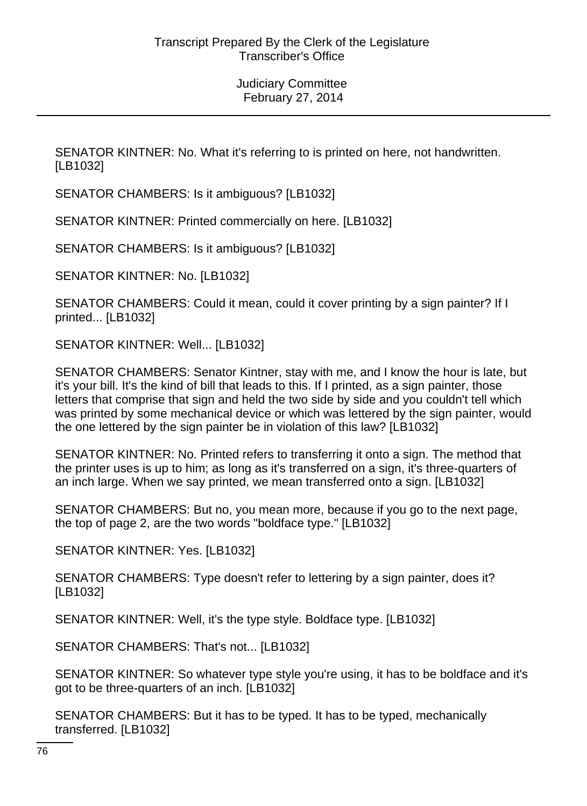SENATOR KINTNER: No. What it's referring to is printed on here, not handwritten. [LB1032]

SENATOR CHAMBERS: Is it ambiguous? [LB1032]

SENATOR KINTNER: Printed commercially on here. [LB1032]

SENATOR CHAMBERS: Is it ambiguous? [LB1032]

SENATOR KINTNER: No. [LB1032]

SENATOR CHAMBERS: Could it mean, could it cover printing by a sign painter? If I printed... [LB1032]

SENATOR KINTNER: Well... [LB1032]

SENATOR CHAMBERS: Senator Kintner, stay with me, and I know the hour is late, but it's your bill. It's the kind of bill that leads to this. If I printed, as a sign painter, those letters that comprise that sign and held the two side by side and you couldn't tell which was printed by some mechanical device or which was lettered by the sign painter, would the one lettered by the sign painter be in violation of this law? [LB1032]

SENATOR KINTNER: No. Printed refers to transferring it onto a sign. The method that the printer uses is up to him; as long as it's transferred on a sign, it's three-quarters of an inch large. When we say printed, we mean transferred onto a sign. [LB1032]

SENATOR CHAMBERS: But no, you mean more, because if you go to the next page, the top of page 2, are the two words "boldface type." [LB1032]

SENATOR KINTNER: Yes. [LB1032]

SENATOR CHAMBERS: Type doesn't refer to lettering by a sign painter, does it? [LB1032]

SENATOR KINTNER: Well, it's the type style. Boldface type. [LB1032]

SENATOR CHAMBERS: That's not... [LB1032]

SENATOR KINTNER: So whatever type style you're using, it has to be boldface and it's got to be three-quarters of an inch. [LB1032]

SENATOR CHAMBERS: But it has to be typed. It has to be typed, mechanically transferred. [LB1032]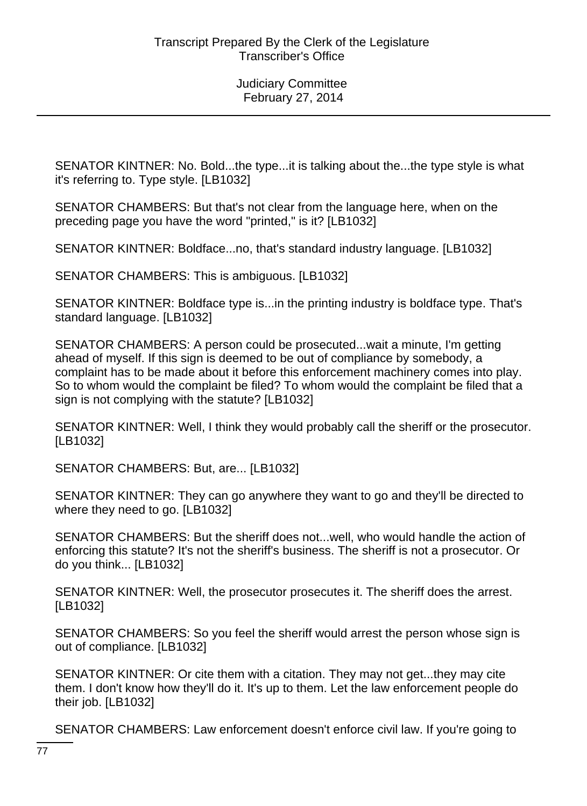SENATOR KINTNER: No. Bold...the type...it is talking about the...the type style is what it's referring to. Type style. [LB1032]

SENATOR CHAMBERS: But that's not clear from the language here, when on the preceding page you have the word "printed," is it? [LB1032]

SENATOR KINTNER: Boldface...no, that's standard industry language. [LB1032]

SENATOR CHAMBERS: This is ambiguous. [LB1032]

SENATOR KINTNER: Boldface type is...in the printing industry is boldface type. That's standard language. [LB1032]

SENATOR CHAMBERS: A person could be prosecuted...wait a minute, I'm getting ahead of myself. If this sign is deemed to be out of compliance by somebody, a complaint has to be made about it before this enforcement machinery comes into play. So to whom would the complaint be filed? To whom would the complaint be filed that a sign is not complying with the statute? [LB1032]

SENATOR KINTNER: Well, I think they would probably call the sheriff or the prosecutor. [LB1032]

SENATOR CHAMBERS: But, are... [LB1032]

SENATOR KINTNER: They can go anywhere they want to go and they'll be directed to where they need to go. [LB1032]

SENATOR CHAMBERS: But the sheriff does not...well, who would handle the action of enforcing this statute? It's not the sheriff's business. The sheriff is not a prosecutor. Or do you think... [LB1032]

SENATOR KINTNER: Well, the prosecutor prosecutes it. The sheriff does the arrest. [LB1032]

SENATOR CHAMBERS: So you feel the sheriff would arrest the person whose sign is out of compliance. [LB1032]

SENATOR KINTNER: Or cite them with a citation. They may not get...they may cite them. I don't know how they'll do it. It's up to them. Let the law enforcement people do their job. [LB1032]

SENATOR CHAMBERS: Law enforcement doesn't enforce civil law. If you're going to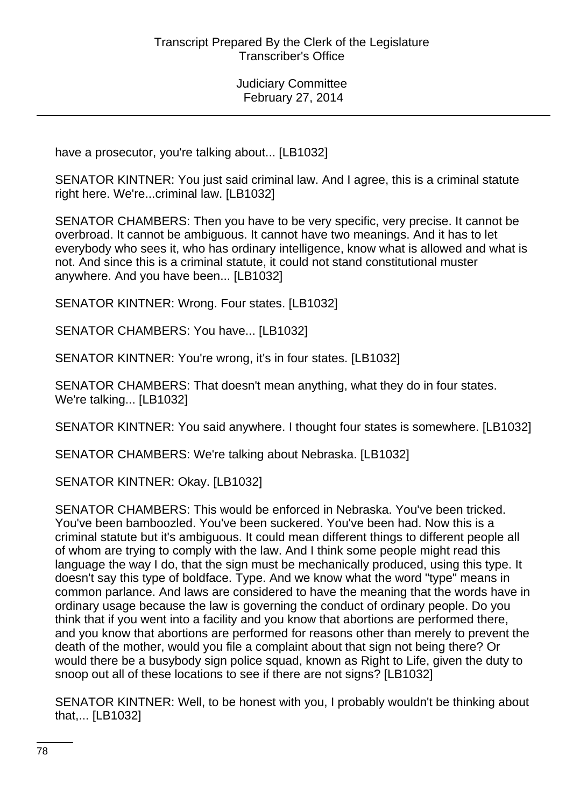have a prosecutor, you're talking about... [LB1032]

SENATOR KINTNER: You just said criminal law. And I agree, this is a criminal statute right here. We're...criminal law. [LB1032]

SENATOR CHAMBERS: Then you have to be very specific, very precise. It cannot be overbroad. It cannot be ambiguous. It cannot have two meanings. And it has to let everybody who sees it, who has ordinary intelligence, know what is allowed and what is not. And since this is a criminal statute, it could not stand constitutional muster anywhere. And you have been... [LB1032]

SENATOR KINTNER: Wrong. Four states. [LB1032]

SENATOR CHAMBERS: You have... [LB1032]

SENATOR KINTNER: You're wrong, it's in four states. [LB1032]

SENATOR CHAMBERS: That doesn't mean anything, what they do in four states. We're talking... [LB1032]

SENATOR KINTNER: You said anywhere. I thought four states is somewhere. [LB1032]

SENATOR CHAMBERS: We're talking about Nebraska. [LB1032]

SENATOR KINTNER: Okay. [LB1032]

SENATOR CHAMBERS: This would be enforced in Nebraska. You've been tricked. You've been bamboozled. You've been suckered. You've been had. Now this is a criminal statute but it's ambiguous. It could mean different things to different people all of whom are trying to comply with the law. And I think some people might read this language the way I do, that the sign must be mechanically produced, using this type. It doesn't say this type of boldface. Type. And we know what the word "type" means in common parlance. And laws are considered to have the meaning that the words have in ordinary usage because the law is governing the conduct of ordinary people. Do you think that if you went into a facility and you know that abortions are performed there, and you know that abortions are performed for reasons other than merely to prevent the death of the mother, would you file a complaint about that sign not being there? Or would there be a busybody sign police squad, known as Right to Life, given the duty to snoop out all of these locations to see if there are not signs? [LB1032]

SENATOR KINTNER: Well, to be honest with you, I probably wouldn't be thinking about that,... [LB1032]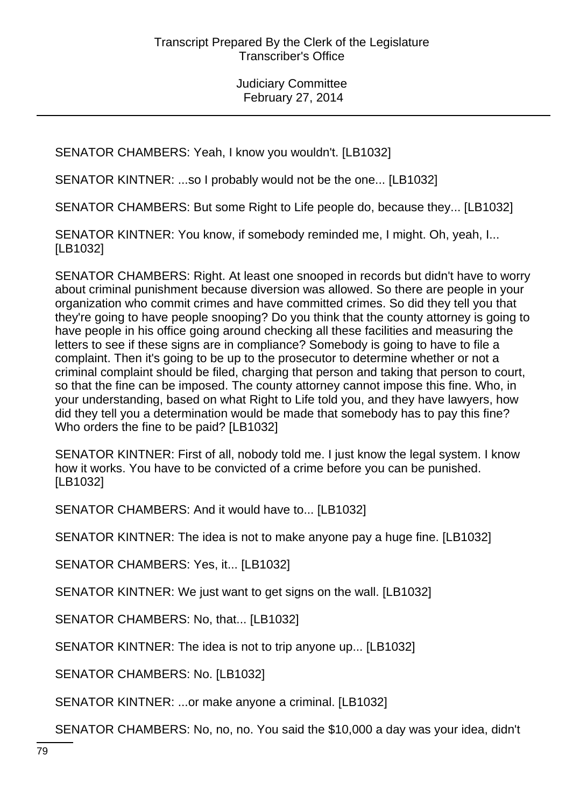SENATOR CHAMBERS: Yeah, I know you wouldn't. [LB1032]

SENATOR KINTNER: ...so I probably would not be the one... [LB1032]

SENATOR CHAMBERS: But some Right to Life people do, because they... [LB1032]

SENATOR KINTNER: You know, if somebody reminded me, I might. Oh, yeah, I... [LB1032]

SENATOR CHAMBERS: Right. At least one snooped in records but didn't have to worry about criminal punishment because diversion was allowed. So there are people in your organization who commit crimes and have committed crimes. So did they tell you that they're going to have people snooping? Do you think that the county attorney is going to have people in his office going around checking all these facilities and measuring the letters to see if these signs are in compliance? Somebody is going to have to file a complaint. Then it's going to be up to the prosecutor to determine whether or not a criminal complaint should be filed, charging that person and taking that person to court, so that the fine can be imposed. The county attorney cannot impose this fine. Who, in your understanding, based on what Right to Life told you, and they have lawyers, how did they tell you a determination would be made that somebody has to pay this fine? Who orders the fine to be paid? [LB1032]

SENATOR KINTNER: First of all, nobody told me. I just know the legal system. I know how it works. You have to be convicted of a crime before you can be punished. [LB1032]

SENATOR CHAMBERS: And it would have to... [LB1032]

SENATOR KINTNER: The idea is not to make anyone pay a huge fine. [LB1032]

SENATOR CHAMBERS: Yes, it... [LB1032]

SENATOR KINTNER: We just want to get signs on the wall. [LB1032]

SENATOR CHAMBERS: No, that... [LB1032]

SENATOR KINTNER: The idea is not to trip anyone up... [LB1032]

SENATOR CHAMBERS: No. [LB1032]

SENATOR KINTNER: ...or make anyone a criminal. [LB1032]

SENATOR CHAMBERS: No, no, no. You said the \$10,000 a day was your idea, didn't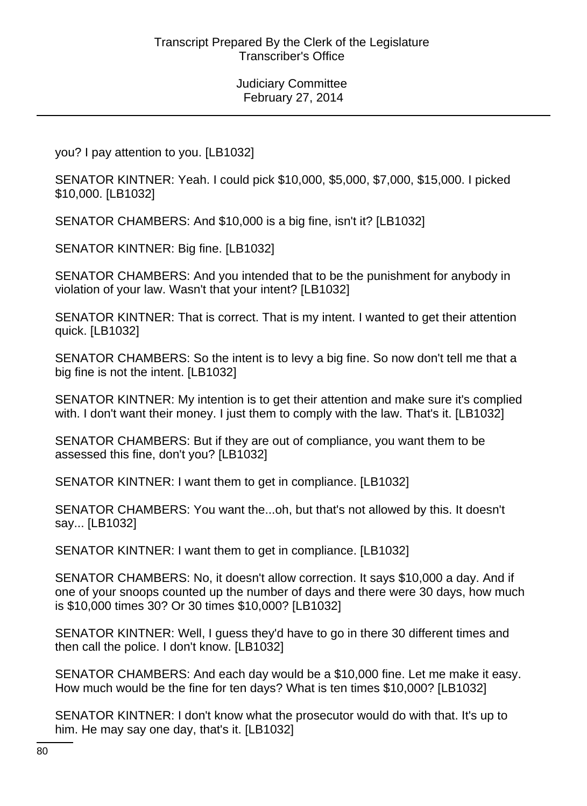you? I pay attention to you. [LB1032]

SENATOR KINTNER: Yeah. I could pick \$10,000, \$5,000, \$7,000, \$15,000. I picked \$10,000. [LB1032]

SENATOR CHAMBERS: And \$10,000 is a big fine, isn't it? [LB1032]

SENATOR KINTNER: Big fine. [LB1032]

SENATOR CHAMBERS: And you intended that to be the punishment for anybody in violation of your law. Wasn't that your intent? [LB1032]

SENATOR KINTNER: That is correct. That is my intent. I wanted to get their attention quick. [LB1032]

SENATOR CHAMBERS: So the intent is to levy a big fine. So now don't tell me that a big fine is not the intent. [LB1032]

SENATOR KINTNER: My intention is to get their attention and make sure it's complied with. I don't want their money. I just them to comply with the law. That's it. [LB1032]

SENATOR CHAMBERS: But if they are out of compliance, you want them to be assessed this fine, don't you? [LB1032]

SENATOR KINTNER: I want them to get in compliance. [LB1032]

SENATOR CHAMBERS: You want the...oh, but that's not allowed by this. It doesn't say... [LB1032]

SENATOR KINTNER: I want them to get in compliance. [LB1032]

SENATOR CHAMBERS: No, it doesn't allow correction. It says \$10,000 a day. And if one of your snoops counted up the number of days and there were 30 days, how much is \$10,000 times 30? Or 30 times \$10,000? [LB1032]

SENATOR KINTNER: Well, I guess they'd have to go in there 30 different times and then call the police. I don't know. [LB1032]

SENATOR CHAMBERS: And each day would be a \$10,000 fine. Let me make it easy. How much would be the fine for ten days? What is ten times \$10,000? [LB1032]

SENATOR KINTNER: I don't know what the prosecutor would do with that. It's up to him. He may say one day, that's it. [LB1032]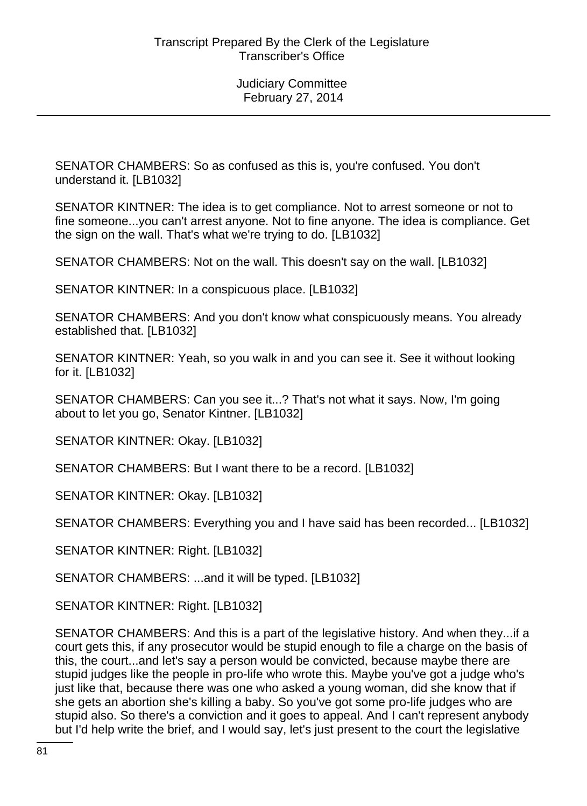SENATOR CHAMBERS: So as confused as this is, you're confused. You don't understand it. [LB1032]

SENATOR KINTNER: The idea is to get compliance. Not to arrest someone or not to fine someone...you can't arrest anyone. Not to fine anyone. The idea is compliance. Get the sign on the wall. That's what we're trying to do. [LB1032]

SENATOR CHAMBERS: Not on the wall. This doesn't say on the wall. [LB1032]

SENATOR KINTNER: In a conspicuous place. [LB1032]

SENATOR CHAMBERS: And you don't know what conspicuously means. You already established that. [LB1032]

SENATOR KINTNER: Yeah, so you walk in and you can see it. See it without looking for it. [LB1032]

SENATOR CHAMBERS: Can you see it...? That's not what it says. Now, I'm going about to let you go, Senator Kintner. [LB1032]

SENATOR KINTNER: Okay. [LB1032]

SENATOR CHAMBERS: But I want there to be a record. [LB1032]

SENATOR KINTNER: Okay. [LB1032]

SENATOR CHAMBERS: Everything you and I have said has been recorded... [LB1032]

SENATOR KINTNER: Right. [LB1032]

SENATOR CHAMBERS: ...and it will be typed. [LB1032]

SENATOR KINTNER: Right. [LB1032]

SENATOR CHAMBERS: And this is a part of the legislative history. And when they...if a court gets this, if any prosecutor would be stupid enough to file a charge on the basis of this, the court...and let's say a person would be convicted, because maybe there are stupid judges like the people in pro-life who wrote this. Maybe you've got a judge who's just like that, because there was one who asked a young woman, did she know that if she gets an abortion she's killing a baby. So you've got some pro-life judges who are stupid also. So there's a conviction and it goes to appeal. And I can't represent anybody but I'd help write the brief, and I would say, let's just present to the court the legislative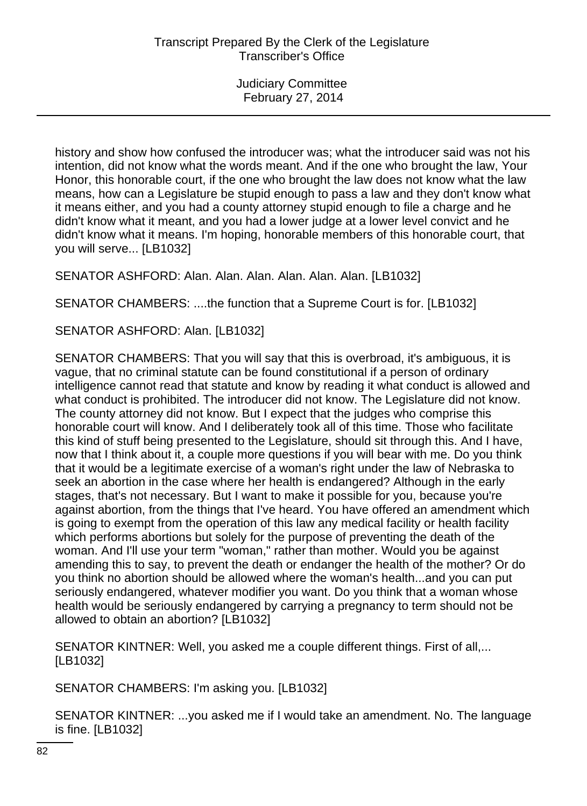history and show how confused the introducer was; what the introducer said was not his intention, did not know what the words meant. And if the one who brought the law, Your Honor, this honorable court, if the one who brought the law does not know what the law means, how can a Legislature be stupid enough to pass a law and they don't know what it means either, and you had a county attorney stupid enough to file a charge and he didn't know what it meant, and you had a lower judge at a lower level convict and he didn't know what it means. I'm hoping, honorable members of this honorable court, that you will serve... [LB1032]

SENATOR ASHFORD: Alan. Alan. Alan. Alan. Alan. Alan. [LB1032]

SENATOR CHAMBERS: ....the function that a Supreme Court is for. [LB1032]

SENATOR ASHFORD: Alan. [LB1032]

SENATOR CHAMBERS: That you will say that this is overbroad, it's ambiguous, it is vague, that no criminal statute can be found constitutional if a person of ordinary intelligence cannot read that statute and know by reading it what conduct is allowed and what conduct is prohibited. The introducer did not know. The Legislature did not know. The county attorney did not know. But I expect that the judges who comprise this honorable court will know. And I deliberately took all of this time. Those who facilitate this kind of stuff being presented to the Legislature, should sit through this. And I have, now that I think about it, a couple more questions if you will bear with me. Do you think that it would be a legitimate exercise of a woman's right under the law of Nebraska to seek an abortion in the case where her health is endangered? Although in the early stages, that's not necessary. But I want to make it possible for you, because you're against abortion, from the things that I've heard. You have offered an amendment which is going to exempt from the operation of this law any medical facility or health facility which performs abortions but solely for the purpose of preventing the death of the woman. And I'll use your term "woman," rather than mother. Would you be against amending this to say, to prevent the death or endanger the health of the mother? Or do you think no abortion should be allowed where the woman's health...and you can put seriously endangered, whatever modifier you want. Do you think that a woman whose health would be seriously endangered by carrying a pregnancy to term should not be allowed to obtain an abortion? [LB1032]

SENATOR KINTNER: Well, you asked me a couple different things. First of all,... [LB1032]

SENATOR CHAMBERS: I'm asking you. [LB1032]

SENATOR KINTNER: ...you asked me if I would take an amendment. No. The language is fine. [LB1032]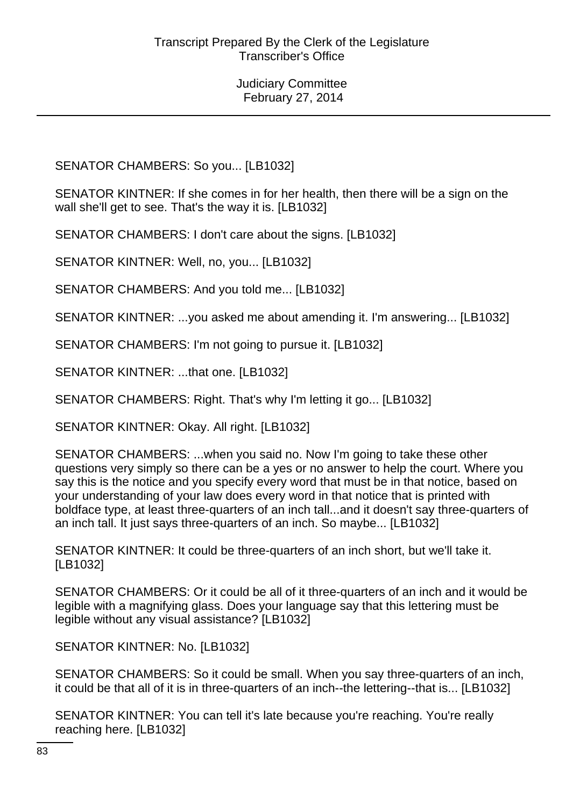SENATOR CHAMBERS: So you... [LB1032]

SENATOR KINTNER: If she comes in for her health, then there will be a sign on the wall she'll get to see. That's the way it is. [LB1032]

SENATOR CHAMBERS: I don't care about the signs. [LB1032]

SENATOR KINTNER: Well, no, you... [LB1032]

SENATOR CHAMBERS: And you told me... [LB1032]

SENATOR KINTNER: ...you asked me about amending it. I'm answering... [LB1032]

SENATOR CHAMBERS: I'm not going to pursue it. [LB1032]

SENATOR KINTNER: ...that one. [LB1032]

SENATOR CHAMBERS: Right. That's why I'm letting it go... [LB1032]

SENATOR KINTNER: Okay. All right. [LB1032]

SENATOR CHAMBERS: ...when you said no. Now I'm going to take these other questions very simply so there can be a yes or no answer to help the court. Where you say this is the notice and you specify every word that must be in that notice, based on your understanding of your law does every word in that notice that is printed with boldface type, at least three-quarters of an inch tall...and it doesn't say three-quarters of an inch tall. It just says three-quarters of an inch. So maybe... [LB1032]

SENATOR KINTNER: It could be three-quarters of an inch short, but we'll take it. [LB1032]

SENATOR CHAMBERS: Or it could be all of it three-quarters of an inch and it would be legible with a magnifying glass. Does your language say that this lettering must be legible without any visual assistance? [LB1032]

SENATOR KINTNER: No. [LB1032]

SENATOR CHAMBERS: So it could be small. When you say three-quarters of an inch, it could be that all of it is in three-quarters of an inch--the lettering--that is... [LB1032]

SENATOR KINTNER: You can tell it's late because you're reaching. You're really reaching here. [LB1032]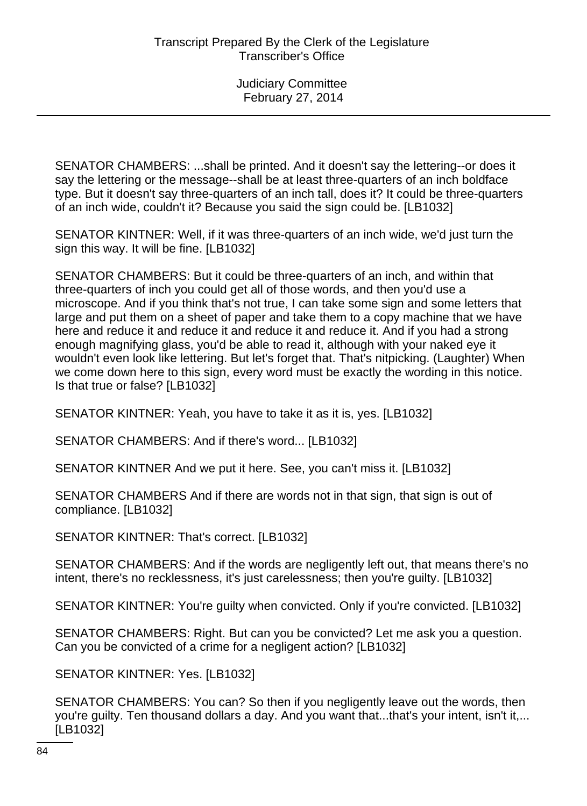SENATOR CHAMBERS: ...shall be printed. And it doesn't say the lettering--or does it say the lettering or the message--shall be at least three-quarters of an inch boldface type. But it doesn't say three-quarters of an inch tall, does it? It could be three-quarters of an inch wide, couldn't it? Because you said the sign could be. [LB1032]

SENATOR KINTNER: Well, if it was three-quarters of an inch wide, we'd just turn the sign this way. It will be fine. [LB1032]

SENATOR CHAMBERS: But it could be three-quarters of an inch, and within that three-quarters of inch you could get all of those words, and then you'd use a microscope. And if you think that's not true, I can take some sign and some letters that large and put them on a sheet of paper and take them to a copy machine that we have here and reduce it and reduce it and reduce it and reduce it. And if you had a strong enough magnifying glass, you'd be able to read it, although with your naked eye it wouldn't even look like lettering. But let's forget that. That's nitpicking. (Laughter) When we come down here to this sign, every word must be exactly the wording in this notice. Is that true or false? [LB1032]

SENATOR KINTNER: Yeah, you have to take it as it is, yes. [LB1032]

SENATOR CHAMBERS: And if there's word... [LB1032]

SENATOR KINTNER And we put it here. See, you can't miss it. [LB1032]

SENATOR CHAMBERS And if there are words not in that sign, that sign is out of compliance. [LB1032]

SENATOR KINTNER: That's correct. [LB1032]

SENATOR CHAMBERS: And if the words are negligently left out, that means there's no intent, there's no recklessness, it's just carelessness; then you're guilty. [LB1032]

SENATOR KINTNER: You're guilty when convicted. Only if you're convicted. [LB1032]

SENATOR CHAMBERS: Right. But can you be convicted? Let me ask you a question. Can you be convicted of a crime for a negligent action? [LB1032]

SENATOR KINTNER: Yes. [LB1032]

SENATOR CHAMBERS: You can? So then if you negligently leave out the words, then you're guilty. Ten thousand dollars a day. And you want that...that's your intent, isn't it,... [LB1032]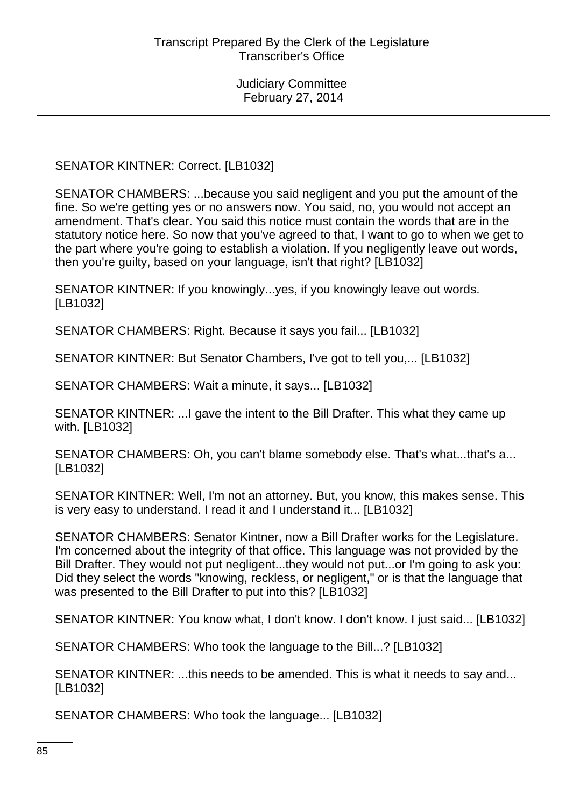SENATOR KINTNER: Correct. [LB1032]

SENATOR CHAMBERS: ...because you said negligent and you put the amount of the fine. So we're getting yes or no answers now. You said, no, you would not accept an amendment. That's clear. You said this notice must contain the words that are in the statutory notice here. So now that you've agreed to that, I want to go to when we get to the part where you're going to establish a violation. If you negligently leave out words, then you're guilty, based on your language, isn't that right? [LB1032]

SENATOR KINTNER: If you knowingly...yes, if you knowingly leave out words. [LB1032]

SENATOR CHAMBERS: Right. Because it says you fail... [LB1032]

SENATOR KINTNER: But Senator Chambers, I've got to tell you,... [LB1032]

SENATOR CHAMBERS: Wait a minute, it says... [LB1032]

SENATOR KINTNER: ...I gave the intent to the Bill Drafter. This what they came up with. [LB1032]

SENATOR CHAMBERS: Oh, you can't blame somebody else. That's what...that's a... [LB1032]

SENATOR KINTNER: Well, I'm not an attorney. But, you know, this makes sense. This is very easy to understand. I read it and I understand it... [LB1032]

SENATOR CHAMBERS: Senator Kintner, now a Bill Drafter works for the Legislature. I'm concerned about the integrity of that office. This language was not provided by the Bill Drafter. They would not put negligent...they would not put...or I'm going to ask you: Did they select the words "knowing, reckless, or negligent," or is that the language that was presented to the Bill Drafter to put into this? [LB1032]

SENATOR KINTNER: You know what, I don't know. I don't know. I just said... [LB1032]

SENATOR CHAMBERS: Who took the language to the Bill...? [LB1032]

SENATOR KINTNER: ...this needs to be amended. This is what it needs to say and... [LB1032]

SENATOR CHAMBERS: Who took the language... [LB1032]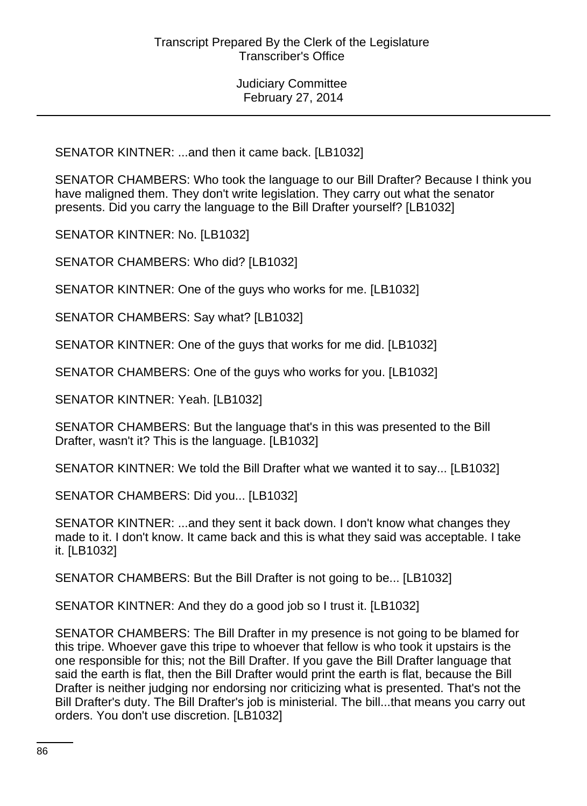SENATOR KINTNER: ...and then it came back. [LB1032]

SENATOR CHAMBERS: Who took the language to our Bill Drafter? Because I think you have maligned them. They don't write legislation. They carry out what the senator presents. Did you carry the language to the Bill Drafter yourself? [LB1032]

SENATOR KINTNER: No. [LB1032]

SENATOR CHAMBERS: Who did? [LB1032]

SENATOR KINTNER: One of the guys who works for me. [LB1032]

SENATOR CHAMBERS: Say what? [LB1032]

SENATOR KINTNER: One of the guys that works for me did. [LB1032]

SENATOR CHAMBERS: One of the guys who works for you. [LB1032]

SENATOR KINTNER: Yeah. [LB1032]

SENATOR CHAMBERS: But the language that's in this was presented to the Bill Drafter, wasn't it? This is the language. [LB1032]

SENATOR KINTNER: We told the Bill Drafter what we wanted it to say... [LB1032]

SENATOR CHAMBERS: Did you... [LB1032]

SENATOR KINTNER: ...and they sent it back down. I don't know what changes they made to it. I don't know. It came back and this is what they said was acceptable. I take it. [LB1032]

SENATOR CHAMBERS: But the Bill Drafter is not going to be... [LB1032]

SENATOR KINTNER: And they do a good job so I trust it. [LB1032]

SENATOR CHAMBERS: The Bill Drafter in my presence is not going to be blamed for this tripe. Whoever gave this tripe to whoever that fellow is who took it upstairs is the one responsible for this; not the Bill Drafter. If you gave the Bill Drafter language that said the earth is flat, then the Bill Drafter would print the earth is flat, because the Bill Drafter is neither judging nor endorsing nor criticizing what is presented. That's not the Bill Drafter's duty. The Bill Drafter's job is ministerial. The bill...that means you carry out orders. You don't use discretion. [LB1032]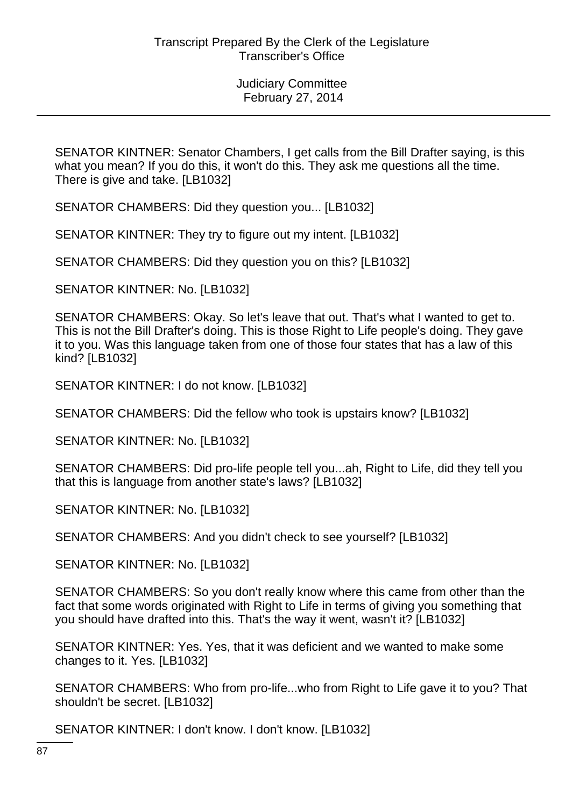SENATOR KINTNER: Senator Chambers, I get calls from the Bill Drafter saying, is this what you mean? If you do this, it won't do this. They ask me questions all the time. There is give and take. [LB1032]

SENATOR CHAMBERS: Did they question you... [LB1032]

SENATOR KINTNER: They try to figure out my intent. [LB1032]

SENATOR CHAMBERS: Did they question you on this? [LB1032]

SENATOR KINTNER: No. [LB1032]

SENATOR CHAMBERS: Okay. So let's leave that out. That's what I wanted to get to. This is not the Bill Drafter's doing. This is those Right to Life people's doing. They gave it to you. Was this language taken from one of those four states that has a law of this kind? [LB1032]

SENATOR KINTNER: I do not know. [LB1032]

SENATOR CHAMBERS: Did the fellow who took is upstairs know? [LB1032]

SENATOR KINTNER: No. [LB1032]

SENATOR CHAMBERS: Did pro-life people tell you...ah, Right to Life, did they tell you that this is language from another state's laws? [LB1032]

SENATOR KINTNER: No. [LB1032]

SENATOR CHAMBERS: And you didn't check to see yourself? [LB1032]

SENATOR KINTNER: No. [LB1032]

SENATOR CHAMBERS: So you don't really know where this came from other than the fact that some words originated with Right to Life in terms of giving you something that you should have drafted into this. That's the way it went, wasn't it? [LB1032]

SENATOR KINTNER: Yes. Yes, that it was deficient and we wanted to make some changes to it. Yes. [LB1032]

SENATOR CHAMBERS: Who from pro-life...who from Right to Life gave it to you? That shouldn't be secret. [LB1032]

SENATOR KINTNER: I don't know. I don't know. [LB1032]